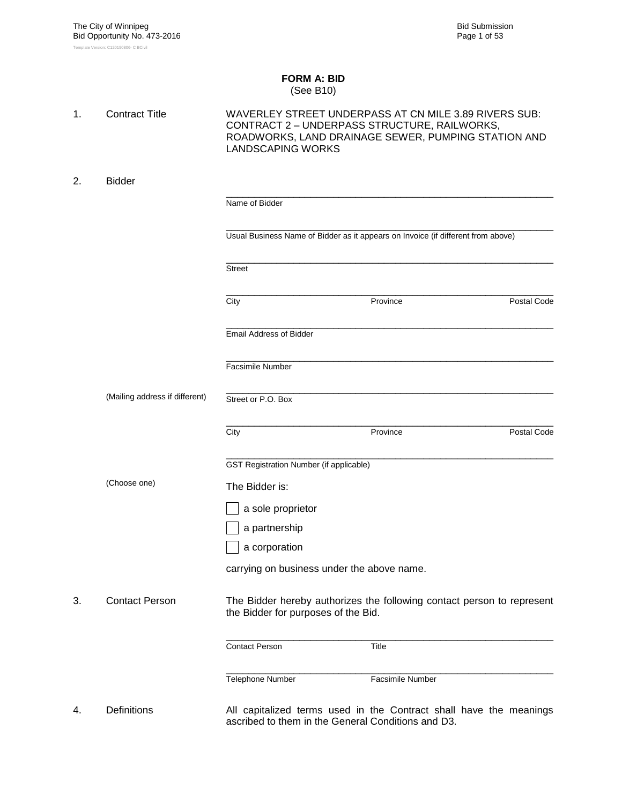### **FORM A: BID** (See B10)

| 1. | <b>Contract Title</b>          | <b>LANDSCAPING WORKS</b>                           | WAVERLEY STREET UNDERPASS AT CN MILE 3.89 RIVERS SUB:<br>CONTRACT 2 - UNDERPASS STRUCTURE, RAILWORKS,<br>ROADWORKS, LAND DRAINAGE SEWER, PUMPING STATION AND |             |
|----|--------------------------------|----------------------------------------------------|--------------------------------------------------------------------------------------------------------------------------------------------------------------|-------------|
| 2. | <b>Bidder</b>                  |                                                    |                                                                                                                                                              |             |
|    |                                | Name of Bidder                                     |                                                                                                                                                              |             |
|    |                                |                                                    | Usual Business Name of Bidder as it appears on Invoice (if different from above)                                                                             |             |
|    |                                | <b>Street</b>                                      |                                                                                                                                                              |             |
|    |                                | City                                               | Province                                                                                                                                                     | Postal Code |
|    |                                | <b>Email Address of Bidder</b>                     |                                                                                                                                                              |             |
|    |                                | Facsimile Number                                   |                                                                                                                                                              |             |
|    | (Mailing address if different) | Street or P.O. Box                                 |                                                                                                                                                              |             |
|    |                                | City                                               | Province                                                                                                                                                     | Postal Code |
|    |                                | <b>GST Registration Number (if applicable)</b>     |                                                                                                                                                              |             |
|    | (Choose one)                   | The Bidder is:                                     |                                                                                                                                                              |             |
|    |                                | a sole proprietor                                  |                                                                                                                                                              |             |
|    |                                | a partnership                                      |                                                                                                                                                              |             |
|    |                                | a corporation                                      |                                                                                                                                                              |             |
|    |                                | carrying on business under the above name.         |                                                                                                                                                              |             |
| 3. | <b>Contact Person</b>          | the Bidder for purposes of the Bid.                | The Bidder hereby authorizes the following contact person to represent                                                                                       |             |
|    |                                | <b>Contact Person</b>                              | Title                                                                                                                                                        |             |
|    |                                | Telephone Number                                   | Facsimile Number                                                                                                                                             |             |
| 4. | <b>Definitions</b>             | ascribed to them in the General Conditions and D3. | All capitalized terms used in the Contract shall have the meanings                                                                                           |             |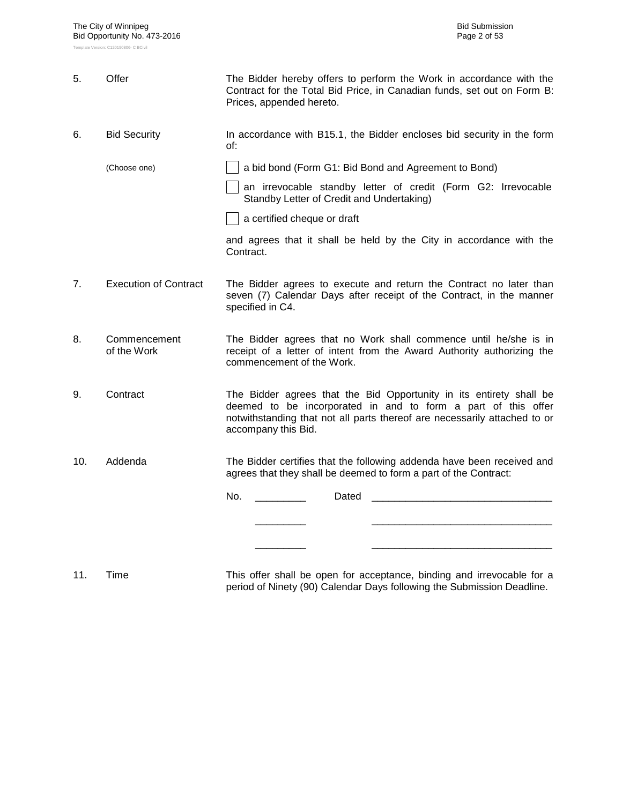| 5.  | Offer                        | The Bidder hereby offers to perform the Work in accordance with the<br>Contract for the Total Bid Price, in Canadian funds, set out on Form B:<br>Prices, appended hereto.                                                               |
|-----|------------------------------|------------------------------------------------------------------------------------------------------------------------------------------------------------------------------------------------------------------------------------------|
| 6.  | <b>Bid Security</b>          | In accordance with B15.1, the Bidder encloses bid security in the form<br>of:                                                                                                                                                            |
|     | (Choose one)                 | a bid bond (Form G1: Bid Bond and Agreement to Bond)                                                                                                                                                                                     |
|     |                              | an irrevocable standby letter of credit (Form G2: Irrevocable<br>Standby Letter of Credit and Undertaking)                                                                                                                               |
|     |                              | a certified cheque or draft                                                                                                                                                                                                              |
|     |                              | and agrees that it shall be held by the City in accordance with the<br>Contract.                                                                                                                                                         |
| 7.  | <b>Execution of Contract</b> | The Bidder agrees to execute and return the Contract no later than<br>seven (7) Calendar Days after receipt of the Contract, in the manner<br>specified in C4.                                                                           |
| 8.  | Commencement<br>of the Work  | The Bidder agrees that no Work shall commence until he/she is in<br>receipt of a letter of intent from the Award Authority authorizing the<br>commencement of the Work.                                                                  |
| 9.  | Contract                     | The Bidder agrees that the Bid Opportunity in its entirety shall be<br>deemed to be incorporated in and to form a part of this offer<br>notwithstanding that not all parts thereof are necessarily attached to or<br>accompany this Bid. |
| 10. | Addenda                      | The Bidder certifies that the following addenda have been received and<br>agrees that they shall be deemed to form a part of the Contract:                                                                                               |
|     |                              | No.<br>Dated                                                                                                                                                                                                                             |
|     |                              |                                                                                                                                                                                                                                          |
|     |                              |                                                                                                                                                                                                                                          |
|     |                              |                                                                                                                                                                                                                                          |

11. Time This offer shall be open for acceptance, binding and irrevocable for a period of Ninety (90) Calendar Days following the Submission Deadline.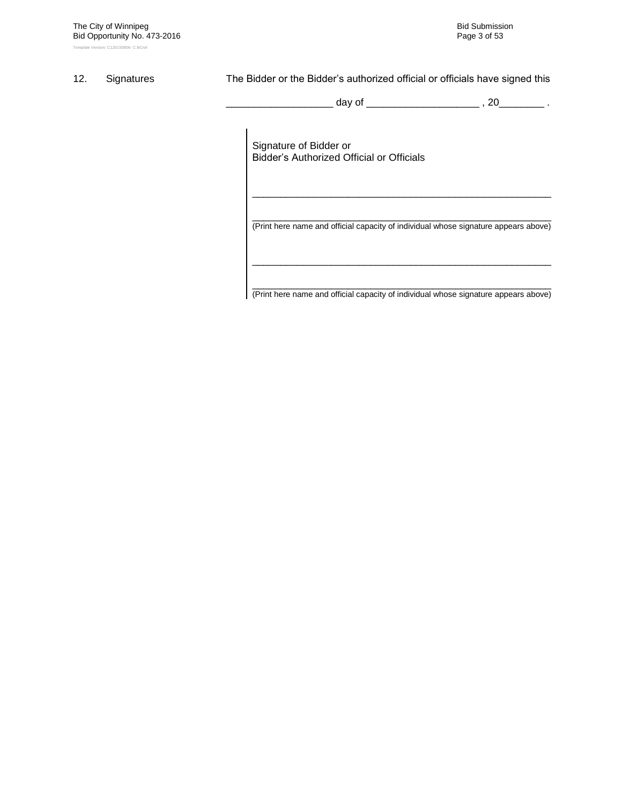### 12. Signatures The Bidder or the Bidder's authorized official or officials have signed this

\_ day of \_\_\_\_\_\_\_\_\_\_\_\_\_\_\_\_\_\_\_\_\_\_\_ , 20\_\_\_\_\_\_\_\_ .

Signature of Bidder or Bidder"s Authorized Official or Officials

\_\_\_\_\_\_\_\_\_\_\_\_\_\_\_\_\_\_\_\_\_\_\_\_\_\_\_\_\_\_\_\_\_\_\_\_\_\_\_\_\_\_\_\_\_\_\_\_\_\_\_\_\_ (Print here name and official capacity of individual whose signature appears above)

\_\_\_\_\_\_\_\_\_\_\_\_\_\_\_\_\_\_\_\_\_\_\_\_\_\_\_\_\_\_\_\_\_\_\_\_\_\_\_\_\_\_\_\_\_\_\_\_\_\_\_\_\_

\_\_\_\_\_\_\_\_\_\_\_\_\_\_\_\_\_\_\_\_\_\_\_\_\_\_\_\_\_\_\_\_\_\_\_\_\_\_\_\_\_\_\_\_\_\_\_\_\_\_\_\_\_ (Print here name and official capacity of individual whose signature appears above)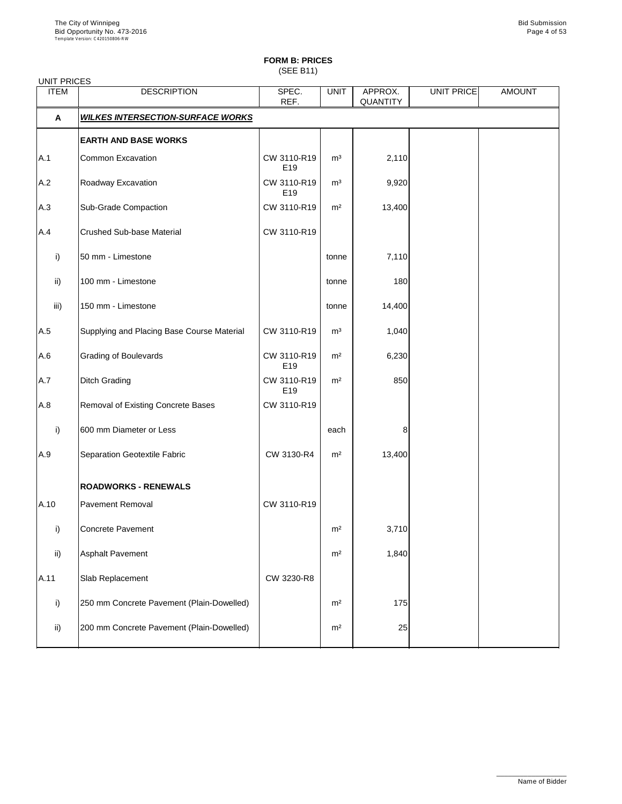(SEE B11)

| <b>ITEM</b>   | <b>DESCRIPTION</b>                         | SPEC.<br>REF.      | <b>UNIT</b>    | APPROX.<br><b>QUANTITY</b> | UNIT PRICE | <b>AMOUNT</b> |
|---------------|--------------------------------------------|--------------------|----------------|----------------------------|------------|---------------|
| $\mathbf{A}$  | <b>WILKES INTERSECTION-SURFACE WORKS</b>   |                    |                |                            |            |               |
|               | <b>EARTH AND BASE WORKS</b>                |                    |                |                            |            |               |
| A.1           | <b>Common Excavation</b>                   | CW 3110-R19<br>E19 | m <sup>3</sup> | 2,110                      |            |               |
| A.2           | Roadway Excavation                         | CW 3110-R19<br>E19 | m <sup>3</sup> | 9,920                      |            |               |
| A.3           | <b>Sub-Grade Compaction</b>                | CW 3110-R19        | m <sup>2</sup> | 13,400                     |            |               |
| A.4           | <b>Crushed Sub-base Material</b>           | CW 3110-R19        |                |                            |            |               |
| i)            | 50 mm - Limestone                          |                    | tonne          | 7,110                      |            |               |
| $\mathsf{ii}$ | 100 mm - Limestone                         |                    | tonne          | 180                        |            |               |
| iii)          | 150 mm - Limestone                         |                    | tonne          | 14,400                     |            |               |
| A.5           | Supplying and Placing Base Course Material | CW 3110-R19        | m <sup>3</sup> | 1,040                      |            |               |
| A.6           | <b>Grading of Boulevards</b>               | CW 3110-R19<br>E19 | m <sup>2</sup> | 6,230                      |            |               |
| A.7           | <b>Ditch Grading</b>                       | CW 3110-R19<br>E19 | m <sup>2</sup> | 850                        |            |               |
| A.8           | Removal of Existing Concrete Bases         | CW 3110-R19        |                |                            |            |               |
| i)            | 600 mm Diameter or Less                    |                    | each           | 8                          |            |               |
| A.9           | <b>Separation Geotextile Fabric</b>        | CW 3130-R4         | m <sup>2</sup> | 13,400                     |            |               |
|               | <b>ROADWORKS - RENEWALS</b>                |                    |                |                            |            |               |
| A.10          | <b>Pavement Removal</b>                    | CW 3110-R19        |                |                            |            |               |
| i)            | <b>Concrete Pavement</b>                   |                    | m <sup>2</sup> | 3,710                      |            |               |
| ii)           | <b>Asphalt Pavement</b>                    |                    | m <sup>2</sup> | 1,840                      |            |               |
| A.11          | Slab Replacement                           | CW 3230-R8         |                |                            |            |               |
| i)            | 250 mm Concrete Pavement (Plain-Dowelled)  |                    | m <sup>2</sup> | 175                        |            |               |
|               |                                            |                    |                |                            |            |               |

| -::\ | 200 mm Concrete Pavement (Plain-Dowelled) | m <sup>2</sup> |  |  |
|------|-------------------------------------------|----------------|--|--|
|      |                                           |                |  |  |

\_\_\_\_\_\_\_\_\_\_\_\_\_\_\_\_\_\_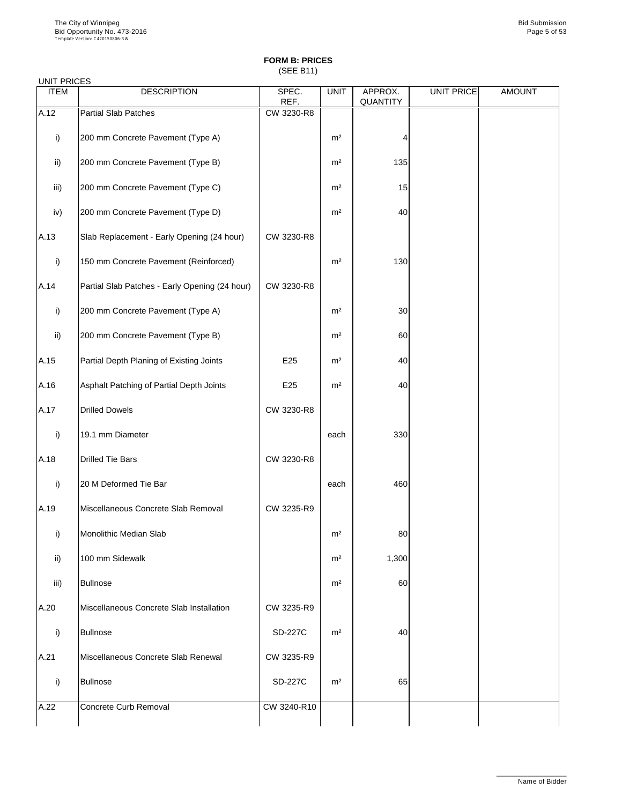(SEE B11)

### UNIT PRICES

| <b>ITEM</b>   | <b>DESCRIPTION</b>                             | SPEC.<br>REF. | <b>UNIT</b>    | APPROX.<br><b>QUANTITY</b> | <b>UNIT PRICE</b> | <b>AMOUNT</b> |
|---------------|------------------------------------------------|---------------|----------------|----------------------------|-------------------|---------------|
| A.12          | <b>Partial Slab Patches</b>                    | CW 3230-R8    |                |                            |                   |               |
|               |                                                |               |                |                            |                   |               |
| i)            | 200 mm Concrete Pavement (Type A)              |               | m <sup>2</sup> |                            |                   |               |
| $\mathsf{ii}$ | 200 mm Concrete Pavement (Type B)              |               | m <sup>2</sup> | 135                        |                   |               |
| iii)          | 200 mm Concrete Pavement (Type C)              |               | m <sup>2</sup> | 15                         |                   |               |
| iv)           | 200 mm Concrete Pavement (Type D)              |               | m <sup>2</sup> | 40                         |                   |               |
| A.13          | Slab Replacement - Early Opening (24 hour)     | CW 3230-R8    |                |                            |                   |               |
| i)            | 150 mm Concrete Pavement (Reinforced)          |               | m <sup>2</sup> | 130                        |                   |               |
| A.14          | Partial Slab Patches - Early Opening (24 hour) | CW 3230-R8    |                |                            |                   |               |
| i)            | 200 mm Concrete Pavement (Type A)              |               | m <sup>2</sup> | 30                         |                   |               |
| $\mathsf{ii}$ | 200 mm Concrete Pavement (Type B)              |               | m <sup>2</sup> | 60                         |                   |               |
| A.15          | Partial Depth Planing of Existing Joints       | E25           | m <sup>2</sup> | 40                         |                   |               |
| A.16          | Asphalt Patching of Partial Depth Joints       | E25           | m <sup>2</sup> | 40                         |                   |               |
| A.17          | <b>Drilled Dowels</b>                          | CW 3230-R8    |                |                            |                   |               |
| i)            | 19.1 mm Diameter                               |               | each           | 330                        |                   |               |
| A.18          | Drilled Tie Bars                               | CW 3230-R8    |                |                            |                   |               |
| i)            | 20 M Deformed Tie Bar                          |               | each           | 460                        |                   |               |
| A.19          | Miscellaneous Concrete Slab Removal            | CW 3235-R9    |                |                            |                   |               |
| i)            | <b>Monolithic Median Slab</b>                  |               | m <sup>2</sup> | 80                         |                   |               |
| $\mathsf{ii}$ | 100 mm Sidewalk                                |               | m <sup>2</sup> | 1,300                      |                   |               |
| iii)          | <b>Bullnose</b>                                |               | m <sup>2</sup> | 60                         |                   |               |
| A.20          | Miscellaneous Concrete Slab Installation       | CW 3235-R9    |                |                            |                   |               |

| IA.ZU | <u>IMISCEIIAHEOUS CONCLETE SIAD IIISTAIIANON</u> | UW JZJJ-NY     |                |    |  |
|-------|--------------------------------------------------|----------------|----------------|----|--|
|       | <b>Bullnose</b>                                  | <b>SD-227C</b> | m <sup>2</sup> | 40 |  |
| A.21  | Miscellaneous Concrete Slab Renewal              | CW 3235-R9     |                |    |  |
|       | <b>Bullnose</b>                                  | <b>SD-227C</b> | m <sup>2</sup> | 65 |  |
| A.22  | Concrete Curb Removal                            | CW 3240-R10    |                |    |  |

\_\_\_\_\_\_\_\_\_\_\_\_\_\_\_\_\_\_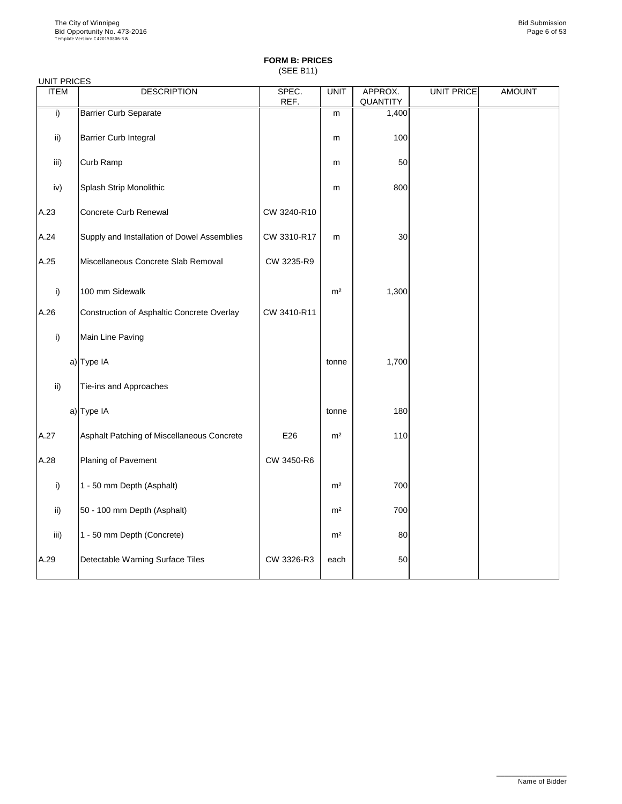(SEE B11)

| <b>UNIT PRICES</b> |                                             |               |                |                     |                   |               |
|--------------------|---------------------------------------------|---------------|----------------|---------------------|-------------------|---------------|
| <b>ITEM</b>        | <b>DESCRIPTION</b>                          | SPEC.<br>REF. | <b>UNIT</b>    | APPROX.<br>QUANTITY | <b>UNIT PRICE</b> | <b>AMOUNT</b> |
| i)                 | <b>Barrier Curb Separate</b>                |               | m              | 1,400               |                   |               |
| $\mathsf{ii}$ )    | <b>Barrier Curb Integral</b>                |               | m              | 100                 |                   |               |
| iii)               | Curb Ramp                                   |               | m              | 50                  |                   |               |
| iv)                | <b>Splash Strip Monolithic</b>              |               | m              | 800                 |                   |               |
| A.23               | <b>Concrete Curb Renewal</b>                | CW 3240-R10   |                |                     |                   |               |
| A.24               | Supply and Installation of Dowel Assemblies | CW 3310-R17   | m              | 30                  |                   |               |
| A.25               | Miscellaneous Concrete Slab Removal         | CW 3235-R9    |                |                     |                   |               |
| i)                 | 100 mm Sidewalk                             |               | m <sup>2</sup> | 1,300               |                   |               |
| A.26               | Construction of Asphaltic Concrete Overlay  | CW 3410-R11   |                |                     |                   |               |
| i)                 | Main Line Paving                            |               |                |                     |                   |               |
|                    | a) Type IA                                  |               | tonne          | 1,700               |                   |               |
| $\mathsf{ii}$ )    | Tie-ins and Approaches                      |               |                |                     |                   |               |
|                    | a) Type IA                                  |               | tonne          | 180                 |                   |               |
| A.27               | Asphalt Patching of Miscellaneous Concrete  | E26           | m <sup>2</sup> | 110                 |                   |               |
| A.28               | <b>Planing of Pavement</b>                  | CW 3450-R6    |                |                     |                   |               |
| $\mathsf{i}$       | 1 - 50 mm Depth (Asphalt)                   |               | m <sup>2</sup> | 700                 |                   |               |
| $\mathsf{ii}$      | 50 - 100 mm Depth (Asphalt)                 |               | m <sup>2</sup> | 700                 |                   |               |
| iii)               | 1 - 50 mm Depth (Concrete)                  |               | m <sup>2</sup> | 80                  |                   |               |
| A.29               | Detectable Warning Surface Tiles            | CW 3326-R3    | each           | 50                  |                   |               |

\_\_\_\_\_\_\_\_\_\_\_\_\_\_\_\_\_\_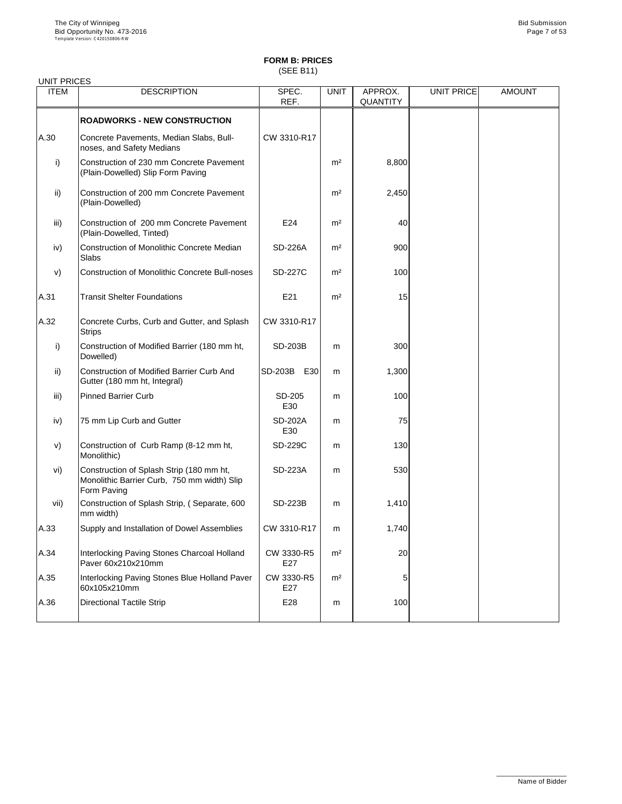(SEE B11)

| <b>UNIT PRICES</b> |                                                                                                        |                       |                |                            |                   |               |
|--------------------|--------------------------------------------------------------------------------------------------------|-----------------------|----------------|----------------------------|-------------------|---------------|
| <b>ITEM</b>        | <b>DESCRIPTION</b>                                                                                     | SPEC.<br>REF.         | <b>UNIT</b>    | APPROX.<br><b>QUANTITY</b> | <b>UNIT PRICE</b> | <b>AMOUNT</b> |
|                    | <b>ROADWORKS - NEW CONSTRUCTION</b>                                                                    |                       |                |                            |                   |               |
| A.30               | Concrete Pavements, Median Slabs, Bull-<br>noses, and Safety Medians                                   | CW 3310-R17           |                |                            |                   |               |
| i)                 | Construction of 230 mm Concrete Pavement<br>(Plain-Dowelled) Slip Form Paving                          |                       | m <sup>2</sup> | 8,800                      |                   |               |
| $\mathsf{ii}$ )    | Construction of 200 mm Concrete Pavement<br>(Plain-Dowelled)                                           |                       | m <sup>2</sup> | 2,450                      |                   |               |
| iii)               | Construction of 200 mm Concrete Pavement<br>(Plain-Dowelled, Tinted)                                   | E24                   | m <sup>2</sup> | 40                         |                   |               |
| iv)                | <b>Construction of Monolithic Concrete Median</b><br>Slabs                                             | <b>SD-226A</b>        | m <sup>2</sup> | 900                        |                   |               |
| V)                 | <b>Construction of Monolithic Concrete Bull-noses</b>                                                  | <b>SD-227C</b>        | m <sup>2</sup> | 100                        |                   |               |
| A.31               | <b>Transit Shelter Foundations</b>                                                                     | E21                   | m <sup>2</sup> | 15                         |                   |               |
| A.32               | Concrete Curbs, Curb and Gutter, and Splash<br><b>Strips</b>                                           | CW 3310-R17           |                |                            |                   |               |
| $\mathsf{i}$       | Construction of Modified Barrier (180 mm ht,<br>Dowelled)                                              | <b>SD-203B</b>        | m              | 300                        |                   |               |
| $\mathsf{ii}$ )    | <b>Construction of Modified Barrier Curb And</b><br>Gutter (180 mm ht, Integral)                       | <b>SD-203B</b><br>E30 | m              | 1,300                      |                   |               |
| iii)               | <b>Pinned Barrier Curb</b>                                                                             | SD-205<br>E30         | m              | 100                        |                   |               |
| iv)                | 75 mm Lip Curb and Gutter                                                                              | <b>SD-202A</b><br>E30 | m              | 75                         |                   |               |
| V)                 | Construction of Curb Ramp (8-12 mm ht,<br>Monolithic)                                                  | <b>SD-229C</b>        | m              | 130                        |                   |               |
| vi)                | Construction of Splash Strip (180 mm ht,<br>Monolithic Barrier Curb, 750 mm width) Slip<br>Form Paving | <b>SD-223A</b>        | m              | 530                        |                   |               |
| vii)               | Construction of Splash Strip, (Separate, 600<br>mm width)                                              | <b>SD-223B</b>        | m              | 1,410                      |                   |               |
| A.33               | Supply and Installation of Dowel Assemblies                                                            | CW 3310-R17           | m              | 1,740                      |                   |               |
| A.34               | Interlocking Paving Stones Charcoal Holland<br>Paver 60x210x210mm                                      | CW 3330-R5<br>E27     | m <sup>2</sup> | 20                         |                   |               |
| A.35               | Interlocking Paving Stones Blue Holland Paver<br>60x105x210mm                                          | CW 3330-R5<br>E27     | m <sup>2</sup> | 5                          |                   |               |
| A.36               | <b>Directional Tactile Strip</b>                                                                       | E28                   | m              | 100                        |                   |               |

\_\_\_\_\_\_\_\_\_\_\_\_\_\_\_\_\_\_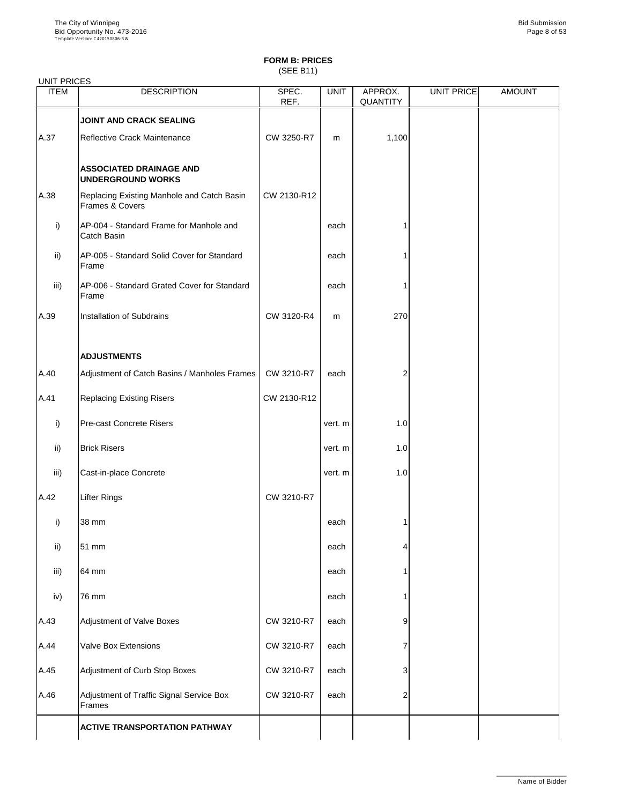(SEE B11)

| <b>UNIT PRICES</b> |                                                               |                             |             |                            |                   |               |
|--------------------|---------------------------------------------------------------|-----------------------------|-------------|----------------------------|-------------------|---------------|
| <b>ITEM</b>        | <b>DESCRIPTION</b>                                            | SPEC.<br>REF.               | <b>UNIT</b> | APPROX.<br><b>QUANTITY</b> | <b>UNIT PRICE</b> | <b>AMOUNT</b> |
|                    | <b>JOINT AND CRACK SEALING</b>                                |                             |             |                            |                   |               |
| A.37               | Reflective Crack Maintenance                                  | CW 3250-R7                  | m           | 1,100                      |                   |               |
|                    | <b>ASSOCIATED DRAINAGE AND</b><br><b>UNDERGROUND WORKS</b>    |                             |             |                            |                   |               |
| A.38               | Replacing Existing Manhole and Catch Basin<br>Frames & Covers | CW 2130-R12                 |             |                            |                   |               |
| i)                 | AP-004 - Standard Frame for Manhole and<br><b>Catch Basin</b> |                             | each        |                            |                   |               |
| $\mathsf{ii}$      | AP-005 - Standard Solid Cover for Standard<br>Frame           |                             | each        |                            |                   |               |
| iii)               | AP-006 - Standard Grated Cover for Standard<br>Frame          |                             | each        |                            |                   |               |
| A.39               | <b>Installation of Subdrains</b>                              | CW 3120-R4                  | m           | 270                        |                   |               |
|                    | <b>ADJUSTMENTS</b>                                            |                             |             |                            |                   |               |
| A.40               | Adjustment of Catch Basins / Manholes Frames                  | CW 3210-R7                  | each        | 2                          |                   |               |
| A.41               | <b>Replacing Existing Risers</b>                              | CW 2130-R12                 |             |                            |                   |               |
| i)                 | <b>Pre-cast Concrete Risers</b>                               |                             | vert. m     | 1.0                        |                   |               |
| $\mathsf{ii}$ )    | <b>Brick Risers</b>                                           |                             | vert. m     | 1.0                        |                   |               |
| iii)               | Cast-in-place Concrete                                        |                             | vert. m     | 1.0                        |                   |               |
| A.42               | <b>Lifter Rings</b>                                           | CW 3210-R7                  |             |                            |                   |               |
| i)                 | 38 mm                                                         |                             | each        |                            |                   |               |
| $\mathsf{ii}$ )    | 51 mm                                                         |                             | each        | 4                          |                   |               |
| iii)               | 64 mm                                                         |                             | each        |                            |                   |               |
| iv)                | 76 mm                                                         |                             | each        |                            |                   |               |
| $\overline{A}$     | Adjustment of Value Reves                                     | $C\left(M\right)$ 2210 $D7$ | coch        |                            |                   |               |

|      | <b>ACTIVE TRANSPORTATION PATHWAY</b>               |            |      |   |  |
|------|----------------------------------------------------|------------|------|---|--|
| A.46 | Adjustment of Traffic Signal Service Box<br>Frames | CW 3210-R7 | each |   |  |
| A.45 | Adjustment of Curb Stop Boxes                      | CW 3210-R7 | each |   |  |
| A.44 | <b>Valve Box Extensions</b>                        | CW 3210-R7 | each |   |  |
| A.43 | Adjustment of Valve Boxes                          | CW 3210-R7 | each | 9 |  |

\_\_\_\_\_\_\_\_\_\_\_\_\_\_\_\_\_\_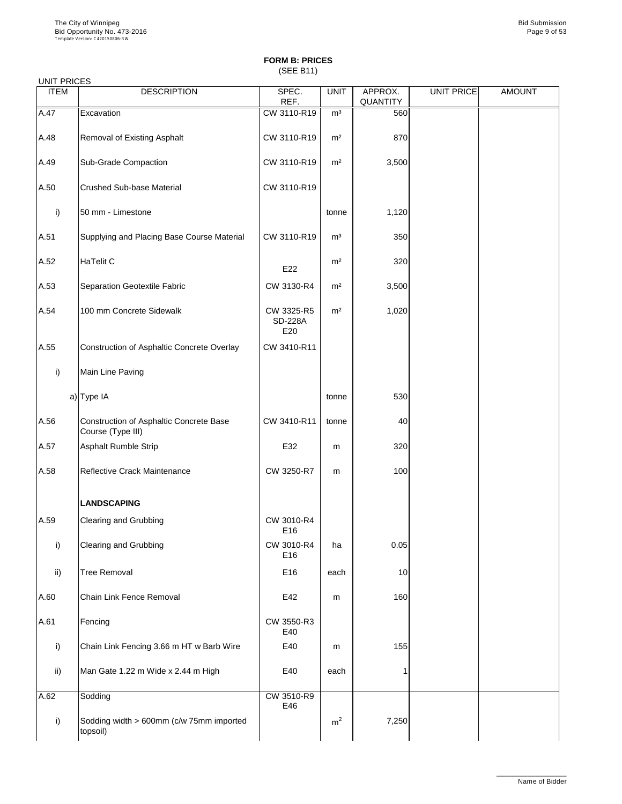## **FORM B: PRICES** (SEE B11)

### UNIT PRICES

| <b>UNITI INDLU</b>   |                                                              |                                     |                |                     |            |               |
|----------------------|--------------------------------------------------------------|-------------------------------------|----------------|---------------------|------------|---------------|
| <b>ITEM</b>          | <b>DESCRIPTION</b>                                           | SPEC.<br>REF.                       | <b>UNIT</b>    | APPROX.<br>QUANTITY | UNIT PRICE | <b>AMOUNT</b> |
| A.47                 | Excavation                                                   | CW 3110-R19                         | m <sup>3</sup> | 560                 |            |               |
| A.48                 | <b>Removal of Existing Asphalt</b>                           | CW 3110-R19                         | m <sup>2</sup> | 870                 |            |               |
| A.49                 | <b>Sub-Grade Compaction</b>                                  | CW 3110-R19                         | m <sup>2</sup> | 3,500               |            |               |
| A.50                 | <b>Crushed Sub-base Material</b>                             | CW 3110-R19                         |                |                     |            |               |
| i)                   | 50 mm - Limestone                                            |                                     | tonne          | 1,120               |            |               |
| A.51                 | Supplying and Placing Base Course Material                   | CW 3110-R19                         | m <sup>3</sup> | 350                 |            |               |
| A.52                 | HaTelit C                                                    | E22                                 | m <sup>2</sup> | 320                 |            |               |
| A.53                 | <b>Separation Geotextile Fabric</b>                          | CW 3130-R4                          | m <sup>2</sup> | 3,500               |            |               |
| A.54                 | 100 mm Concrete Sidewalk                                     | CW 3325-R5<br><b>SD-228A</b><br>E20 | m <sup>2</sup> | 1,020               |            |               |
| A.55                 | Construction of Asphaltic Concrete Overlay                   | CW 3410-R11                         |                |                     |            |               |
| $\mathsf{i}$         | Main Line Paving                                             |                                     |                |                     |            |               |
|                      | a) Type IA                                                   |                                     | tonne          | 530                 |            |               |
| A.56                 | Construction of Asphaltic Concrete Base<br>Course (Type III) | CW 3410-R11                         | tonne          | 40                  |            |               |
| A.57                 | <b>Asphalt Rumble Strip</b>                                  | E32                                 | m              | 320                 |            |               |
| A.58                 | <b>Reflective Crack Maintenance</b>                          | CW 3250-R7                          | m              | 100                 |            |               |
|                      | <b>LANDSCAPING</b>                                           |                                     |                |                     |            |               |
| A.59                 | <b>Clearing and Grubbing</b>                                 | CW 3010-R4<br>E16                   |                |                     |            |               |
| i)                   | <b>Clearing and Grubbing</b>                                 | CW 3010-R4<br>E16                   | ha             | 0.05                |            |               |
| $\mathsf{ii}$        | <b>Tree Removal</b>                                          | E16                                 | each           | 10                  |            |               |
| A.60                 | <b>Chain Link Fence Removal</b>                              | E42                                 | m              | 160                 |            |               |
| $\Lambda$ $\Omega$ 1 | $E$ onoina                                                   | $C\setminus N$ 2550 D <sub>2</sub>  |                |                     |            |               |

| IA.OT | TF encing                                            | UW 3550-R3<br>E40 |                |       |  |
|-------|------------------------------------------------------|-------------------|----------------|-------|--|
|       | Chain Link Fencing 3.66 m HT w Barb Wire             | E40               | m              | 155   |  |
| ii)   | Man Gate 1.22 m Wide x 2.44 m High                   | E40               | each           |       |  |
| A.62  | Sodding                                              | CW 3510-R9<br>E46 |                |       |  |
|       | Sodding width > 600mm (c/w 75mm imported<br>topsoil) |                   | m <sup>2</sup> | 7,250 |  |

\_\_\_\_\_\_\_\_\_\_\_\_\_\_\_\_\_\_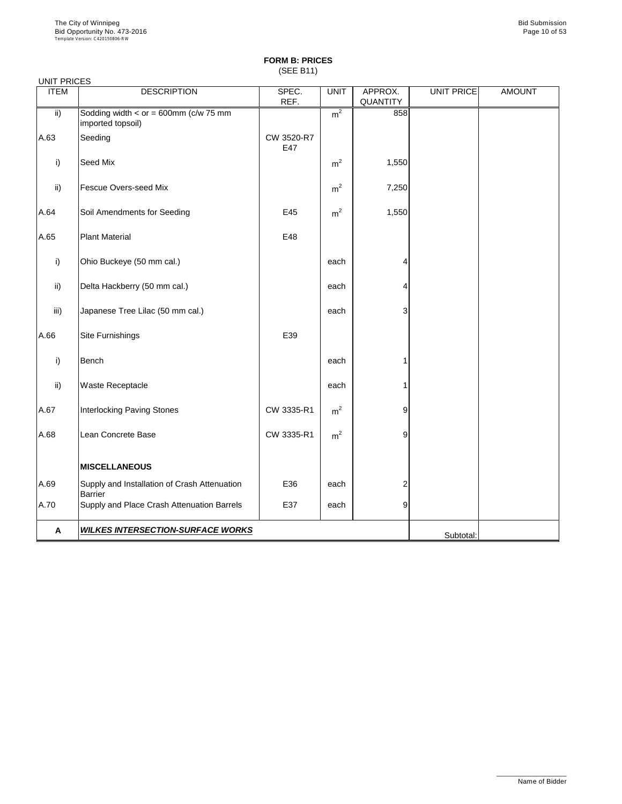(SEE B11)

| <b>UNIT PRICES</b> |                                                                  |                   |                |                            |                   |               |
|--------------------|------------------------------------------------------------------|-------------------|----------------|----------------------------|-------------------|---------------|
| <b>ITEM</b>        | <b>DESCRIPTION</b>                                               | SPEC.<br>REF.     | <b>UNIT</b>    | APPROX.<br><b>QUANTITY</b> | <b>UNIT PRICE</b> | <b>AMOUNT</b> |
| $\mathsf{ii}$      | Sodding width < $or = 600$ mm ( $c/w$ 75 mm<br>imported topsoil) |                   | m <sup>2</sup> | 858                        |                   |               |
| A.63               | Seeding                                                          | CW 3520-R7<br>E47 |                |                            |                   |               |
| i)                 | <b>Seed Mix</b>                                                  |                   | m <sup>2</sup> | 1,550                      |                   |               |
| $\mathsf{ii}$      | <b>Fescue Overs-seed Mix</b>                                     |                   | m <sup>2</sup> | 7,250                      |                   |               |
| A.64               | Soil Amendments for Seeding                                      | E45               | m <sup>2</sup> | 1,550                      |                   |               |
| A.65               | <b>Plant Material</b>                                            | E48               |                |                            |                   |               |
| $\mathsf{i}$       | Ohio Buckeye (50 mm cal.)                                        |                   | each           | 4                          |                   |               |
| $\mathsf{ii}$      | Delta Hackberry (50 mm cal.)                                     |                   | each           | 4                          |                   |               |
| iii)               | Japanese Tree Lilac (50 mm cal.)                                 |                   | each           | 3                          |                   |               |
| A.66               | <b>Site Furnishings</b>                                          | E39               |                |                            |                   |               |
| i)                 | <b>Bench</b>                                                     |                   | each           |                            |                   |               |
| $\mathsf{ii}$      | <b>Waste Receptacle</b>                                          |                   | each           |                            |                   |               |
| A.67               | <b>Interlocking Paving Stones</b>                                | CW 3335-R1        | m <sup>2</sup> | 9                          |                   |               |
| A.68               | Lean Concrete Base                                               | CW 3335-R1        | m <sup>2</sup> | 9                          |                   |               |
|                    | <b>MISCELLANEOUS</b>                                             |                   |                |                            |                   |               |
| A.69               | Supply and Installation of Crash Attenuation<br><b>Barrier</b>   | E36               | each           | 2                          |                   |               |
| A.70               | Supply and Place Crash Attenuation Barrels                       | E37               | each           | 9                          |                   |               |
| A                  | <b>WILKES INTERSECTION-SURFACE WORKS</b>                         |                   |                |                            | Subtotal:         |               |

\_\_\_\_\_\_\_\_\_\_\_\_\_\_\_\_\_\_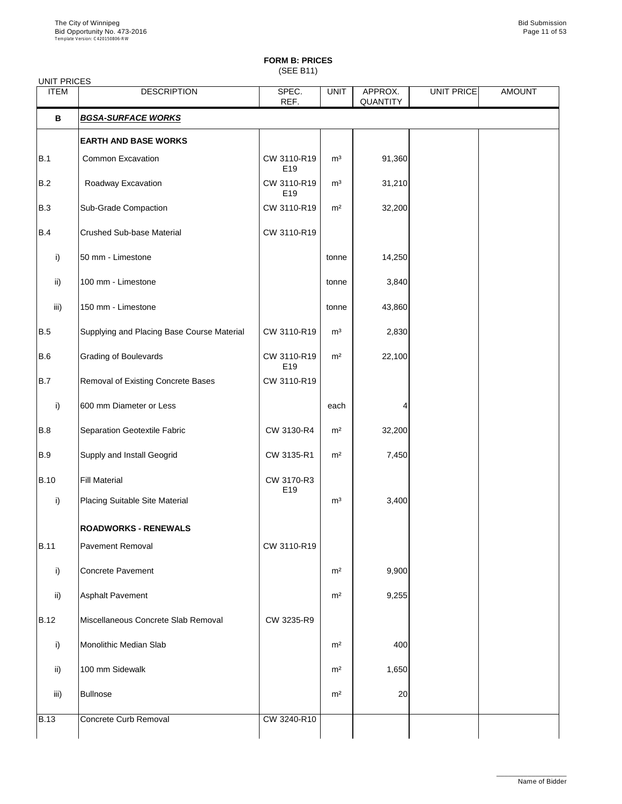(SEE B11)

| <b>UNIT PRICES</b> |                                            |                                |                |                            |            |               |
|--------------------|--------------------------------------------|--------------------------------|----------------|----------------------------|------------|---------------|
| <b>ITEM</b>        | <b>DESCRIPTION</b>                         | SPEC.<br>REF.                  | <b>UNIT</b>    | APPROX.<br><b>QUANTITY</b> | UNIT PRICE | <b>AMOUNT</b> |
| B                  | <b>BGSA-SURFACE WORKS</b>                  |                                |                |                            |            |               |
|                    | <b>EARTH AND BASE WORKS</b>                |                                |                |                            |            |               |
| B.1                | <b>Common Excavation</b>                   | CW 3110-R19<br>E <sub>19</sub> | m <sup>3</sup> | 91,360                     |            |               |
| B.2                | Roadway Excavation                         | CW 3110-R19<br>E19             | m <sup>3</sup> | 31,210                     |            |               |
| B.3                | <b>Sub-Grade Compaction</b>                | CW 3110-R19                    | m <sup>2</sup> | 32,200                     |            |               |
| B.4                | <b>Crushed Sub-base Material</b>           | CW 3110-R19                    |                |                            |            |               |
| i)                 | 50 mm - Limestone                          |                                | tonne          | 14,250                     |            |               |
| $\mathsf{ii}$      | 100 mm - Limestone                         |                                | tonne          | 3,840                      |            |               |
| iii)               | 150 mm - Limestone                         |                                | tonne          | 43,860                     |            |               |
| B.5                | Supplying and Placing Base Course Material | CW 3110-R19                    | m <sup>3</sup> | 2,830                      |            |               |
| B.6                | <b>Grading of Boulevards</b>               | CW 3110-R19<br>E19             | m <sup>2</sup> | 22,100                     |            |               |
| B.7                | <b>Removal of Existing Concrete Bases</b>  | CW 3110-R19                    |                |                            |            |               |
| $\mathsf{i}$       | 600 mm Diameter or Less                    |                                | each           | 4                          |            |               |
| B.8                | Separation Geotextile Fabric               | CW 3130-R4                     | m <sup>2</sup> | 32,200                     |            |               |
| B.9                | <b>Supply and Install Geogrid</b>          | CW 3135-R1                     | m <sup>2</sup> | 7,450                      |            |               |
| <b>B.10</b>        | <b>Fill Material</b>                       | CW 3170-R3<br>E19              |                |                            |            |               |
| i)                 | <b>Placing Suitable Site Material</b>      |                                | m <sup>3</sup> | 3,400                      |            |               |
|                    | <b>ROADWORKS - RENEWALS</b>                |                                |                |                            |            |               |
| <b>B.11</b>        | <b>Pavement Removal</b>                    | CW 3110-R19                    |                |                            |            |               |
| i)                 | <b>Concrete Pavement</b>                   |                                | m <sup>2</sup> | 9,900                      |            |               |
| ii)                | <b>Asphalt Pavement</b>                    |                                | m <sup>2</sup> | 9,255                      |            |               |
| <b>IR 12</b>       | Miscellaneous Concrete Slab Removal        | CW 3235-R9                     |                |                            |            |               |

| <b>B.12</b> | Miscellaneous Concrete Slab Removal | CW 3235-R9  |                |       |  |
|-------------|-------------------------------------|-------------|----------------|-------|--|
| i)          | Monolithic Median Slab              |             | m <sup>2</sup> | 400   |  |
| ii)         | 100 mm Sidewalk                     |             | m <sup>2</sup> | 1,650 |  |
| iii)        | <b>Bullnose</b>                     |             | m <sup>2</sup> | 20    |  |
| <b>B.13</b> | Concrete Curb Removal               | CW 3240-R10 |                |       |  |

\_\_\_\_\_\_\_\_\_\_\_\_\_\_\_\_\_\_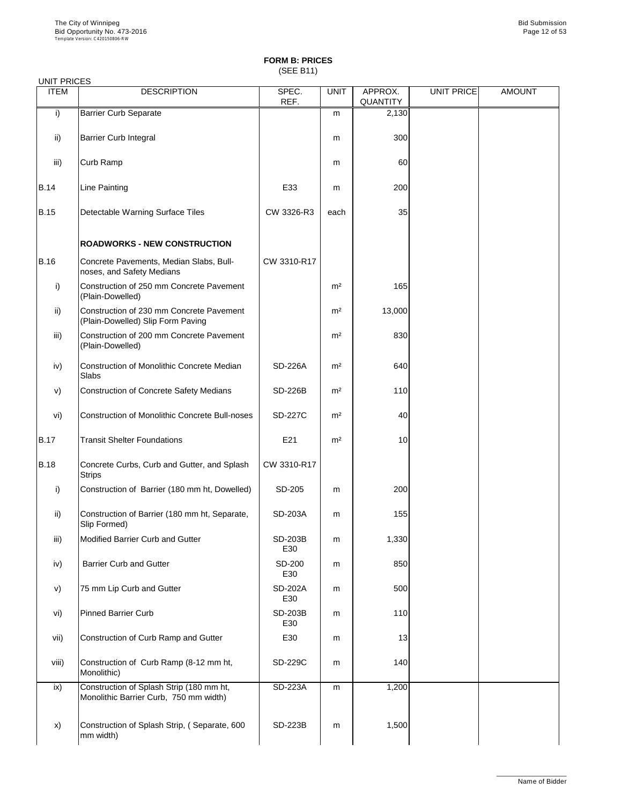(SEE B11)

| <b>UNIT PRICES</b> |                                                                               |                       |                |                            |                   |               |
|--------------------|-------------------------------------------------------------------------------|-----------------------|----------------|----------------------------|-------------------|---------------|
| <b>ITEM</b>        | <b>DESCRIPTION</b>                                                            | SPEC.<br>REF.         | <b>UNIT</b>    | APPROX.<br><b>QUANTITY</b> | <b>UNIT PRICE</b> | <b>AMOUNT</b> |
| $\mathsf{i}$       | <b>Barrier Curb Separate</b>                                                  |                       | m              | 2,130                      |                   |               |
| $\mathsf{ii}$      | <b>Barrier Curb Integral</b>                                                  |                       | m              | 300                        |                   |               |
| iii)               | <b>Curb Ramp</b>                                                              |                       | m              | 60                         |                   |               |
| <b>B.14</b>        | <b>Line Painting</b>                                                          | E33                   | m              | 200                        |                   |               |
| <b>B.15</b>        | <b>Detectable Warning Surface Tiles</b>                                       | CW 3326-R3            | each           | 35                         |                   |               |
|                    | <b>ROADWORKS - NEW CONSTRUCTION</b>                                           |                       |                |                            |                   |               |
| <b>B.16</b>        | Concrete Pavements, Median Slabs, Bull-<br>noses, and Safety Medians          | CW 3310-R17           |                |                            |                   |               |
| $\mathsf{i}$       | Construction of 250 mm Concrete Pavement<br>(Plain-Dowelled)                  |                       | m <sup>2</sup> | 165                        |                   |               |
| $\mathsf{ii}$      | Construction of 230 mm Concrete Pavement<br>(Plain-Dowelled) Slip Form Paving |                       | m <sup>2</sup> | 13,000                     |                   |               |
| iii)               | Construction of 200 mm Concrete Pavement<br>(Plain-Dowelled)                  |                       | m <sup>2</sup> | 830                        |                   |               |
| iv)                | <b>Construction of Monolithic Concrete Median</b><br><b>Slabs</b>             | <b>SD-226A</b>        | m <sup>2</sup> | 640                        |                   |               |
| V)                 | <b>Construction of Concrete Safety Medians</b>                                | <b>SD-226B</b>        | m <sup>2</sup> | 110                        |                   |               |
| vi)                | <b>Construction of Monolithic Concrete Bull-noses</b>                         | <b>SD-227C</b>        | m <sup>2</sup> | 40                         |                   |               |
| <b>B.17</b>        | <b>Transit Shelter Foundations</b>                                            | E21                   | m <sup>2</sup> | 10                         |                   |               |
| <b>B.18</b>        | Concrete Curbs, Curb and Gutter, and Splash<br><b>Strips</b>                  | CW 3310-R17           |                |                            |                   |               |
| $\mathsf{i}$       | Construction of Barrier (180 mm ht, Dowelled)                                 | SD-205                | m              | 200                        |                   |               |
| $\mathsf{ii}$      | Construction of Barrier (180 mm ht, Separate,<br>Slip Formed)                 | <b>SD-203A</b>        | m              | 155                        |                   |               |
| iii)               | <b>Modified Barrier Curb and Gutter</b>                                       | <b>SD-203B</b><br>E30 | m              | 1,330                      |                   |               |
| iv)                | <b>Barrier Curb and Gutter</b>                                                | <b>SD-200</b><br>E30  | m              | 850                        |                   |               |
| V)                 | 75 mm Lip Curb and Gutter                                                     | <b>SD-202A</b><br>E30 | m              | 500                        |                   |               |
| vi)                | <b>Pinned Barrier Curb</b>                                                    | <b>SD-203B</b>        | m              | 110                        |                   |               |

| VI)   | Plined Barner Curp                                                                 | SD-203B<br>E30 | m | ाण    |  |  |
|-------|------------------------------------------------------------------------------------|----------------|---|-------|--|--|
| vii)  | Construction of Curb Ramp and Gutter                                               | E30            | m | 13    |  |  |
| viii) | Construction of Curb Ramp (8-12 mm ht,<br>Monolithic)                              | SD-229C        | m | 140   |  |  |
| ix)   | Construction of Splash Strip (180 mm ht,<br>Monolithic Barrier Curb, 750 mm width) | <b>SD-223A</b> | m | 1,200 |  |  |
| X)    | Construction of Splash Strip, (Separate, 600<br>mm width)                          | <b>SD-223B</b> | m | 1,500 |  |  |

\_\_\_\_\_\_\_\_\_\_\_\_\_\_\_\_\_\_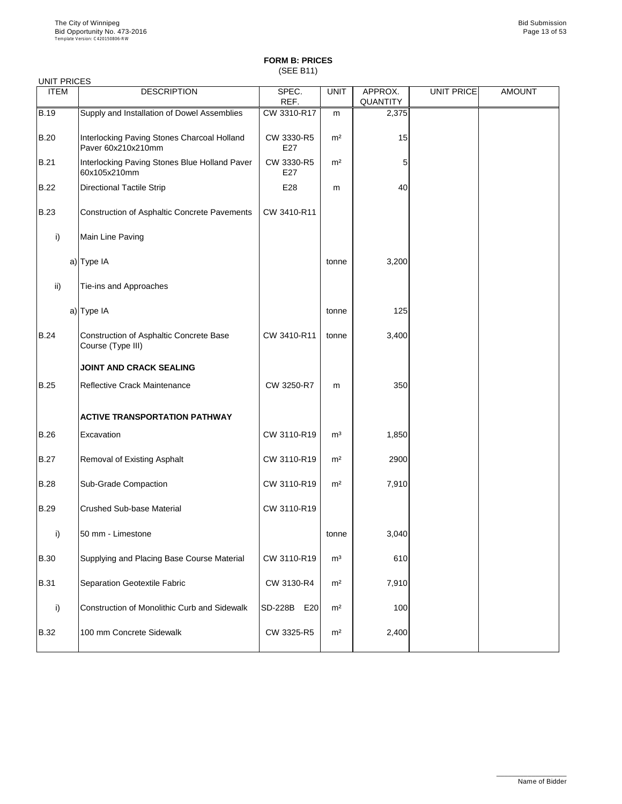(SEE B11)

| <b>UNIT PRICES</b> |                                                                   |                       |                |                            |                   |               |
|--------------------|-------------------------------------------------------------------|-----------------------|----------------|----------------------------|-------------------|---------------|
| <b>ITEM</b>        | <b>DESCRIPTION</b>                                                | SPEC.<br>REF.         | <b>UNIT</b>    | APPROX.<br><b>QUANTITY</b> | <b>UNIT PRICE</b> | <b>AMOUNT</b> |
| <b>B.19</b>        | Supply and Installation of Dowel Assemblies                       | CW 3310-R17           | m              | 2,375                      |                   |               |
| <b>B.20</b>        | Interlocking Paving Stones Charcoal Holland<br>Paver 60x210x210mm | CW 3330-R5<br>E27     | m <sup>2</sup> | 15                         |                   |               |
| <b>B.21</b>        | Interlocking Paving Stones Blue Holland Paver<br>60x105x210mm     | CW 3330-R5<br>E27     | m <sup>2</sup> | 5                          |                   |               |
| <b>B.22</b>        | <b>Directional Tactile Strip</b>                                  | E28                   | m              | 40                         |                   |               |
| <b>B.23</b>        | <b>Construction of Asphaltic Concrete Pavements</b>               | CW 3410-R11           |                |                            |                   |               |
| i)                 | Main Line Paving                                                  |                       |                |                            |                   |               |
|                    | a) Type IA                                                        |                       | tonne          | 3,200                      |                   |               |
| $\mathsf{ii}$ )    | Tie-ins and Approaches                                            |                       |                |                            |                   |               |
|                    | a) Type IA                                                        |                       | tonne          | 125                        |                   |               |
| <b>B.24</b>        | Construction of Asphaltic Concrete Base<br>Course (Type III)      | CW 3410-R11           | tonne          | 3,400                      |                   |               |
|                    | JOINT AND CRACK SEALING                                           |                       |                |                            |                   |               |
| <b>B.25</b>        | <b>Reflective Crack Maintenance</b>                               | CW 3250-R7            | m              | 350                        |                   |               |
|                    | <b>ACTIVE TRANSPORTATION PATHWAY</b>                              |                       |                |                            |                   |               |
| <b>B.26</b>        | Excavation                                                        | CW 3110-R19           | m <sup>3</sup> | 1,850                      |                   |               |
| <b>B.27</b>        | <b>Removal of Existing Asphalt</b>                                | CW 3110-R19           | m <sup>2</sup> | 2900                       |                   |               |
| <b>B.28</b>        | <b>Sub-Grade Compaction</b>                                       | CW 3110-R19           | m <sup>2</sup> | 7,910                      |                   |               |
| B.29               | <b>Crushed Sub-base Material</b>                                  | CW 3110-R19           |                |                            |                   |               |
| i)                 | 50 mm - Limestone                                                 |                       | tonne          | 3,040                      |                   |               |
| <b>B.30</b>        | Supplying and Placing Base Course Material                        | CW 3110-R19           | m <sup>3</sup> | 610                        |                   |               |
| <b>B.31</b>        | Separation Geotextile Fabric                                      | CW 3130-R4            | m <sup>2</sup> | 7,910                      |                   |               |
| i)                 | Construction of Monolithic Curb and Sidewalk                      | <b>SD-228B</b><br>E20 | m <sup>2</sup> | 100                        |                   |               |

|             | <u>TOUTSUUCUUT OF MUTUINING OUID AND ONEWAIN</u> | 10D-220D<br>∟∠∪⊥ | -----          | וטטו  |  |
|-------------|--------------------------------------------------|------------------|----------------|-------|--|
| <b>B.32</b> | 100 mm Concrete Sidewalk                         | CW 3325-R5       | m <sup>2</sup> | 2,400 |  |
|             |                                                  |                  |                |       |  |

\_\_\_\_\_\_\_\_\_\_\_\_\_\_\_\_\_\_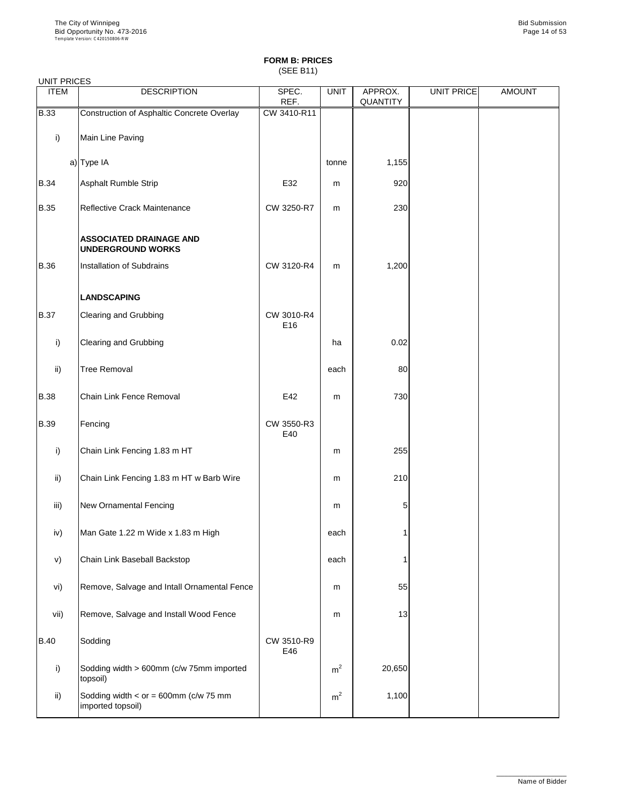(SEE B11)

| <b>UNIT PRICES</b> |                                                            |                   |             |                            |            |               |
|--------------------|------------------------------------------------------------|-------------------|-------------|----------------------------|------------|---------------|
| <b>ITEM</b>        | <b>DESCRIPTION</b>                                         | SPEC.<br>REF.     | <b>UNIT</b> | APPROX.<br><b>QUANTITY</b> | UNIT PRICE | <b>AMOUNT</b> |
| <b>B.33</b>        | Construction of Asphaltic Concrete Overlay                 | CW 3410-R11       |             |                            |            |               |
| i)                 | Main Line Paving                                           |                   |             |                            |            |               |
|                    | a) Type IA                                                 |                   | tonne       | 1,155                      |            |               |
| <b>B.34</b>        | <b>Asphalt Rumble Strip</b>                                | E32               | m           | 920                        |            |               |
| <b>B.35</b>        | Reflective Crack Maintenance                               | CW 3250-R7        | m           | 230                        |            |               |
|                    | <b>ASSOCIATED DRAINAGE AND</b><br><b>UNDERGROUND WORKS</b> |                   |             |                            |            |               |
| <b>B.36</b>        | Installation of Subdrains                                  | CW 3120-R4        | m           | 1,200                      |            |               |
|                    | <b>LANDSCAPING</b>                                         |                   |             |                            |            |               |
| <b>B.37</b>        | <b>Clearing and Grubbing</b>                               | CW 3010-R4<br>E16 |             |                            |            |               |
| i)                 | <b>Clearing and Grubbing</b>                               |                   | ha          | 0.02                       |            |               |
| ii)                | <b>Tree Removal</b>                                        |                   | each        | 80                         |            |               |
| <b>B.38</b>        | <b>Chain Link Fence Removal</b>                            | E42               | m           | 730                        |            |               |
| <b>B.39</b>        | Fencing                                                    | CW 3550-R3<br>E40 |             |                            |            |               |
| i)                 | Chain Link Fencing 1.83 m HT                               |                   | m           | 255                        |            |               |
| ii)                | Chain Link Fencing 1.83 m HT w Barb Wire                   |                   | m           | 210                        |            |               |
| iii)               | <b>New Ornamental Fencing</b>                              |                   | m           | 5                          |            |               |
| iv)                | Man Gate 1.22 m Wide x 1.83 m High                         |                   | each        |                            |            |               |
| V)                 | Chain Link Baseball Backstop                               |                   | each        |                            |            |               |
| vi)                | Remove, Salvage and Intall Ornamental Fence                |                   | m           | 55                         |            |               |
| w۳۱                | Bomove, Colvege and Install Wood Fence                     |                   |             |                            |            |               |

| vii)        | Remove, Salvage and Install Wood Fence                       |                   | m              | 13     |  |
|-------------|--------------------------------------------------------------|-------------------|----------------|--------|--|
| <b>B.40</b> | Sodding                                                      | CW 3510-R9<br>E46 |                |        |  |
| i)          | Sodding width > 600mm (c/w 75mm imported<br>topsoil)         |                   | m <sup>2</sup> | 20,650 |  |
| ii)         | Sodding width $<$ or = 600mm (c/w 75 mm<br>imported topsoil) |                   | m <sup>2</sup> | 1,100  |  |

\_\_\_\_\_\_\_\_\_\_\_\_\_\_\_\_\_\_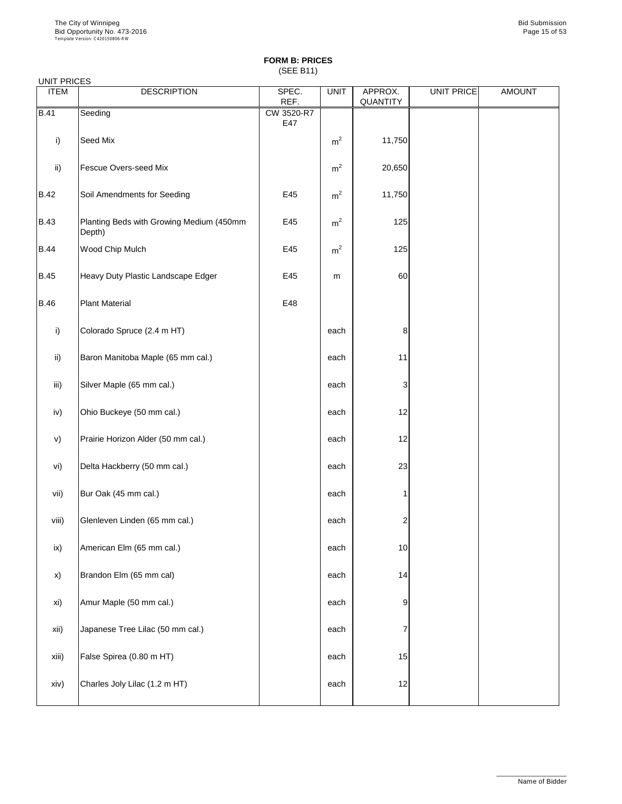(SEE B11)

|                 | <b>UNIT PRICES</b>                                 |                   |                |                            |                   |               |  |  |  |
|-----------------|----------------------------------------------------|-------------------|----------------|----------------------------|-------------------|---------------|--|--|--|
| <b>ITEM</b>     | <b>DESCRIPTION</b>                                 | SPEC.<br>REF.     | <b>UNIT</b>    | APPROX.<br><b>QUANTITY</b> | <b>UNIT PRICE</b> | <b>AMOUNT</b> |  |  |  |
| <b>B.41</b>     | Seeding                                            | CW 3520-R7<br>E47 |                |                            |                   |               |  |  |  |
| i)              | Seed Mix                                           |                   | m <sup>2</sup> | 11,750                     |                   |               |  |  |  |
| ii)             | <b>Fescue Overs-seed Mix</b>                       |                   | m <sup>2</sup> | 20,650                     |                   |               |  |  |  |
| <b>B.42</b>     | Soil Amendments for Seeding                        | E45               | m <sup>2</sup> | 11,750                     |                   |               |  |  |  |
| <b>B.43</b>     | Planting Beds with Growing Medium (450mm<br>Depth) | E45               | m <sup>2</sup> | 125                        |                   |               |  |  |  |
| <b>B.44</b>     | Wood Chip Mulch                                    | E45               | m <sup>2</sup> | 125                        |                   |               |  |  |  |
| <b>B.45</b>     | Heavy Duty Plastic Landscape Edger                 | E45               | m              | 60                         |                   |               |  |  |  |
| <b>B.46</b>     | <b>Plant Material</b>                              | E48               |                |                            |                   |               |  |  |  |
| i)              | Colorado Spruce (2.4 m HT)                         |                   | each           | 8                          |                   |               |  |  |  |
| $\mathsf{ii}$ ) | Baron Manitoba Maple (65 mm cal.)                  |                   | each           | 11                         |                   |               |  |  |  |
| iii)            | Silver Maple (65 mm cal.)                          |                   | each           | 3                          |                   |               |  |  |  |
| iv)             | Ohio Buckeye (50 mm cal.)                          |                   | each           | 12                         |                   |               |  |  |  |
| V)              | Prairie Horizon Alder (50 mm cal.)                 |                   | each           | 12                         |                   |               |  |  |  |
| vi)             | Delta Hackberry (50 mm cal.)                       |                   | each           | 23                         |                   |               |  |  |  |
| vii)            | Bur Oak (45 mm cal.)                               |                   | each           |                            |                   |               |  |  |  |
| viii)           | Glenleven Linden (65 mm cal.)                      |                   | each           | 2                          |                   |               |  |  |  |
| ix)             | American Elm (65 mm cal.)                          |                   | each           | 10                         |                   |               |  |  |  |
| X)              | Brandon Elm (65 mm cal)                            |                   | each           | 14                         |                   |               |  |  |  |
| xi)             | Amur Maple (50 mm cal.)                            |                   | each           | 9                          |                   |               |  |  |  |
|                 |                                                    |                   |                |                            |                   |               |  |  |  |

| xii)  | Japanese Tree Lilac (50 mm cal.) | each |                 |  |
|-------|----------------------------------|------|-----------------|--|
| xiii) | False Spirea (0.80 m HT)         | each | 15 <sub>l</sub> |  |
| xiv)  | Charles Joly Lilac (1.2 m HT)    | each | 12              |  |

\_\_\_\_\_\_\_\_\_\_\_\_\_\_\_\_\_\_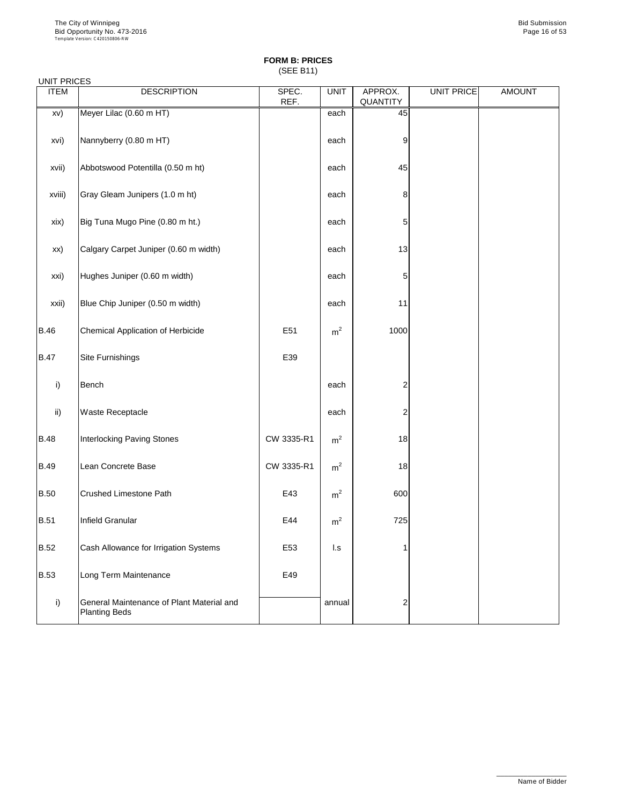(SEE B11)

### UNIT PRICES

| <b>ITEM</b>   | <b>DESCRIPTION</b>                                                | SPEC.<br>REF. | <b>UNIT</b>    | APPROX.<br><b>QUANTITY</b> | UNIT PRICE | <b>AMOUNT</b> |
|---------------|-------------------------------------------------------------------|---------------|----------------|----------------------------|------------|---------------|
| XV)           | Meyer Lilac (0.60 m HT)                                           |               | each           | 45                         |            |               |
| xvi)          | Nannyberry (0.80 m HT)                                            |               | each           | $\boldsymbol{9}$           |            |               |
| xvii)         | Abbotswood Potentilla (0.50 m ht)                                 |               | each           | 45                         |            |               |
| xviii)        | Gray Gleam Junipers (1.0 m ht)                                    |               | each           | $\,8\,$                    |            |               |
| xix)          | Big Tuna Mugo Pine (0.80 m ht.)                                   |               | each           | 5                          |            |               |
| xx)           | Calgary Carpet Juniper (0.60 m width)                             |               | each           | 13                         |            |               |
| xxi)          | Hughes Juniper (0.60 m width)                                     |               | each           | 5                          |            |               |
| xxii)         | Blue Chip Juniper (0.50 m width)                                  |               | each           | 11                         |            |               |
| <b>B.46</b>   | <b>Chemical Application of Herbicide</b>                          | E51           | m <sup>2</sup> | 1000                       |            |               |
| <b>B.47</b>   | <b>Site Furnishings</b>                                           | E39           |                |                            |            |               |
| i)            | <b>Bench</b>                                                      |               | each           | $\overline{c}$             |            |               |
| $\mathsf{ii}$ | <b>Waste Receptacle</b>                                           |               | each           | $\overline{2}$             |            |               |
| <b>B.48</b>   | <b>Interlocking Paving Stones</b>                                 | CW 3335-R1    | m <sup>2</sup> | 18                         |            |               |
| <b>B.49</b>   | Lean Concrete Base                                                | CW 3335-R1    | m <sup>2</sup> | 18                         |            |               |
| <b>B.50</b>   | <b>Crushed Limestone Path</b>                                     | E43           | m <sup>2</sup> | 600                        |            |               |
| <b>B.51</b>   | Infield Granular                                                  | E44           | m <sup>2</sup> | 725                        |            |               |
| <b>B.52</b>   | Cash Allowance for Irrigation Systems                             | E53           | $\mathsf{L}$ s |                            |            |               |
| <b>B.53</b>   | Long Term Maintenance                                             | E49           |                |                            |            |               |
| i)            | General Maintenance of Plant Material and<br><b>Planting Beds</b> |               | annual         | $\overline{2}$             |            |               |

\_\_\_\_\_\_\_\_\_\_\_\_\_\_\_\_\_\_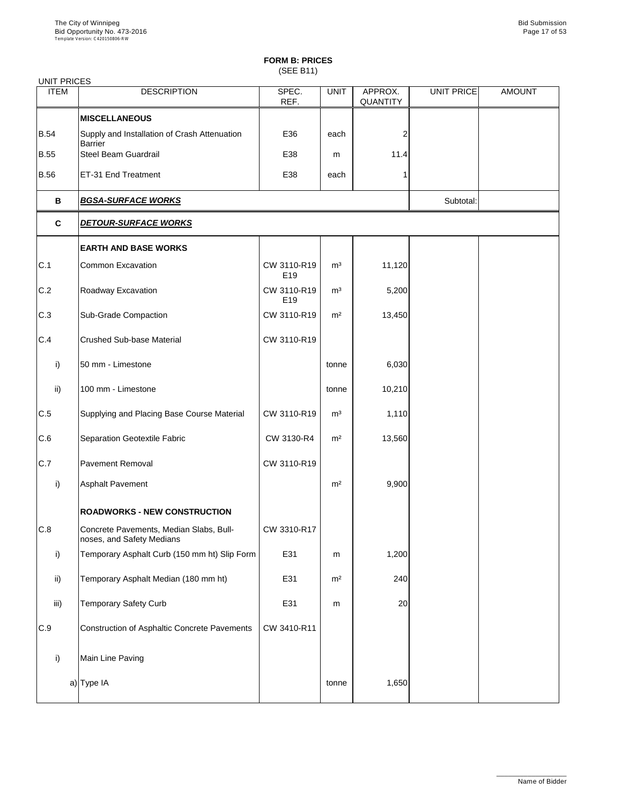(SEE B11)

| <b>UNIT PRICES</b> |                                                                      |                                |                |                            |            |               |
|--------------------|----------------------------------------------------------------------|--------------------------------|----------------|----------------------------|------------|---------------|
| <b>ITEM</b>        | <b>DESCRIPTION</b>                                                   | SPEC.<br>REF.                  | <b>UNIT</b>    | APPROX.<br><b>QUANTITY</b> | UNIT PRICE | <b>AMOUNT</b> |
|                    | <b>MISCELLANEOUS</b>                                                 |                                |                |                            |            |               |
| <b>B.54</b>        | Supply and Installation of Crash Attenuation<br><b>Barrier</b>       | E36                            | each           | 2                          |            |               |
| <b>B.55</b>        | <b>Steel Beam Guardrail</b>                                          | E38                            | m              | 11.4                       |            |               |
| <b>B.56</b>        | ET-31 End Treatment                                                  | E38                            | each           |                            |            |               |
| B                  | <b>BGSA-SURFACE WORKS</b>                                            |                                |                |                            | Subtotal:  |               |
| $\mathbf{C}$       | <b>DETOUR-SURFACE WORKS</b>                                          |                                |                |                            |            |               |
|                    | <b>EARTH AND BASE WORKS</b>                                          |                                |                |                            |            |               |
| C.1                | <b>Common Excavation</b>                                             | CW 3110-R19<br>E <sub>19</sub> | m <sup>3</sup> | 11,120                     |            |               |
| C.2                | Roadway Excavation                                                   | CW 3110-R19<br>E <sub>19</sub> | m <sup>3</sup> | 5,200                      |            |               |
| C.3                | <b>Sub-Grade Compaction</b>                                          | CW 3110-R19                    | m <sup>2</sup> | 13,450                     |            |               |
| C.4                | <b>Crushed Sub-base Material</b>                                     | CW 3110-R19                    |                |                            |            |               |
| i)                 | 50 mm - Limestone                                                    |                                | tonne          | 6,030                      |            |               |
| $\mathsf{ii}$ )    | 100 mm - Limestone                                                   |                                | tonne          | 10,210                     |            |               |
| C.5                | Supplying and Placing Base Course Material                           | CW 3110-R19                    | m <sup>3</sup> | 1,110                      |            |               |
| C.6                | <b>Separation Geotextile Fabric</b>                                  | CW 3130-R4                     | m <sup>2</sup> | 13,560                     |            |               |
| C.7                | <b>Pavement Removal</b>                                              | CW 3110-R19                    |                |                            |            |               |
| i)                 | <b>Asphalt Pavement</b>                                              |                                | m <sup>2</sup> | 9,900                      |            |               |
|                    | <b>ROADWORKS - NEW CONSTRUCTION</b>                                  |                                |                |                            |            |               |
| C.8                | Concrete Pavements, Median Slabs, Bull-<br>noses, and Safety Medians | CW 3310-R17                    |                |                            |            |               |
| i)                 | Temporary Asphalt Curb (150 mm ht) Slip Form                         | E31                            | m              | 1,200                      |            |               |
| $\mathsf{ii}$      | Temporary Asphalt Median (180 mm ht)                                 | E31                            | m <sup>2</sup> | 240                        |            |               |
| iii)               | <b>Temporary Safety Curb</b>                                         | E31                            | m              | 20                         |            |               |

| C.9 | Construction of Asphaltic Concrete Pavements | CW 3410-R11 |       |       |  |
|-----|----------------------------------------------|-------------|-------|-------|--|
|     | Main Line Paving                             |             |       |       |  |
|     | a) Type IA                                   |             | tonne | 1,650 |  |

\_\_\_\_\_\_\_\_\_\_\_\_\_\_\_\_\_\_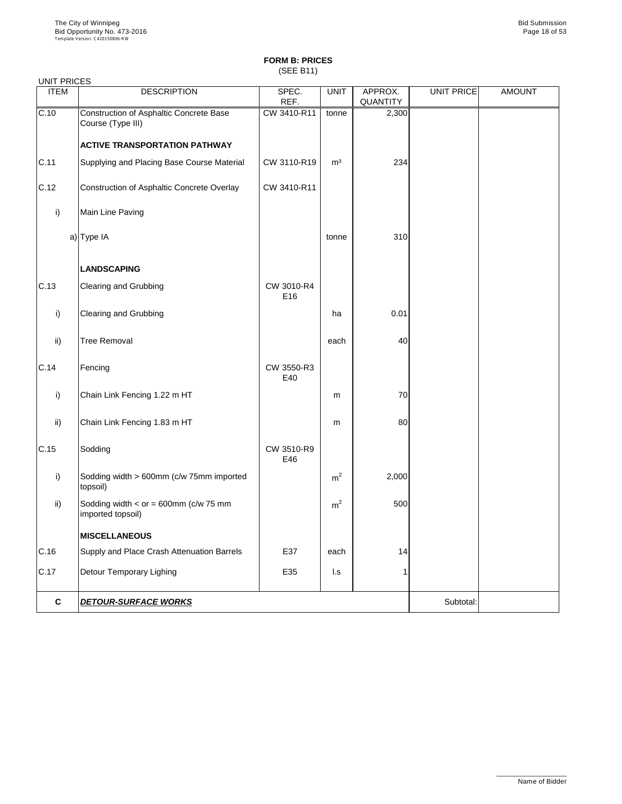## **FORM B: PRICES** (SEE B11)

| <b>UNIT PRICES</b> |                                                              | -- - -            |                |                 |                   |               |
|--------------------|--------------------------------------------------------------|-------------------|----------------|-----------------|-------------------|---------------|
| <b>ITEM</b>        | <b>DESCRIPTION</b>                                           | SPEC.             | <b>UNIT</b>    | APPROX.         | <b>UNIT PRICE</b> | <b>AMOUNT</b> |
|                    |                                                              | REF.              |                | <b>QUANTITY</b> |                   |               |
| C.10               | Construction of Asphaltic Concrete Base<br>Course (Type III) | CW 3410-R11       | tonne          | 2,300           |                   |               |
|                    | <b>ACTIVE TRANSPORTATION PATHWAY</b>                         |                   |                |                 |                   |               |
| C.11               | Supplying and Placing Base Course Material                   | CW 3110-R19       | m <sup>3</sup> | 234             |                   |               |
| C.12               | Construction of Asphaltic Concrete Overlay                   | CW 3410-R11       |                |                 |                   |               |
| i)                 | Main Line Paving                                             |                   |                |                 |                   |               |
|                    | a) Type IA                                                   |                   | tonne          | 310             |                   |               |
|                    | <b>LANDSCAPING</b>                                           |                   |                |                 |                   |               |
| C.13               | <b>Clearing and Grubbing</b>                                 | CW 3010-R4<br>E16 |                |                 |                   |               |
| i)                 | <b>Clearing and Grubbing</b>                                 |                   | ha             | 0.01            |                   |               |
| $\mathsf{ii}$      | <b>Tree Removal</b>                                          |                   | each           | 40              |                   |               |
| C.14               | Fencing                                                      | CW 3550-R3<br>E40 |                |                 |                   |               |
| i)                 | Chain Link Fencing 1.22 m HT                                 |                   | m              | 70              |                   |               |
| $\mathsf{ii}$      | Chain Link Fencing 1.83 m HT                                 |                   | m              | 80              |                   |               |
| C.15               | Sodding                                                      | CW 3510-R9<br>E46 |                |                 |                   |               |
| i)                 | Sodding width > 600mm (c/w 75mm imported<br>topsoil)         |                   | m <sup>2</sup> | 2,000           |                   |               |
| $\mathsf{ii}$      | Sodding width $<$ or = 600mm (c/w 75 mm<br>imported topsoil) |                   | m <sup>2</sup> | 500             |                   |               |
|                    | <b>MISCELLANEOUS</b>                                         |                   |                |                 |                   |               |
| C.16               | Supply and Place Crash Attenuation Barrels                   | E37               | each           | 14              |                   |               |
| C.17               | <b>Detour Temporary Lighing</b>                              | E35               | l.s            |                 |                   |               |
| $\mathbf c$        | <b>DETOUR-SURFACE WORKS</b>                                  |                   |                |                 | Subtotal:         |               |

\_\_\_\_\_\_\_\_\_\_\_\_\_\_\_\_\_\_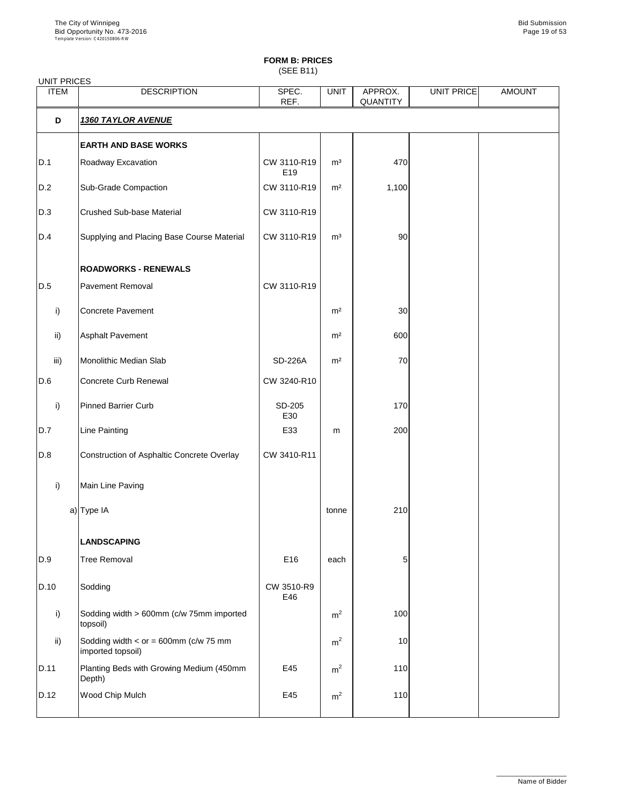(SEE B11)

|                 | <b>UNIT PRICES</b>                                |                                |                |                            |                   |               |  |  |  |  |
|-----------------|---------------------------------------------------|--------------------------------|----------------|----------------------------|-------------------|---------------|--|--|--|--|
| <b>ITEM</b>     | <b>DESCRIPTION</b>                                | SPEC.<br>REF.                  | <b>UNIT</b>    | APPROX.<br><b>QUANTITY</b> | <b>UNIT PRICE</b> | <b>AMOUNT</b> |  |  |  |  |
| D               | <b>1360 TAYLOR AVENUE</b>                         |                                |                |                            |                   |               |  |  |  |  |
|                 | <b>EARTH AND BASE WORKS</b>                       |                                |                |                            |                   |               |  |  |  |  |
| D.1             | Roadway Excavation                                | CW 3110-R19<br>E <sub>19</sub> | m <sup>3</sup> | 470                        |                   |               |  |  |  |  |
| D.2             | <b>Sub-Grade Compaction</b>                       | CW 3110-R19                    | m <sup>2</sup> | 1,100                      |                   |               |  |  |  |  |
| D.3             | <b>Crushed Sub-base Material</b>                  | CW 3110-R19                    |                |                            |                   |               |  |  |  |  |
| D.4             | Supplying and Placing Base Course Material        | CW 3110-R19                    | m <sup>3</sup> | 90                         |                   |               |  |  |  |  |
|                 | <b>ROADWORKS - RENEWALS</b>                       |                                |                |                            |                   |               |  |  |  |  |
| D.5             | <b>Pavement Removal</b>                           | CW 3110-R19                    |                |                            |                   |               |  |  |  |  |
| i)              | <b>Concrete Pavement</b>                          |                                | m <sup>2</sup> | 30                         |                   |               |  |  |  |  |
| $\mathsf{ii}$ ) | <b>Asphalt Pavement</b>                           |                                | m <sup>2</sup> | 600                        |                   |               |  |  |  |  |
| iii)            | Monolithic Median Slab                            | <b>SD-226A</b>                 | m <sup>2</sup> | 70                         |                   |               |  |  |  |  |
| D.6             | <b>Concrete Curb Renewal</b>                      | CW 3240-R10                    |                |                            |                   |               |  |  |  |  |
| i)              | <b>Pinned Barrier Curb</b>                        | SD-205<br>E30                  |                | 170                        |                   |               |  |  |  |  |
| D.7             | <b>Line Painting</b>                              | E33                            | m              | 200                        |                   |               |  |  |  |  |
| D.8             | <b>Construction of Asphaltic Concrete Overlay</b> | CW 3410-R11                    |                |                            |                   |               |  |  |  |  |
| i)              | Main Line Paving                                  |                                |                |                            |                   |               |  |  |  |  |
|                 | a) Type IA                                        |                                | tonne          | 210                        |                   |               |  |  |  |  |
|                 | <b>LANDSCAPING</b>                                |                                |                |                            |                   |               |  |  |  |  |
| D.9             | <b>Tree Removal</b>                               | E16                            | each           | 5                          |                   |               |  |  |  |  |
| D.10            | Sodding                                           | CW 3510-R9<br>E46              |                |                            |                   |               |  |  |  |  |
| i)              | Sodding width > 600mm (c/w 75mm imported          |                                | m <sup>2</sup> | 100                        |                   |               |  |  |  |  |

|       | $\sim$ Sodding width $>$ 600 $\sigma$ mm (C/w 7 3 $\sigma$ mm imported)<br>topsoil) |     | m-             | TUUT            |  |
|-------|-------------------------------------------------------------------------------------|-----|----------------|-----------------|--|
| ii)   | Sodding width $\lt$ or = 600mm (c/w 75 mm<br>imported topsoil)                      |     | m <sup>2</sup> | 10 <sup>1</sup> |  |
| ID.11 | Planting Beds with Growing Medium (450mm<br>Depth)                                  | E45 | m <sup>2</sup> | 110             |  |
| D.12  | <b>Wood Chip Mulch</b>                                                              | E45 | m <sup>2</sup> | 110             |  |
|       |                                                                                     |     |                |                 |  |

\_\_\_\_\_\_\_\_\_\_\_\_\_\_\_\_\_\_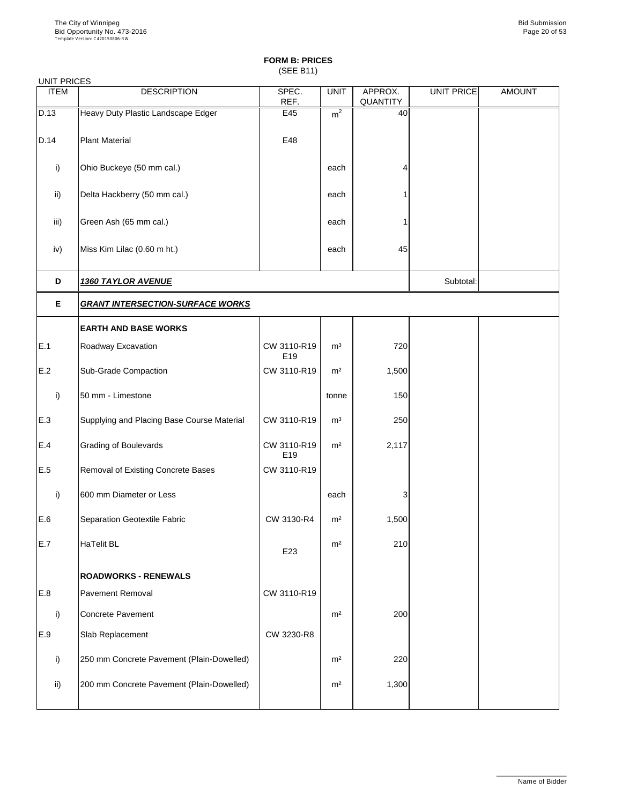(SEE B11)

UNIT PRICES

| <b>ITEM</b>  | <b>DESCRIPTION</b>                         | SPEC.<br>REF.                  | <b>UNIT</b>    | APPROX.<br><b>QUANTITY</b> | <b>UNIT PRICE</b> | <b>AMOUNT</b> |
|--------------|--------------------------------------------|--------------------------------|----------------|----------------------------|-------------------|---------------|
| D.13         | Heavy Duty Plastic Landscape Edger         | E45                            | m <sup>2</sup> | 40                         |                   |               |
| D.14         | <b>Plant Material</b>                      | E48                            |                |                            |                   |               |
| i)           | Ohio Buckeye (50 mm cal.)                  |                                | each           | 4                          |                   |               |
| ii)          | Delta Hackberry (50 mm cal.)               |                                | each           |                            |                   |               |
| iii)         | Green Ash (65 mm cal.)                     |                                | each           |                            |                   |               |
| iv)          | Miss Kim Lilac (0.60 m ht.)                |                                | each           | 45                         |                   |               |
| D            | <u>1360 TAYLOR AVENUE</u>                  |                                |                |                            | Subtotal:         |               |
| E            | <b>GRANT INTERSECTION-SURFACE WORKS</b>    |                                |                |                            |                   |               |
|              | <b>EARTH AND BASE WORKS</b>                |                                |                |                            |                   |               |
| E.1          | Roadway Excavation                         | CW 3110-R19<br>E <sub>19</sub> | m <sup>3</sup> | 720                        |                   |               |
| E.2          | <b>Sub-Grade Compaction</b>                | CW 3110-R19                    | m <sup>2</sup> | 1,500                      |                   |               |
| $\vert$ i)   | 50 mm - Limestone                          |                                | tonne          | 150                        |                   |               |
| E.3          | Supplying and Placing Base Course Material | CW 3110-R19                    | m <sup>3</sup> | 250                        |                   |               |
| E.4          | <b>Grading of Boulevards</b>               | CW 3110-R19<br>E <sub>19</sub> | m <sup>2</sup> | 2,117                      |                   |               |
| E.5          | Removal of Existing Concrete Bases         | CW 3110-R19                    |                |                            |                   |               |
| $\mathsf{i}$ | 600 mm Diameter or Less                    |                                | each           | 3                          |                   |               |
| E.6          | Separation Geotextile Fabric               | CW 3130-R4                     | m <sup>2</sup> | 1,500                      |                   |               |
| E.7          | <b>HaTelit BL</b>                          | E23                            | m <sup>2</sup> | 210                        |                   |               |
|              | <b>ROADWORKS - RENEWALS</b>                |                                |                |                            |                   |               |
| E.8          | <b>Pavement Removal</b>                    | CW 3110-R19                    |                |                            |                   |               |
| i)           | <b>Concrete Pavement</b>                   |                                | m <sup>2</sup> | 200                        |                   |               |

|     | IUUIIUIUU FAVUIIIUIII                      |            | - 11 I T       | ZUUI  |  |  |
|-----|--------------------------------------------|------------|----------------|-------|--|--|
| E.9 | <b>Slab Replacement</b>                    | CW 3230-R8 |                |       |  |  |
|     | [250 mm Concrete Pavement (Plain-Dowelled) |            | m <sup>2</sup> | 220   |  |  |
| ii) | 200 mm Concrete Pavement (Plain-Dowelled)  |            | m <sup>2</sup> | 1,300 |  |  |
|     |                                            |            |                |       |  |  |

\_\_\_\_\_\_\_\_\_\_\_\_\_\_\_\_\_\_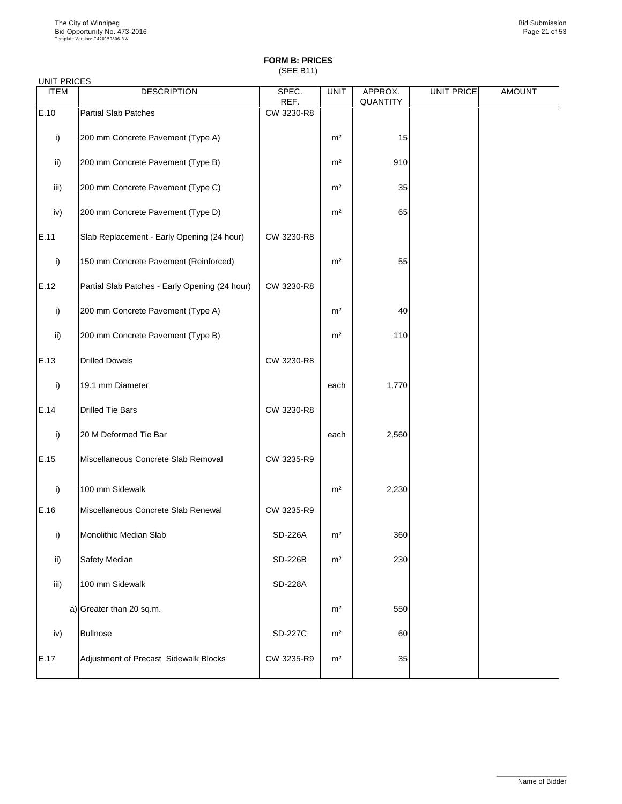(SEE B11)

| <b>UNIT PRICES</b> |                                                |                |                |                            |            |               |
|--------------------|------------------------------------------------|----------------|----------------|----------------------------|------------|---------------|
| <b>ITEM</b>        | <b>DESCRIPTION</b>                             | SPEC.<br>REF.  | <b>UNIT</b>    | APPROX.<br><b>QUANTITY</b> | UNIT PRICE | <b>AMOUNT</b> |
| E.10               | <b>Partial Slab Patches</b>                    | CW 3230-R8     |                |                            |            |               |
| i)                 | 200 mm Concrete Pavement (Type A)              |                | m <sup>2</sup> | 15                         |            |               |
| $\mathsf{ii}$ )    | 200 mm Concrete Pavement (Type B)              |                | m <sup>2</sup> | 910                        |            |               |
| iii)               | 200 mm Concrete Pavement (Type C)              |                | m <sup>2</sup> | 35                         |            |               |
| iv)                | 200 mm Concrete Pavement (Type D)              |                | m <sup>2</sup> | 65                         |            |               |
| E.11               | Slab Replacement - Early Opening (24 hour)     | CW 3230-R8     |                |                            |            |               |
| i)                 | 150 mm Concrete Pavement (Reinforced)          |                | m <sup>2</sup> | 55                         |            |               |
| E.12               | Partial Slab Patches - Early Opening (24 hour) | CW 3230-R8     |                |                            |            |               |
| i)                 | 200 mm Concrete Pavement (Type A)              |                | m <sup>2</sup> | 40                         |            |               |
| $\mathsf{ii}$      | 200 mm Concrete Pavement (Type B)              |                | m <sup>2</sup> | 110                        |            |               |
| E.13               | <b>Drilled Dowels</b>                          | CW 3230-R8     |                |                            |            |               |
| $\vert$ i)         | 19.1 mm Diameter                               |                | each           | 1,770                      |            |               |
| E.14               | <b>Drilled Tie Bars</b>                        | CW 3230-R8     |                |                            |            |               |
| i)                 | 20 M Deformed Tie Bar                          |                | each           | 2,560                      |            |               |
| E.15               | Miscellaneous Concrete Slab Removal            | CW 3235-R9     |                |                            |            |               |
| i)                 | 100 mm Sidewalk                                |                | m <sup>2</sup> | 2,230                      |            |               |
| E.16               | Miscellaneous Concrete Slab Renewal            | CW 3235-R9     |                |                            |            |               |
| i)                 | Monolithic Median Slab                         | <b>SD-226A</b> | m <sup>2</sup> | 360                        |            |               |
| $\mathsf{ii}$ )    | <b>Safety Median</b>                           | <b>SD-226B</b> | m <sup>2</sup> | 230                        |            |               |
| iii)               | 100 mm Sidewalk                                | <b>SD-228A</b> |                |                            |            |               |
|                    | a) Greater than 20 sq.m.                       |                | m <sup>2</sup> | 550                        |            |               |

|      | $\alpha$ , $\beta$ , $\alpha$ , $\alpha$ , $\alpha$ , $\beta$ , $\beta$ , $\beta$ , $\beta$ , $\beta$ , $\beta$ , $\beta$ , $\beta$ , $\beta$ , $\beta$ , $\beta$ , $\beta$ , $\beta$ , $\beta$ , $\beta$ , $\beta$ , $\beta$ , $\beta$ , $\beta$ , $\beta$ , $\beta$ , $\beta$ , $\beta$ , $\beta$ , $\beta$ , $\beta$ , $\alpha$ , $\beta$ , $\alpha$ , $\beta$ , $\alpha$ , $\beta$ , |                | .              | $\sim$ |  |
|------|------------------------------------------------------------------------------------------------------------------------------------------------------------------------------------------------------------------------------------------------------------------------------------------------------------------------------------------------------------------------------------------|----------------|----------------|--------|--|
| iv)  | Bullnose                                                                                                                                                                                                                                                                                                                                                                                 | <b>SD-227C</b> | m <sup>2</sup> | 60     |  |
| E.17 | Adjustment of Precast Sidewalk Blocks                                                                                                                                                                                                                                                                                                                                                    | CW 3235-R9     | m <sup>2</sup> | 35     |  |

\_\_\_\_\_\_\_\_\_\_\_\_\_\_\_\_\_\_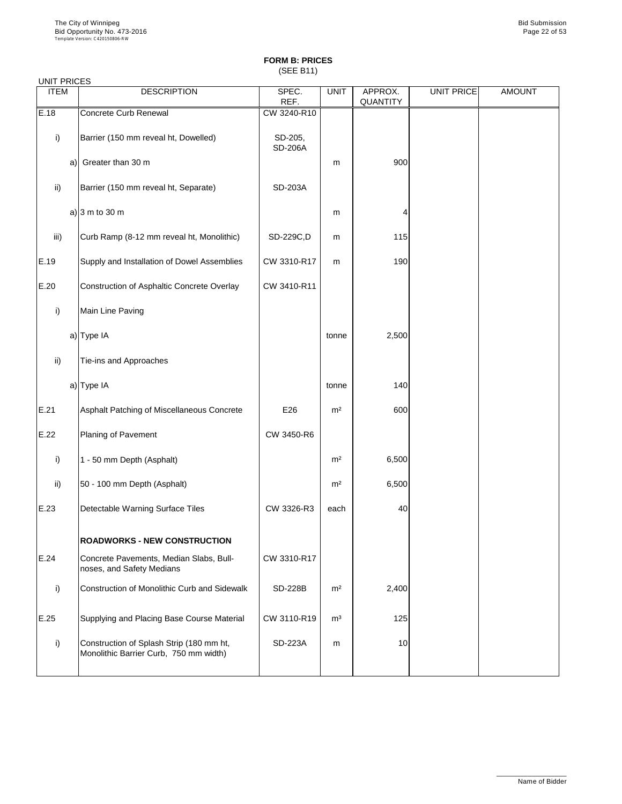(SEE B11)

| <b>UNIT PRICES</b> |                                                                      |                           |                |                            |            |               |
|--------------------|----------------------------------------------------------------------|---------------------------|----------------|----------------------------|------------|---------------|
| <b>ITEM</b>        | <b>DESCRIPTION</b>                                                   | SPEC.<br>REF.             | <b>UNIT</b>    | APPROX.<br><b>QUANTITY</b> | UNIT PRICE | <b>AMOUNT</b> |
| E.18               | <b>Concrete Curb Renewal</b>                                         | CW 3240-R10               |                |                            |            |               |
| i)                 | Barrier (150 mm reveal ht, Dowelled)                                 | SD-205,<br><b>SD-206A</b> |                |                            |            |               |
| a)                 | Greater than 30 m                                                    |                           | m              | 900                        |            |               |
| $\mathsf{ii}$ )    | Barrier (150 mm reveal ht, Separate)                                 | <b>SD-203A</b>            |                |                            |            |               |
|                    | a) $ 3 \text{ m}$ to 30 m                                            |                           | m              | 4                          |            |               |
| iii)               | Curb Ramp (8-12 mm reveal ht, Monolithic)                            | SD-229C,D                 | m              | 115                        |            |               |
| E.19               | Supply and Installation of Dowel Assemblies                          | CW 3310-R17               | m              | 190                        |            |               |
| E.20               | Construction of Asphaltic Concrete Overlay                           | CW 3410-R11               |                |                            |            |               |
| i)                 | Main Line Paving                                                     |                           |                |                            |            |               |
|                    | a) Type IA                                                           |                           | tonne          | 2,500                      |            |               |
| $\mathsf{ii}$ )    | Tie-ins and Approaches                                               |                           |                |                            |            |               |
|                    | a) Type IA                                                           |                           | tonne          | 140                        |            |               |
| E.21               | Asphalt Patching of Miscellaneous Concrete                           | E26                       | m <sup>2</sup> | 600                        |            |               |
| E.22               | <b>Planing of Pavement</b>                                           | CW 3450-R6                |                |                            |            |               |
| i)                 | 1 - 50 mm Depth (Asphalt)                                            |                           | m <sup>2</sup> | 6,500                      |            |               |
| $\mathsf{ii}$      | 50 - 100 mm Depth (Asphalt)                                          |                           | m <sup>2</sup> | 6,500                      |            |               |
| E.23               | Detectable Warning Surface Tiles                                     | CW 3326-R3                | each           | 40                         |            |               |
|                    | <b>ROADWORKS - NEW CONSTRUCTION</b>                                  |                           |                |                            |            |               |
| E.24               | Concrete Pavements, Median Slabs, Bull-<br>noses, and Safety Medians | CW 3310-R17               |                |                            |            |               |
| i)                 | <b>Construction of Monolithic Curb and Sidewalk</b>                  | <b>SD-228B</b>            | m <sup>2</sup> | 2,400                      |            |               |
| E.25               | Supplying and Placing Base Course Material                           | CW 3110-R19               | m <sup>3</sup> | 125                        |            |               |

| ___ |                                                                                    |                | - - - | ---- |  |
|-----|------------------------------------------------------------------------------------|----------------|-------|------|--|
|     | Construction of Splash Strip (180 mm ht,<br>Monolithic Barrier Curb, 750 mm width) | <b>SD-223A</b> | m     | 10   |  |
|     |                                                                                    |                |       |      |  |

\_\_\_\_\_\_\_\_\_\_\_\_\_\_\_\_\_\_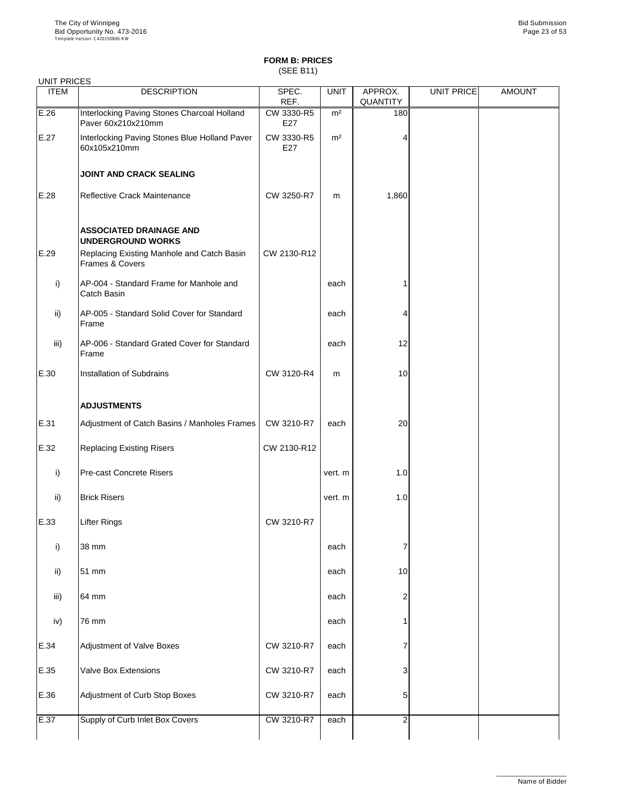(SEE B11)

| <b>UNIT PRICES</b> |                                                                          |                   |                |                            |                   |               |
|--------------------|--------------------------------------------------------------------------|-------------------|----------------|----------------------------|-------------------|---------------|
| <b>ITEM</b>        | <b>DESCRIPTION</b>                                                       | SPEC.<br>REF.     | <b>UNIT</b>    | APPROX.<br><b>QUANTITY</b> | <b>UNIT PRICE</b> | <b>AMOUNT</b> |
| E.26               | Interlocking Paving Stones Charcoal Holland<br>Paver 60x210x210mm        | CW 3330-R5<br>E27 | m <sup>2</sup> | 180                        |                   |               |
| E.27               | Interlocking Paving Stones Blue Holland Paver<br>60x105x210mm            | CW 3330-R5<br>E27 | m <sup>2</sup> |                            |                   |               |
|                    | <b>JOINT AND CRACK SEALING</b>                                           |                   |                |                            |                   |               |
| E.28               | <b>Reflective Crack Maintenance</b>                                      | CW 3250-R7        | m              | 1,860                      |                   |               |
|                    | <b>ASSOCIATED DRAINAGE AND</b><br><b>UNDERGROUND WORKS</b>               |                   |                |                            |                   |               |
| E.29               | Replacing Existing Manhole and Catch Basin<br><b>Frames &amp; Covers</b> | CW 2130-R12       |                |                            |                   |               |
| i)                 | AP-004 - Standard Frame for Manhole and<br><b>Catch Basin</b>            |                   | each           |                            |                   |               |
| ii)                | AP-005 - Standard Solid Cover for Standard<br>Frame                      |                   | each           | 4                          |                   |               |
| iii)               | AP-006 - Standard Grated Cover for Standard<br>Frame                     |                   | each           | 12                         |                   |               |
| E.30               | <b>Installation of Subdrains</b>                                         | CW 3120-R4        | m              | 10                         |                   |               |
|                    | <b>ADJUSTMENTS</b>                                                       |                   |                |                            |                   |               |
| E.31               | Adjustment of Catch Basins / Manholes Frames                             | CW 3210-R7        | each           | 20                         |                   |               |
| E.32               | <b>Replacing Existing Risers</b>                                         | CW 2130-R12       |                |                            |                   |               |
| $\mathsf{i}$       | <b>Pre-cast Concrete Risers</b>                                          |                   | vert. m        | 1.0                        |                   |               |
| $\mathsf{ii}$      | <b>Brick Risers</b>                                                      |                   | vert. m        | 1.0                        |                   |               |
| E.33               | <b>Lifter Rings</b>                                                      | CW 3210-R7        |                |                            |                   |               |
| i)                 | 38 mm                                                                    |                   | each           |                            |                   |               |
| ii)                | 51 mm                                                                    |                   | each           | 10                         |                   |               |
| iii)               | 64 mm                                                                    |                   | each           | 2                          |                   |               |
| iv)                | 76 mm                                                                    |                   | each           |                            |                   |               |
| E.34               | <b>Adjustment of Valve Boxes</b>                                         | CW 3210-R7        | each           |                            |                   |               |
| E.35               | <b>Valve Box Extensions</b>                                              | CW 3210-R7        | each           | 3                          |                   |               |
| E.36               | Adjustment of Curb Stop Boxes                                            | CW 3210-R7        | each           | 5                          |                   |               |
| E.37               | Supply of Curb Inlet Box Covers                                          | CW 3210-R7        | each           | $\overline{2}$             |                   |               |

\_\_\_\_\_\_\_\_\_\_\_\_\_\_\_\_\_\_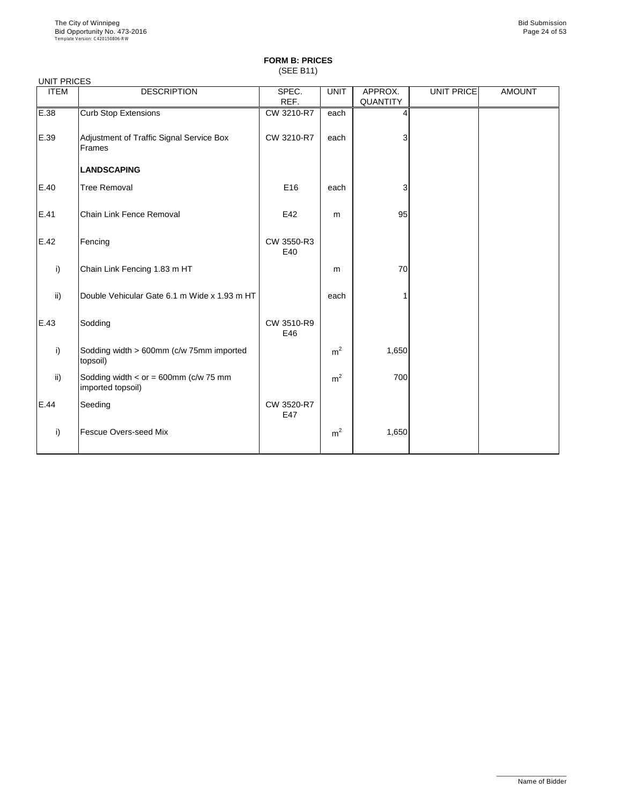## **FORM B: PRICES** (SEE B11)

| <b>UNIT PRICES</b> |                                                              |                   |                |                            |                   |               |
|--------------------|--------------------------------------------------------------|-------------------|----------------|----------------------------|-------------------|---------------|
| <b>ITEM</b>        | <b>DESCRIPTION</b>                                           | SPEC.<br>REF.     | <b>UNIT</b>    | APPROX.<br><b>QUANTITY</b> | <b>UNIT PRICE</b> | <b>AMOUNT</b> |
| E.38               | <b>Curb Stop Extensions</b>                                  | CW 3210-R7        | each           |                            |                   |               |
| E.39               | Adjustment of Traffic Signal Service Box<br>Frames           | CW 3210-R7        | each           | 3                          |                   |               |
|                    | <b>LANDSCAPING</b>                                           |                   |                |                            |                   |               |
| E.40               | <b>Tree Removal</b>                                          | E16               | each           | 3                          |                   |               |
| E.41               | <b>Chain Link Fence Removal</b>                              | E42               | m              | 95                         |                   |               |
| E.42               | Fencing                                                      | CW 3550-R3<br>E40 |                |                            |                   |               |
| i)                 | Chain Link Fencing 1.83 m HT                                 |                   | m              | 70                         |                   |               |
| ii)                | Double Vehicular Gate 6.1 m Wide x 1.93 m HT                 |                   | each           |                            |                   |               |
| E.43               | Sodding                                                      | CW 3510-R9<br>E46 |                |                            |                   |               |
| i)                 | Sodding width > 600mm (c/w 75mm imported<br>topsoil)         |                   | m <sup>2</sup> | 1,650                      |                   |               |
| ii)                | Sodding width $<$ or = 600mm (c/w 75 mm<br>imported topsoil) |                   | m <sup>2</sup> | 700                        |                   |               |
| E.44               | Seeding                                                      | CW 3520-R7<br>E47 |                |                            |                   |               |
| i)                 | <b>Fescue Overs-seed Mix</b>                                 |                   | m <sup>2</sup> | 1,650                      |                   |               |

\_\_\_\_\_\_\_\_\_\_\_\_\_\_\_\_\_\_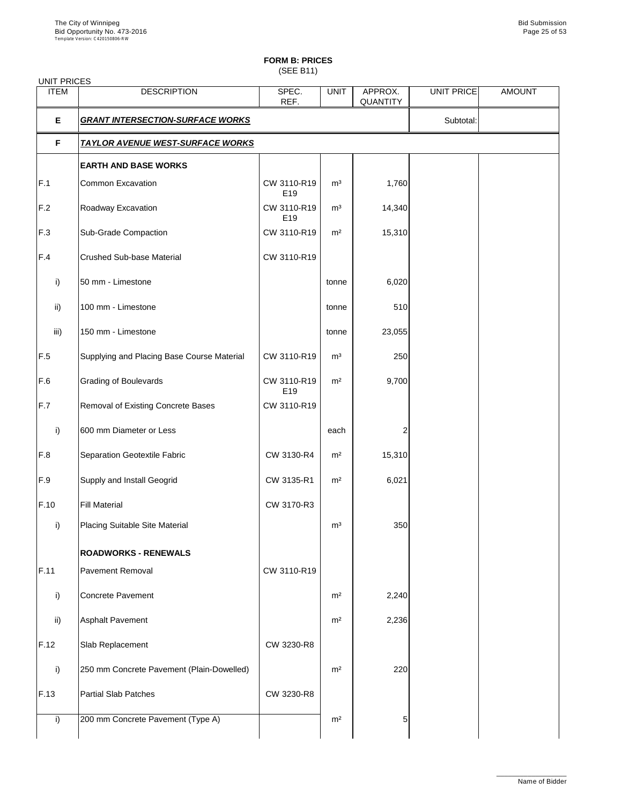(SEE B11)

| <b>UNIT PRICES</b> |                                            |                                |                |                            |                   |               |
|--------------------|--------------------------------------------|--------------------------------|----------------|----------------------------|-------------------|---------------|
| <b>ITEM</b>        | <b>DESCRIPTION</b>                         | SPEC.<br>REF.                  | <b>UNIT</b>    | APPROX.<br><b>QUANTITY</b> | <b>UNIT PRICE</b> | <b>AMOUNT</b> |
| E                  | <b>GRANT INTERSECTION-SURFACE WORKS</b>    |                                |                |                            | Subtotal:         |               |
| F                  | <u>TAYLOR AVENUE WEST-SURFACE WORKS</u>    |                                |                |                            |                   |               |
|                    | <b>EARTH AND BASE WORKS</b>                |                                |                |                            |                   |               |
| F.1                | <b>Common Excavation</b>                   | CW 3110-R19<br>E <sub>19</sub> | m <sup>3</sup> | 1,760                      |                   |               |
| F.2                | Roadway Excavation                         | CW 3110-R19<br>E <sub>19</sub> | m <sup>3</sup> | 14,340                     |                   |               |
| F.3                | <b>Sub-Grade Compaction</b>                | CW 3110-R19                    | m <sup>2</sup> | 15,310                     |                   |               |
| F.4                | <b>Crushed Sub-base Material</b>           | CW 3110-R19                    |                |                            |                   |               |
| $\mathsf{i}$       | 50 mm - Limestone                          |                                | tonne          | 6,020                      |                   |               |
| $\mathsf{ii}$      | 100 mm - Limestone                         |                                | tonne          | 510                        |                   |               |
| iii)               | 150 mm - Limestone                         |                                | tonne          | 23,055                     |                   |               |
| F.5                | Supplying and Placing Base Course Material | CW 3110-R19                    | m <sup>3</sup> | 250                        |                   |               |
| F.6                | <b>Grading of Boulevards</b>               | CW 3110-R19<br>E19             | m <sup>2</sup> | 9,700                      |                   |               |
| F.7                | <b>Removal of Existing Concrete Bases</b>  | CW 3110-R19                    |                |                            |                   |               |
| i)                 | 600 mm Diameter or Less                    |                                | each           |                            |                   |               |
| F.8                | <b>Separation Geotextile Fabric</b>        | CW 3130-R4                     | m <sup>2</sup> | 15,310                     |                   |               |
| F.9                | <b>Supply and Install Geogrid</b>          | CW 3135-R1                     | m <sup>2</sup> | 6,021                      |                   |               |
| F.10               | <b>Fill Material</b>                       | CW 3170-R3                     |                |                            |                   |               |
| i)                 | <b>Placing Suitable Site Material</b>      |                                | m <sup>3</sup> | 350                        |                   |               |
|                    | <b>ROADWORKS - RENEWALS</b>                |                                |                |                            |                   |               |
| F.11               | <b>Pavement Removal</b>                    | CW 3110-R19                    |                |                            |                   |               |
| i)                 | <b>Concrete Pavement</b>                   |                                | m <sup>2</sup> | 2,240                      |                   |               |
| $\mathsf{ii}$      | <b>Asphalt Pavement</b>                    |                                | m <sup>2</sup> | 2,236                      |                   |               |
| F.12               | Slab Replacement                           | CW 3230-R8                     |                |                            |                   |               |
| i)                 | 250 mm Concrete Pavement (Plain-Dowelled)  |                                | m <sup>2</sup> | 220                        |                   |               |
| F.13               | <b>Partial Slab Patches</b>                | CW 3230-R8                     |                |                            |                   |               |
| i)                 | 200 mm Concrete Pavement (Type A)          |                                | m <sup>2</sup> | 5                          |                   |               |
|                    |                                            |                                |                |                            |                   |               |

\_\_\_\_\_\_\_\_\_\_\_\_\_\_\_\_\_\_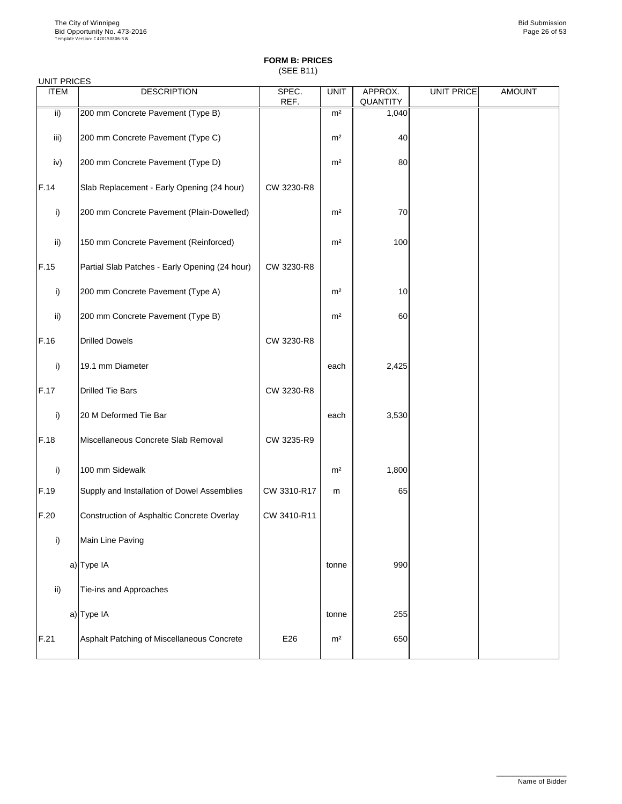(SEE B11)

| <b>ITEM</b>   | <b>DESCRIPTION</b>                                | SPEC.<br>REF. | <b>UNIT</b>    | APPROX.<br><b>QUANTITY</b> | <b>UNIT PRICE</b> | <b>AMOUNT</b> |
|---------------|---------------------------------------------------|---------------|----------------|----------------------------|-------------------|---------------|
| $\mathsf{ii}$ | 200 mm Concrete Pavement (Type B)                 |               | m <sup>2</sup> | 1,040                      |                   |               |
| iii)          | 200 mm Concrete Pavement (Type C)                 |               | m <sup>2</sup> | 40                         |                   |               |
| iv)           | 200 mm Concrete Pavement (Type D)                 |               | m <sup>2</sup> | 80                         |                   |               |
| F.14          | Slab Replacement - Early Opening (24 hour)        | CW 3230-R8    |                |                            |                   |               |
| $\mathsf{i}$  | 200 mm Concrete Pavement (Plain-Dowelled)         |               | m <sup>2</sup> | 70                         |                   |               |
| ii)           | 150 mm Concrete Pavement (Reinforced)             |               | m <sup>2</sup> | 100                        |                   |               |
| F.15          | Partial Slab Patches - Early Opening (24 hour)    | CW 3230-R8    |                |                            |                   |               |
| i)            | 200 mm Concrete Pavement (Type A)                 |               | m <sup>2</sup> | 10                         |                   |               |
| ii)           | 200 mm Concrete Pavement (Type B)                 |               | m <sup>2</sup> | 60                         |                   |               |
| F.16          | <b>Drilled Dowels</b>                             | CW 3230-R8    |                |                            |                   |               |
| i)            | 19.1 mm Diameter                                  |               | each           | 2,425                      |                   |               |
| F.17          | <b>Drilled Tie Bars</b>                           | CW 3230-R8    |                |                            |                   |               |
| i)            | 20 M Deformed Tie Bar                             |               | each           | 3,530                      |                   |               |
| F.18          | Miscellaneous Concrete Slab Removal               | CW 3235-R9    |                |                            |                   |               |
| i)            | 100 mm Sidewalk                                   |               | m <sup>2</sup> | 1,800                      |                   |               |
| F.19          | Supply and Installation of Dowel Assemblies       | CW 3310-R17   | m              | 65                         |                   |               |
| F.20          | <b>Construction of Asphaltic Concrete Overlay</b> | CW 3410-R11   |                |                            |                   |               |
| i)            | Main Line Paving                                  |               |                |                            |                   |               |
|               | a) Type IA                                        |               | tonne          | 990                        |                   |               |
| $\mathsf{ii}$ | Tie-ins and Approaches                            |               |                |                            |                   |               |
|               | a) Type IA                                        |               | tonne          | 255                        |                   |               |

|      | $a$ $\mu$ is $\mu$                         |     | <b>UUIIIIU</b> | ∠טט |  |
|------|--------------------------------------------|-----|----------------|-----|--|
| F.21 | Asphalt Patching of Miscellaneous Concrete | E26 | m <sup>2</sup> | 650 |  |

\_\_\_\_\_\_\_\_\_\_\_\_\_\_\_\_\_\_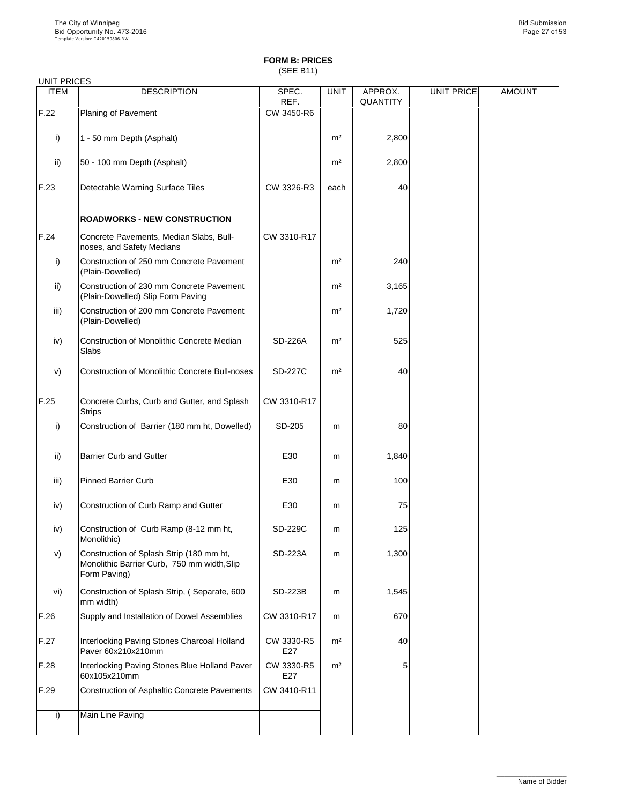(SEE B11)

### UNIT PRICES

| <b>ITEM</b>   | <b>DESCRIPTION</b>                                                                      | SPEC.          | <b>UNIT</b>    | APPROX.         | <b>UNIT PRICE</b> | <b>AMOUNT</b> |
|---------------|-----------------------------------------------------------------------------------------|----------------|----------------|-----------------|-------------------|---------------|
|               |                                                                                         | REF.           |                | <b>QUANTITY</b> |                   |               |
| F.22          | Planing of Pavement                                                                     | CW 3450-R6     |                |                 |                   |               |
|               |                                                                                         |                |                |                 |                   |               |
| $\mathsf{i}$  | 1 - 50 mm Depth (Asphalt)                                                               |                | m <sup>2</sup> | 2,800           |                   |               |
|               |                                                                                         |                |                |                 |                   |               |
| $\mathsf{ii}$ | 50 - 100 mm Depth (Asphalt)                                                             |                | m <sup>2</sup> | 2,800           |                   |               |
|               |                                                                                         |                |                |                 |                   |               |
|               |                                                                                         |                |                |                 |                   |               |
| F.23          | <b>Detectable Warning Surface Tiles</b>                                                 | CW 3326-R3     | each           | 40              |                   |               |
|               |                                                                                         |                |                |                 |                   |               |
|               | <b>ROADWORKS - NEW CONSTRUCTION</b>                                                     |                |                |                 |                   |               |
|               |                                                                                         |                |                |                 |                   |               |
| F.24          | Concrete Pavements, Median Slabs, Bull-                                                 | CW 3310-R17    |                |                 |                   |               |
|               | noses, and Safety Medians                                                               |                |                |                 |                   |               |
| $\mathsf{i}$  | Construction of 250 mm Concrete Pavement                                                |                | m <sup>2</sup> | 240             |                   |               |
|               | (Plain-Dowelled)                                                                        |                |                |                 |                   |               |
| $\mathsf{ii}$ | Construction of 230 mm Concrete Pavement                                                |                | m <sup>2</sup> | 3,165           |                   |               |
|               | (Plain-Dowelled) Slip Form Paving                                                       |                |                |                 |                   |               |
|               |                                                                                         |                |                |                 |                   |               |
| iii)          | Construction of 200 mm Concrete Pavement                                                |                | m <sup>2</sup> | 1,720           |                   |               |
|               | (Plain-Dowelled)                                                                        |                |                |                 |                   |               |
| iv)           | <b>Construction of Monolithic Concrete Median</b>                                       | <b>SD-226A</b> | m <sup>2</sup> | 525             |                   |               |
|               | Slabs                                                                                   |                |                |                 |                   |               |
|               |                                                                                         |                |                |                 |                   |               |
| V)            | <b>Construction of Monolithic Concrete Bull-noses</b>                                   | <b>SD-227C</b> | m <sup>2</sup> | 40              |                   |               |
|               |                                                                                         |                |                |                 |                   |               |
|               |                                                                                         |                |                |                 |                   |               |
| F.25          | Concrete Curbs, Curb and Gutter, and Splash                                             | CW 3310-R17    |                |                 |                   |               |
|               | <b>Strips</b>                                                                           |                |                |                 |                   |               |
| i)            | Construction of Barrier (180 mm ht, Dowelled)                                           | SD-205         | m              | 80              |                   |               |
|               |                                                                                         |                |                |                 |                   |               |
|               |                                                                                         |                |                |                 |                   |               |
| ii)           | <b>Barrier Curb and Gutter</b>                                                          | E30            | m              | 1,840           |                   |               |
|               |                                                                                         |                |                |                 |                   |               |
| iii)          | <b>Pinned Barrier Curb</b>                                                              | E30            | m              | 100             |                   |               |
|               |                                                                                         |                |                |                 |                   |               |
| iv)           | Construction of Curb Ramp and Gutter                                                    | E30            | m              | 75              |                   |               |
|               |                                                                                         |                |                |                 |                   |               |
| iv)           | Construction of Curb Ramp (8-12 mm ht,                                                  | <b>SD-229C</b> | m              | 125             |                   |               |
|               | Monolithic)                                                                             |                |                |                 |                   |               |
|               |                                                                                         | <b>SD-223A</b> |                |                 |                   |               |
| V)            | Construction of Splash Strip (180 mm ht,<br>Monolithic Barrier Curb, 750 mm width, Slip |                | m              | 1,300           |                   |               |
|               | Form Paving)                                                                            |                |                |                 |                   |               |
|               |                                                                                         |                |                |                 |                   |               |
| vi)           | Construction of Splash Strip, (Separate, 600                                            | <b>SD-223B</b> | m              | 1,545           |                   |               |
|               | mm width)                                                                               |                |                |                 |                   |               |
| F.26          | Supply and Installation of Dowel Assemblies                                             | CW 3310-R17    | m              | 670             |                   |               |

| F.27 | Interlocking Paving Stones Charcoal Holland<br>Paver 60x210x210mm | CW 3330-R5<br>E27 | m <sup>2</sup> | 40           |  |
|------|-------------------------------------------------------------------|-------------------|----------------|--------------|--|
| F.28 | Interlocking Paving Stones Blue Holland Paver<br>160x105x210mm    | CW 3330-R5<br>E27 | m <sup>2</sup> | $5^{\prime}$ |  |
| F.29 | Construction of Asphaltic Concrete Pavements                      | CW 3410-R11       |                |              |  |
|      | Main Line Paving                                                  |                   |                |              |  |

\_\_\_\_\_\_\_\_\_\_\_\_\_\_\_\_\_\_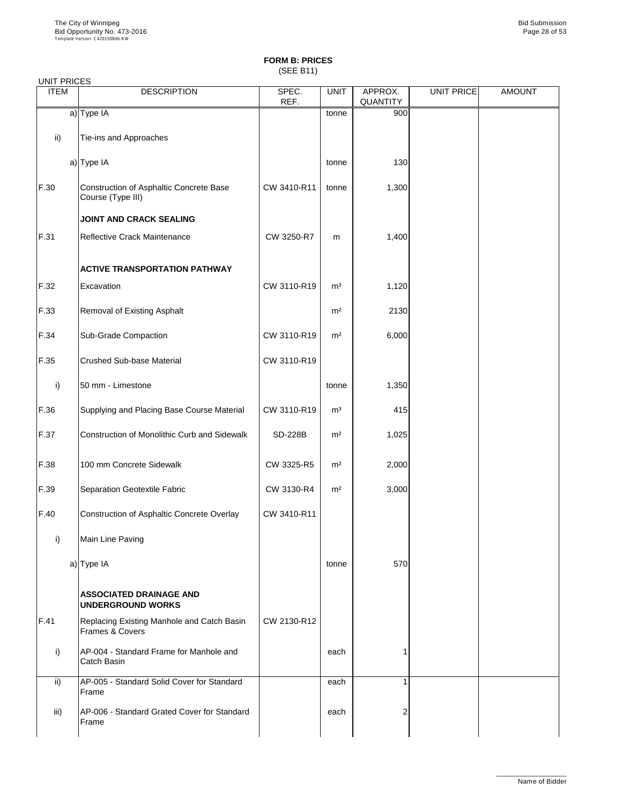(SEE B11)

| <b>UNIT PRICES</b>       |                                                               |                |                |                            |            |               |
|--------------------------|---------------------------------------------------------------|----------------|----------------|----------------------------|------------|---------------|
| <b>ITEM</b>              | <b>DESCRIPTION</b>                                            | SPEC.<br>REF.  | <b>UNIT</b>    | APPROX.<br><b>QUANTITY</b> | UNIT PRICE | <b>AMOUNT</b> |
|                          | a) Type IA                                                    |                | tonne          | 900                        |            |               |
| $\overline{\mathsf{ii}}$ | Tie-ins and Approaches                                        |                |                |                            |            |               |
|                          | a) Type IA                                                    |                | tonne          | 130                        |            |               |
| F.30                     | Construction of Asphaltic Concrete Base<br>Course (Type III)  | CW 3410-R11    | tonne          | 1,300                      |            |               |
|                          | <b>JOINT AND CRACK SEALING</b>                                |                |                |                            |            |               |
| F.31                     | Reflective Crack Maintenance                                  | CW 3250-R7     | m              | 1,400                      |            |               |
|                          | <b>ACTIVE TRANSPORTATION PATHWAY</b>                          |                |                |                            |            |               |
| F.32                     | Excavation                                                    | CW 3110-R19    | m <sup>3</sup> | 1,120                      |            |               |
| F.33                     | <b>Removal of Existing Asphalt</b>                            |                | m <sup>2</sup> | 2130                       |            |               |
| F.34                     | <b>Sub-Grade Compaction</b>                                   | CW 3110-R19    | m <sup>2</sup> | 6,000                      |            |               |
| F.35                     | <b>Crushed Sub-base Material</b>                              | CW 3110-R19    |                |                            |            |               |
| $\vert$ i)               | 50 mm - Limestone                                             |                | tonne          | 1,350                      |            |               |
| F.36                     | Supplying and Placing Base Course Material                    | CW 3110-R19    | m <sup>3</sup> | 415                        |            |               |
| F.37                     | <b>Construction of Monolithic Curb and Sidewalk</b>           | <b>SD-228B</b> | m <sup>2</sup> | 1,025                      |            |               |
| F.38                     | 100 mm Concrete Sidewalk                                      | CW 3325-R5     | m <sup>2</sup> | 2,000                      |            |               |
| F.39                     | <b>Separation Geotextile Fabric</b>                           | CW 3130-R4     | m <sup>2</sup> | 3,000                      |            |               |
| F.40                     | Construction of Asphaltic Concrete Overlay                    | CW 3410-R11    |                |                            |            |               |
| i)                       | Main Line Paving                                              |                |                |                            |            |               |
|                          | a) Type IA                                                    |                | tonne          | 570                        |            |               |
|                          | <b>ASSOCIATED DRAINAGE AND</b><br><b>UNDERGROUND WORKS</b>    |                |                |                            |            |               |
| F.41                     | Replacing Existing Manhole and Catch Basin<br>Frames & Covers | CW 2130-R12    |                |                            |            |               |
| i)                       | AP-004 - Standard Frame for Manhole and<br>Catch Basin        |                | each           |                            |            |               |
| $\mathsf{ii}$            | AP-005 - Standard Solid Cover for Standard<br>Frame           |                | each           |                            |            |               |
| iii)                     | AP-006 - Standard Grated Cover for Standard<br>Frame          |                | each           | $\overline{2}$             |            |               |

\_\_\_\_\_\_\_\_\_\_\_\_\_\_\_\_\_\_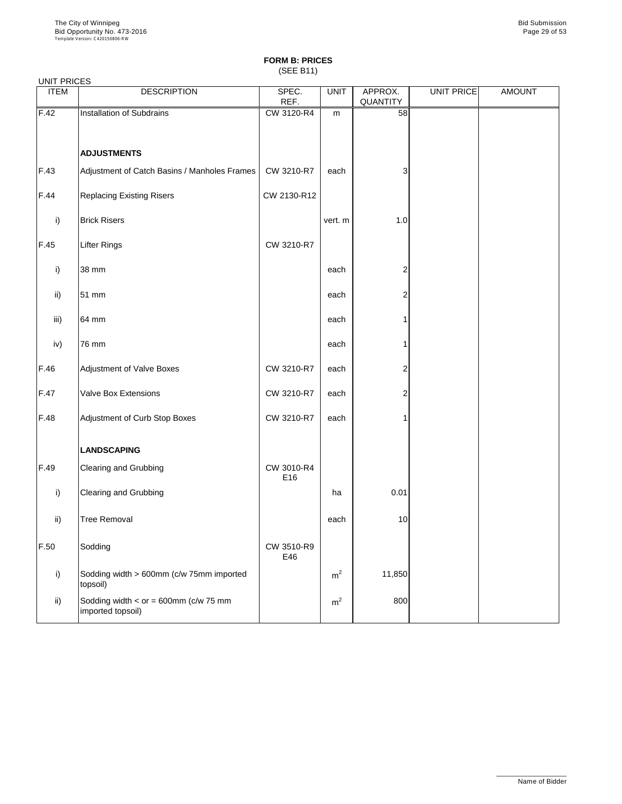(SEE B11)

| <b>ITEM</b>   | <b>DESCRIPTION</b>                                           | SPEC.<br>REF.     | <b>UNIT</b>    | APPROX.<br>QUANTITY     | UNIT PRICE | <b>AMOUNT</b> |
|---------------|--------------------------------------------------------------|-------------------|----------------|-------------------------|------------|---------------|
| F.42          | Installation of Subdrains                                    | CW 3120-R4        | m              | 58                      |            |               |
|               | <b>ADJUSTMENTS</b>                                           |                   |                |                         |            |               |
| F.43          | Adjustment of Catch Basins / Manholes Frames                 | CW 3210-R7        | each           | 3                       |            |               |
| F.44          | <b>Replacing Existing Risers</b>                             | CW 2130-R12       |                |                         |            |               |
| i)            | <b>Brick Risers</b>                                          |                   | vert. m        | 1.0                     |            |               |
| F.45          | <b>Lifter Rings</b>                                          | CW 3210-R7        |                |                         |            |               |
| i)            | 38 mm                                                        |                   | each           | $\overline{2}$          |            |               |
| $\mathsf{ii}$ | 51 mm                                                        |                   | each           | $\overline{2}$          |            |               |
| iii)          | 64 mm                                                        |                   | each           | 1                       |            |               |
| iv)           | 76 mm                                                        |                   | each           | 1                       |            |               |
| F.46          | <b>Adjustment of Valve Boxes</b>                             | CW 3210-R7        | each           | $\overline{\mathbf{c}}$ |            |               |
| F.47          | <b>Valve Box Extensions</b>                                  | CW 3210-R7        | each           | $\overline{2}$          |            |               |
| F.48          | Adjustment of Curb Stop Boxes                                | CW 3210-R7        | each           | 1                       |            |               |
|               | <b>LANDSCAPING</b>                                           |                   |                |                         |            |               |
| F.49          | <b>Clearing and Grubbing</b>                                 | CW 3010-R4<br>E16 |                |                         |            |               |
| i)            | <b>Clearing and Grubbing</b>                                 |                   | ha             | 0.01                    |            |               |
| $\mathsf{ii}$ | <b>Tree Removal</b>                                          |                   | each           | 10                      |            |               |
| F.50          | Sodding                                                      | CW 3510-R9<br>E46 |                |                         |            |               |
| i)            | Sodding width > 600mm (c/w 75mm imported<br>topsoil)         |                   | m <sup>2</sup> | 11,850                  |            |               |
| $\mathsf{ii}$ | Sodding width $<$ or = 600mm (c/w 75 mm<br>imported topsoil) |                   | m <sup>2</sup> | 800                     |            |               |

\_\_\_\_\_\_\_\_\_\_\_\_\_\_\_\_\_\_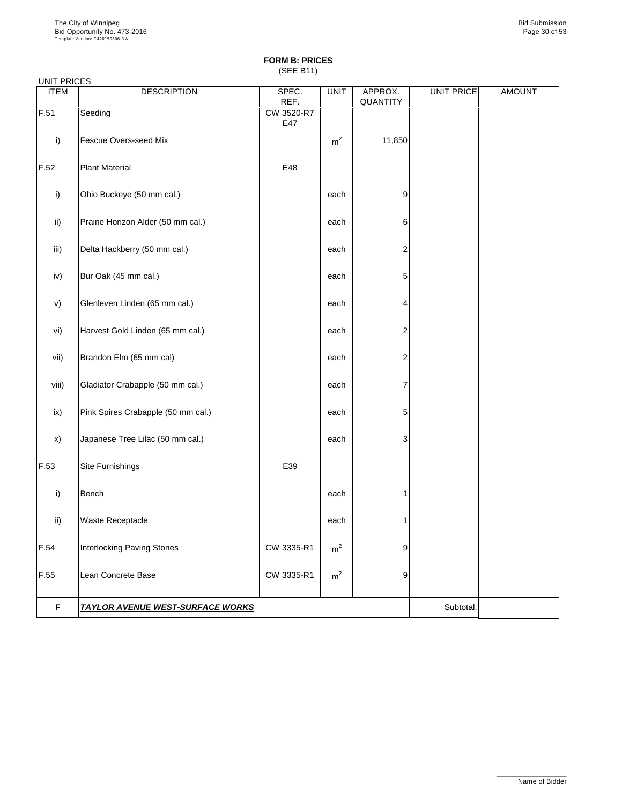(SEE B11)

| <b>ITEM</b>   | <b>DESCRIPTION</b>                      | SPEC.<br>REF.     | UNIT           | APPROX.<br><b>QUANTITY</b> | UNIT PRICE | <b>AMOUNT</b> |
|---------------|-----------------------------------------|-------------------|----------------|----------------------------|------------|---------------|
| F.51          | Seeding                                 | CW 3520-R7<br>E47 |                |                            |            |               |
| i)            | <b>Fescue Overs-seed Mix</b>            |                   | m <sup>2</sup> | 11,850                     |            |               |
| F.52          | <b>Plant Material</b>                   | E48               |                |                            |            |               |
| i)            | Ohio Buckeye (50 mm cal.)               |                   | each           | 9                          |            |               |
| $\mathsf{ii}$ | Prairie Horizon Alder (50 mm cal.)      |                   | each           | 6                          |            |               |
| iii)          | Delta Hackberry (50 mm cal.)            |                   | each           | $\overline{c}$             |            |               |
| iv)           | Bur Oak (45 mm cal.)                    |                   | each           | 5                          |            |               |
| V)            | Glenleven Linden (65 mm cal.)           |                   | each           | 4                          |            |               |
| vi)           | Harvest Gold Linden (65 mm cal.)        |                   | each           | $\overline{2}$             |            |               |
| vii)          | Brandon Elm (65 mm cal)                 |                   | each           | $\overline{2}$             |            |               |
| viii)         | Gladiator Crabapple (50 mm cal.)        |                   | each           | 7                          |            |               |
| ix)           | Pink Spires Crabapple (50 mm cal.)      |                   | each           | 5                          |            |               |
| x)            | Japanese Tree Lilac (50 mm cal.)        |                   | each           | 3                          |            |               |
| F.53          | Site Furnishings                        | E39               |                |                            |            |               |
| i)            | <b>Bench</b>                            |                   | each           |                            |            |               |
| ii)           | <b>Waste Receptacle</b>                 |                   | each           |                            |            |               |
| F.54          | <b>Interlocking Paving Stones</b>       | CW 3335-R1        | m <sup>2</sup> | 9                          |            |               |
| F.55          | Lean Concrete Base                      | CW 3335-R1        | m <sup>2</sup> | 9                          |            |               |
| F             | <b>TAYLOR AVENUE WEST-SURFACE WORKS</b> |                   |                |                            | Subtotal:  |               |

\_\_\_\_\_\_\_\_\_\_\_\_\_\_\_\_\_\_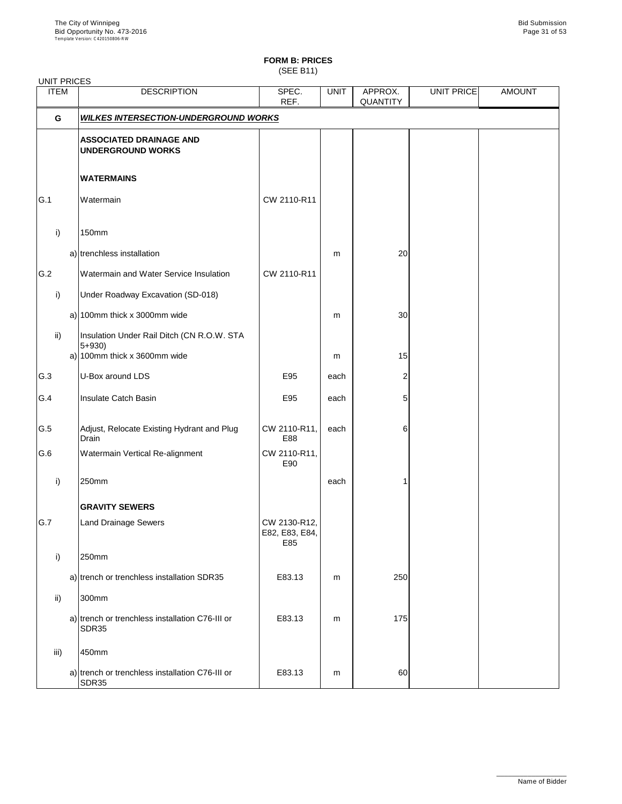(SEE B11)

| <b>UNIT PRICES</b> |                                                                                         |                                       |             |                            |            |               |
|--------------------|-----------------------------------------------------------------------------------------|---------------------------------------|-------------|----------------------------|------------|---------------|
| <b>ITEM</b>        | <b>DESCRIPTION</b>                                                                      | SPEC.<br>REF.                         | <b>UNIT</b> | APPROX.<br><b>QUANTITY</b> | UNIT PRICE | <b>AMOUNT</b> |
| G                  | <b>WILKES INTERSECTION-UNDERGROUND WORKS</b>                                            |                                       |             |                            |            |               |
|                    | <b>ASSOCIATED DRAINAGE AND</b><br><b>UNDERGROUND WORKS</b>                              |                                       |             |                            |            |               |
|                    | <b>WATERMAINS</b>                                                                       |                                       |             |                            |            |               |
| G.1                | Watermain                                                                               | CW 2110-R11                           |             |                            |            |               |
| i)                 | <b>150mm</b>                                                                            |                                       |             |                            |            |               |
|                    | a) trenchless installation                                                              |                                       | m           | 20                         |            |               |
| G.2                | Watermain and Water Service Insulation                                                  | CW 2110-R11                           |             |                            |            |               |
| i)                 | Under Roadway Excavation (SD-018)                                                       |                                       |             |                            |            |               |
|                    | a) 100mm thick x 3000mm wide                                                            |                                       | m           | 30                         |            |               |
| $\mathsf{ii}$      | Insulation Under Rail Ditch (CN R.O.W. STA<br>$5 + 930$<br>a) 100mm thick x 3600mm wide |                                       | m           | 15                         |            |               |
| G.3                | U-Box around LDS                                                                        | E95                                   | each        | 2                          |            |               |
| G.4                | Insulate Catch Basin                                                                    | E95                                   | each        | 5                          |            |               |
| G.5                | Adjust, Relocate Existing Hydrant and Plug<br><b>Drain</b>                              | CW 2110-R11,<br>E88                   | each        | 6                          |            |               |
| G.6                | <b>Watermain Vertical Re-alignment</b>                                                  | CW 2110-R11,<br>E90                   |             |                            |            |               |
| i)                 | 250mm                                                                                   |                                       | each        |                            |            |               |
|                    | <b>GRAVITY SEWERS</b>                                                                   |                                       |             |                            |            |               |
| G.7                | <b>Land Drainage Sewers</b>                                                             | CW 2130-R12,<br>E82, E83, E84,<br>E85 |             |                            |            |               |
| i)                 | 250mm                                                                                   |                                       |             |                            |            |               |
|                    | a) trench or trenchless installation SDR35                                              | E83.13                                | m           | 250                        |            |               |
| $\mathsf{ii}$      | 300mm                                                                                   |                                       |             |                            |            |               |
|                    | a) trench or trenchless installation C76-III or<br>SDR35                                | E83.13                                | m           | 175                        |            |               |
| iii)               | 450mm                                                                                   |                                       |             |                            |            |               |
|                    | a) trench or trenchless installation C76-III or<br>SDR35                                | E83.13                                | m           | 60                         |            |               |

\_\_\_\_\_\_\_\_\_\_\_\_\_\_\_\_\_\_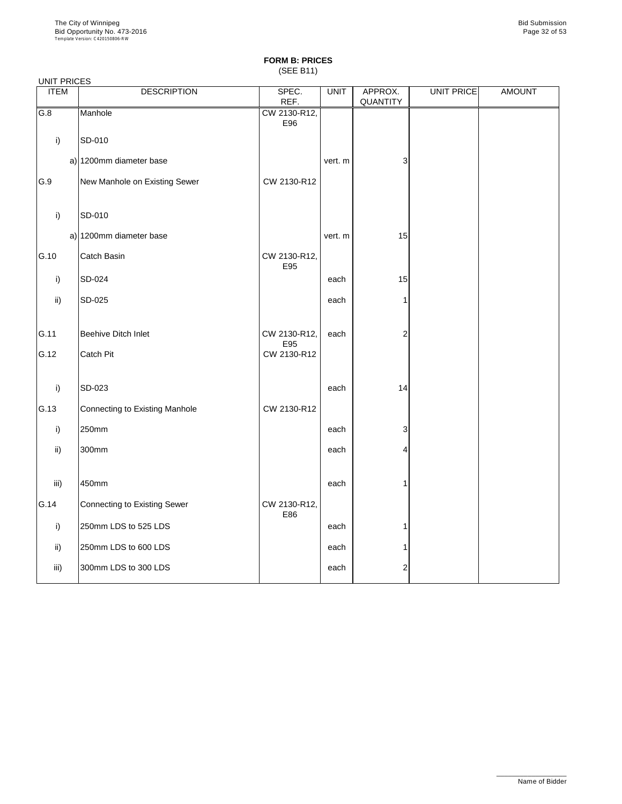(SEE B11)

| <b>UNIT PRICES</b> |                                     |                     |             |                         |                   |               |
|--------------------|-------------------------------------|---------------------|-------------|-------------------------|-------------------|---------------|
| <b>ITEM</b>        | <b>DESCRIPTION</b>                  | SPEC.<br>REF.       | <b>UNIT</b> | APPROX.<br>QUANTITY     | <b>UNIT PRICE</b> | <b>AMOUNT</b> |
| G.8                | Manhole                             | CW 2130-R12,<br>E96 |             |                         |                   |               |
| i)                 | SD-010                              |                     |             |                         |                   |               |
|                    | a) 1200mm diameter base             |                     | vert. m     | 3                       |                   |               |
| G.9                | New Manhole on Existing Sewer       | CW 2130-R12         |             |                         |                   |               |
| i)                 | SD-010                              |                     |             |                         |                   |               |
|                    | a) 1200mm diameter base             |                     | vert. m     | 15                      |                   |               |
| G.10               | <b>Catch Basin</b>                  | CW 2130-R12,<br>E95 |             |                         |                   |               |
| i)                 | SD-024                              |                     | each        | 15                      |                   |               |
| $\mathsf{ii}$      | SD-025                              |                     | each        | 1                       |                   |               |
| G.11               | <b>Beehive Ditch Inlet</b>          | CW 2130-R12,<br>E95 | each        | $\overline{c}$          |                   |               |
| G.12               | <b>Catch Pit</b>                    | CW 2130-R12         |             |                         |                   |               |
| i)                 | SD-023                              |                     | each        | 14                      |                   |               |
| G.13               | Connecting to Existing Manhole      | CW 2130-R12         |             |                         |                   |               |
| i)                 | 250mm                               |                     | each        | 3                       |                   |               |
| $\mathsf{ii}$      | 300mm                               |                     | each        | 4                       |                   |               |
| iii)               | 450mm                               |                     | each        | 1                       |                   |               |
| G.14               | <b>Connecting to Existing Sewer</b> | CW 2130-R12,<br>E86 |             |                         |                   |               |
| i)                 | 250mm LDS to 525 LDS                |                     | each        | 1                       |                   |               |
| $\mathsf{ii}$      | 250mm LDS to 600 LDS                |                     | each        | 1                       |                   |               |
| iii)               | 300mm LDS to 300 LDS                |                     | each        | $\overline{\mathbf{c}}$ |                   |               |

\_\_\_\_\_\_\_\_\_\_\_\_\_\_\_\_\_\_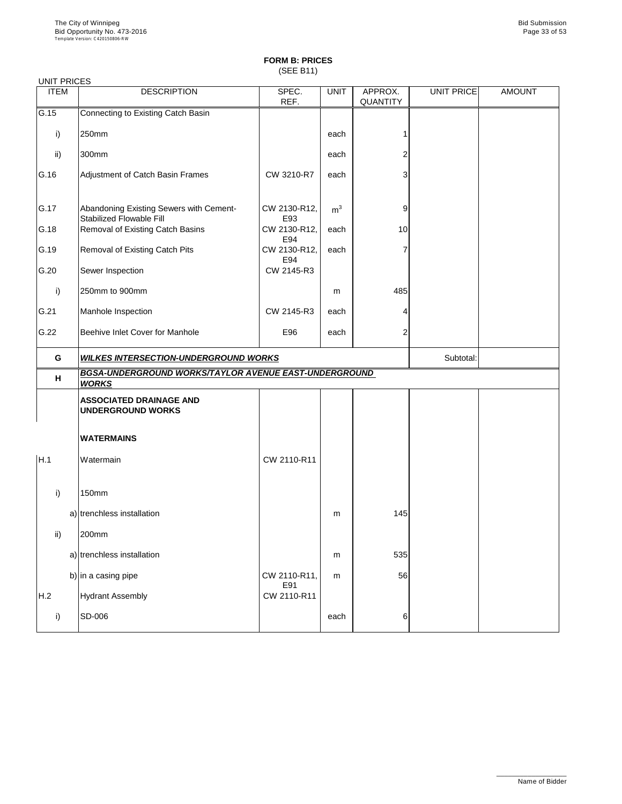(SEE B11)

| <b>UNIT PRICES</b> |                                                                            |                     |                |                            |                   |               |
|--------------------|----------------------------------------------------------------------------|---------------------|----------------|----------------------------|-------------------|---------------|
| <b>ITEM</b>        | <b>DESCRIPTION</b>                                                         | SPEC.<br>REF.       | <b>UNIT</b>    | APPROX.<br><b>QUANTITY</b> | <b>UNIT PRICE</b> | <b>AMOUNT</b> |
| G.15               | <b>Connecting to Existing Catch Basin</b>                                  |                     |                |                            |                   |               |
| i)                 | 250mm                                                                      |                     | each           | 1                          |                   |               |
| ii)                | 300mm                                                                      |                     | each           | 2                          |                   |               |
| G.16               | Adjustment of Catch Basin Frames                                           | CW 3210-R7          | each           | 3                          |                   |               |
| G.17               | Abandoning Existing Sewers with Cement-<br><b>Stabilized Flowable Fill</b> | CW 2130-R12,<br>E93 | m <sup>3</sup> | 9                          |                   |               |
| G.18               | <b>Removal of Existing Catch Basins</b>                                    | CW 2130-R12,<br>E94 | each           | 10                         |                   |               |
| G.19               | <b>Removal of Existing Catch Pits</b>                                      | CW 2130-R12,<br>E94 | each           | 7                          |                   |               |
| G.20               | Sewer Inspection                                                           | CW 2145-R3          |                |                            |                   |               |
| i)                 | 250mm to 900mm                                                             |                     | m              | 485                        |                   |               |
| G.21               | Manhole Inspection                                                         | CW 2145-R3          | each           | 4                          |                   |               |
| G.22               | <b>Beehive Inlet Cover for Manhole</b>                                     | E96                 | each           | $\overline{c}$             |                   |               |
| G                  | <b>WILKES INTERSECTION-UNDERGROUND WORKS</b>                               |                     |                |                            | Subtotal:         |               |
| H                  | BGSA-UNDERGROUND WORKS/TAYLOR AVENUE EAST-UNDERGROUND<br><b>WORKS</b>      |                     |                |                            |                   |               |
|                    | <b>ASSOCIATED DRAINAGE AND</b><br><b>UNDERGROUND WORKS</b>                 |                     |                |                            |                   |               |
|                    | <b>WATERMAINS</b>                                                          |                     |                |                            |                   |               |
| H.1                | Watermain                                                                  | CW 2110-R11         |                |                            |                   |               |
| i)                 | 150mm                                                                      |                     |                |                            |                   |               |
|                    | a) trenchless installation                                                 |                     | m              | 145                        |                   |               |
| $\mathsf{ii}$      | 200mm                                                                      |                     |                |                            |                   |               |
|                    | a) trenchless installation                                                 |                     | m              | 535                        |                   |               |
|                    | b) in a casing pipe                                                        | CW 2110-R11,        | m              | 56                         |                   |               |
| H.2                | <b>Hydrant Assembly</b>                                                    | E91<br>CW 2110-R11  |                |                            |                   |               |
|                    |                                                                            |                     |                |                            |                   |               |

\_\_\_\_\_\_\_\_\_\_\_\_\_\_\_\_\_\_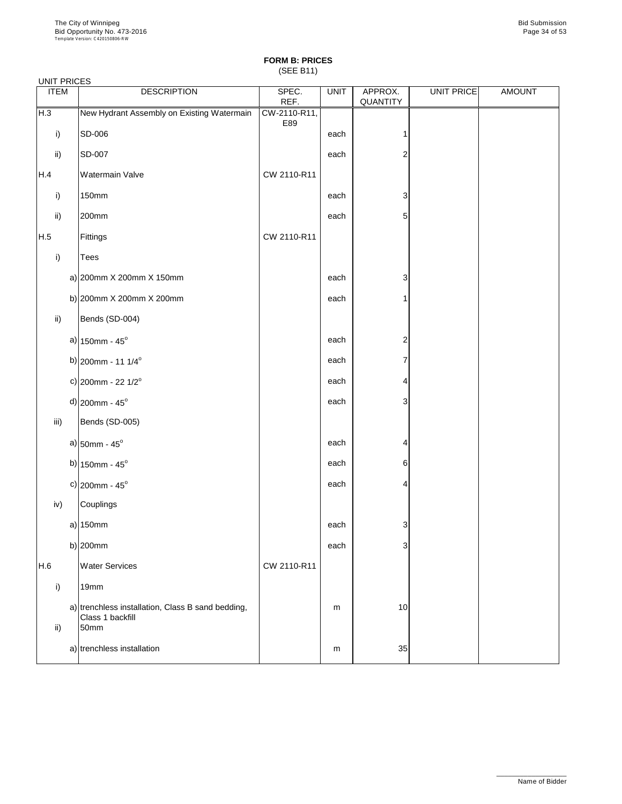(SEE B11)

| <b>UNIT PRICES</b> |                                                                       |                     |             |                     |            |               |
|--------------------|-----------------------------------------------------------------------|---------------------|-------------|---------------------|------------|---------------|
| <b>ITEM</b>        | <b>DESCRIPTION</b>                                                    | SPEC.<br>REF.       | <b>UNIT</b> | APPROX.<br>QUANTITY | UNIT PRICE | <b>AMOUNT</b> |
| H.3                | New Hydrant Assembly on Existing Watermain                            | CW-2110-R11,<br>E89 |             |                     |            |               |
| i)                 | SD-006                                                                |                     | each        |                     |            |               |
| $\mathsf{ii}$      | SD-007                                                                |                     | each        | $\overline{2}$      |            |               |
| H.4                | <b>Watermain Valve</b>                                                | CW 2110-R11         |             |                     |            |               |
| $\mathsf{i}$       | <b>150mm</b>                                                          |                     | each        | 3                   |            |               |
| $\mathsf{ii}$      | 200mm                                                                 |                     | each        | 5                   |            |               |
| H.5                | Fittings                                                              | CW 2110-R11         |             |                     |            |               |
| $\mathsf{i}$       | <b>Tees</b>                                                           |                     |             |                     |            |               |
|                    | a) $ 200$ mm X 200mm X 150mm                                          |                     | each        | 3                   |            |               |
|                    | b) $ 200$ mm X 200mm X 200mm                                          |                     | each        | 1                   |            |               |
| $\mathsf{ii}$      | Bends (SD-004)                                                        |                     |             |                     |            |               |
|                    | a) $150$ mm - $45^{\circ}$                                            |                     | each        | $\overline{c}$      |            |               |
|                    | b) 200mm - 11 1/4 <sup>o</sup>                                        |                     | each        | 7                   |            |               |
|                    | c) 200mm - 22 $1/2^{\circ}$                                           |                     | each        | 4                   |            |               |
|                    | $d$ ) 200mm - 45 <sup>o</sup>                                         |                     | each        | 3                   |            |               |
| iii)               | Bends (SD-005)                                                        |                     |             |                     |            |               |
|                    | a) $50$ mm - 45 $^{\circ}$                                            |                     | each        | 4                   |            |               |
|                    | b) $150$ mm - $45^{\circ}$                                            |                     | each        | 6                   |            |               |
|                    | c) $ 200$ mm - 45°                                                    |                     | each        | 4                   |            |               |
| iv)                | Couplings                                                             |                     |             |                     |            |               |
|                    | a) $150mm$                                                            |                     | each        | 3                   |            |               |
|                    | b) $200$ mm                                                           |                     | each        | 3                   |            |               |
| H.6                | <b>Water Services</b>                                                 | CW 2110-R11         |             |                     |            |               |
| i)                 | 19mm                                                                  |                     |             |                     |            |               |
|                    | a) trenchless installation, Class B sand bedding,<br>Class 1 backfill |                     | m           | 10                  |            |               |

| ü١<br>, | 50mm                       |   |    |  |
|---------|----------------------------|---|----|--|
|         | a) trenchless installation | m | 35 |  |

\_\_\_\_\_\_\_\_\_\_\_\_\_\_\_\_\_\_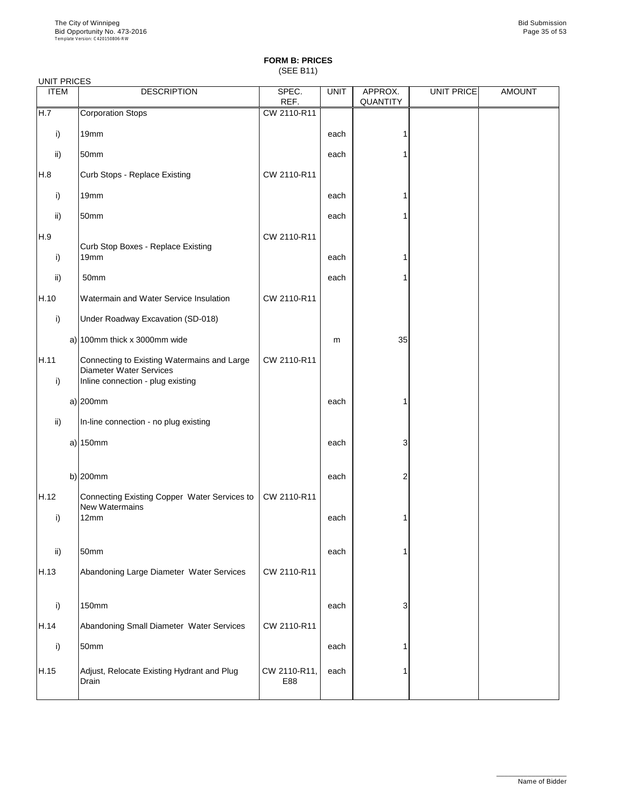## **FORM B: PRICES** (SEE B11)

| <b>UNIT PRICES</b>   |                                                                                                                    |               |             |                            |            |               |
|----------------------|--------------------------------------------------------------------------------------------------------------------|---------------|-------------|----------------------------|------------|---------------|
| <b>ITEM</b>          | <b>DESCRIPTION</b>                                                                                                 | SPEC.<br>REF. | <b>UNIT</b> | APPROX.<br><b>QUANTITY</b> | UNIT PRICE | <b>AMOUNT</b> |
| H.7                  | <b>Corporation Stops</b>                                                                                           | CW 2110-R11   |             |                            |            |               |
| i)                   | 19mm                                                                                                               |               | each        |                            |            |               |
| ii)                  | 50mm                                                                                                               |               | each        |                            |            |               |
| H.8                  | <b>Curb Stops - Replace Existing</b>                                                                               | CW 2110-R11   |             |                            |            |               |
| i)                   | 19mm                                                                                                               |               | each        |                            |            |               |
| ii)                  | 50mm                                                                                                               |               | each        |                            |            |               |
| H.9<br>i)            | <b>Curb Stop Boxes - Replace Existing</b><br>19 <sub>mm</sub>                                                      | CW 2110-R11   | each        |                            |            |               |
| ii)                  | 50mm                                                                                                               |               | each        |                            |            |               |
| H.10                 | Watermain and Water Service Insulation                                                                             | CW 2110-R11   |             |                            |            |               |
| i)                   | <b>Under Roadway Excavation (SD-018)</b>                                                                           |               |             |                            |            |               |
|                      | a) 100mm thick x 3000mm wide                                                                                       |               | m           | 35                         |            |               |
| H.11<br>$\mathsf{i}$ | Connecting to Existing Watermains and Large<br><b>Diameter Water Services</b><br>Inline connection - plug existing | CW 2110-R11   |             |                            |            |               |
|                      | $a)$ 200mm                                                                                                         |               | each        | 1                          |            |               |
| $\mathsf{ii}$ )      | In-line connection - no plug existing                                                                              |               |             |                            |            |               |
|                      | a) $150$ mm                                                                                                        |               | each        | 3                          |            |               |
| H.12                 | b) $200$ mm                                                                                                        | CW 2110-R11   | each        | 2                          |            |               |
| i)                   | Connecting Existing Copper Water Services to<br><b>New Watermains</b><br>12mm                                      |               | each        |                            |            |               |
| ii)                  | 50mm                                                                                                               |               | each        |                            |            |               |
| H.13                 | Abandoning Large Diameter Water Services                                                                           | CW 2110-R11   |             |                            |            |               |
| i)                   | <b>150mm</b>                                                                                                       |               | each        | 3                          |            |               |

| H.14 | Abandoning Small Diameter Water Services            | CW 2110-R11         |      |  |  |
|------|-----------------------------------------------------|---------------------|------|--|--|
|      | 50mm                                                |                     | each |  |  |
| H.15 | Adjust, Relocate Existing Hydrant and Plug<br>Drain | CW 2110-R11,<br>E88 | each |  |  |

\_\_\_\_\_\_\_\_\_\_\_\_\_\_\_\_\_\_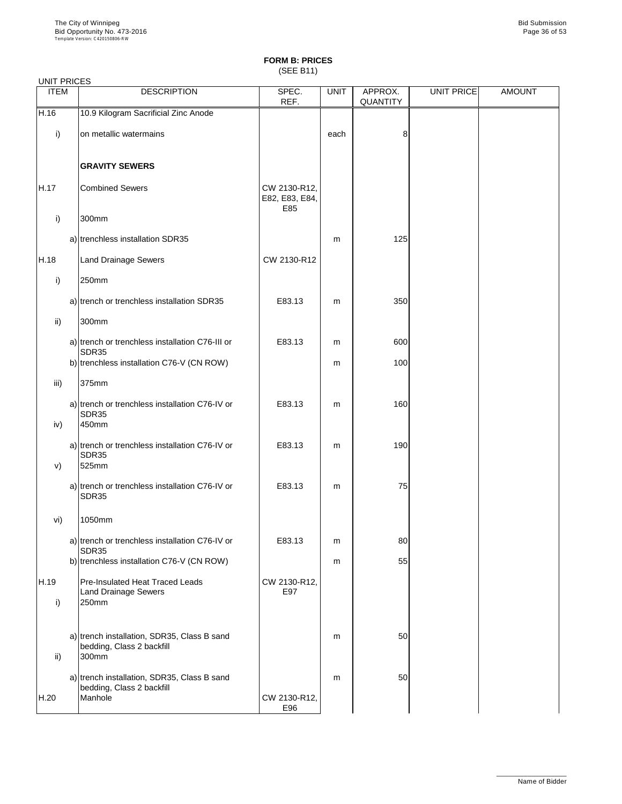(SEE B11)

| <b>UNIT PRICES</b>   |                                                                                |                                       |             |                            |                   |               |
|----------------------|--------------------------------------------------------------------------------|---------------------------------------|-------------|----------------------------|-------------------|---------------|
| <b>ITEM</b>          | <b>DESCRIPTION</b>                                                             | SPEC.<br>REF.                         | <b>UNIT</b> | APPROX.<br><b>QUANTITY</b> | <b>UNIT PRICE</b> | <b>AMOUNT</b> |
| H.16                 | 10.9 Kilogram Sacrificial Zinc Anode                                           |                                       |             |                            |                   |               |
| i)                   | on metallic watermains                                                         |                                       | each        | 8                          |                   |               |
|                      | <b>GRAVITY SEWERS</b>                                                          |                                       |             |                            |                   |               |
| H.17                 | <b>Combined Sewers</b>                                                         | CW 2130-R12,<br>E82, E83, E84,<br>E85 |             |                            |                   |               |
| i)                   | 300mm                                                                          |                                       |             |                            |                   |               |
|                      | a) trenchless installation SDR35                                               |                                       | m           | 125                        |                   |               |
| H.18                 | <b>Land Drainage Sewers</b>                                                    | CW 2130-R12                           |             |                            |                   |               |
| i)                   | 250mm                                                                          |                                       |             |                            |                   |               |
|                      | a) trench or trenchless installation SDR35                                     | E83.13                                | m           | 350                        |                   |               |
| $\mathsf{ii}$        | 300mm                                                                          |                                       |             |                            |                   |               |
|                      | a) trench or trenchless installation C76-III or<br>SDR35                       | E83.13                                | m           | 600                        |                   |               |
|                      | b) trenchless installation C76-V (CN ROW)                                      |                                       | m           | 100                        |                   |               |
| iii)                 | 375mm                                                                          |                                       |             |                            |                   |               |
|                      | a) trench or trenchless installation C76-IV or<br>SDR35                        | E83.13                                | m           | 160                        |                   |               |
| iv)                  | 450mm                                                                          |                                       |             |                            |                   |               |
|                      | a) trench or trenchless installation C76-IV or<br>SDR35                        | E83.13                                | m           | 190                        |                   |               |
| V)                   | 525mm                                                                          |                                       |             |                            |                   |               |
|                      | a) trench or trenchless installation C76-IV or<br>SDR35                        | E83.13                                | m           | 75                         |                   |               |
| vi)                  | 1050mm                                                                         |                                       |             |                            |                   |               |
|                      | a) trench or trenchless installation C76-IV or<br>SDR35                        | E83.13                                | m           | 80                         |                   |               |
|                      | b) trenchless installation C76-V (CN ROW)                                      |                                       | m           | 55                         |                   |               |
| H.19<br>$\mathsf{i}$ | <b>Pre-Insulated Heat Traced Leads</b><br><b>Land Drainage Sewers</b><br>250mm | CW 2130-R12,<br>E97                   |             |                            |                   |               |

| ii)  | a) trench installation, SDR35, Class B sand<br>bedding, Class 2 backfill<br>300mm   |                     | m | 50 |  |
|------|-------------------------------------------------------------------------------------|---------------------|---|----|--|
| H.20 | a) trench installation, SDR35, Class B sand<br>bedding, Class 2 backfill<br>Manhole | CW 2130-R12,<br>E96 | m | 50 |  |

\_\_\_\_\_\_\_\_\_\_\_\_\_\_\_\_\_\_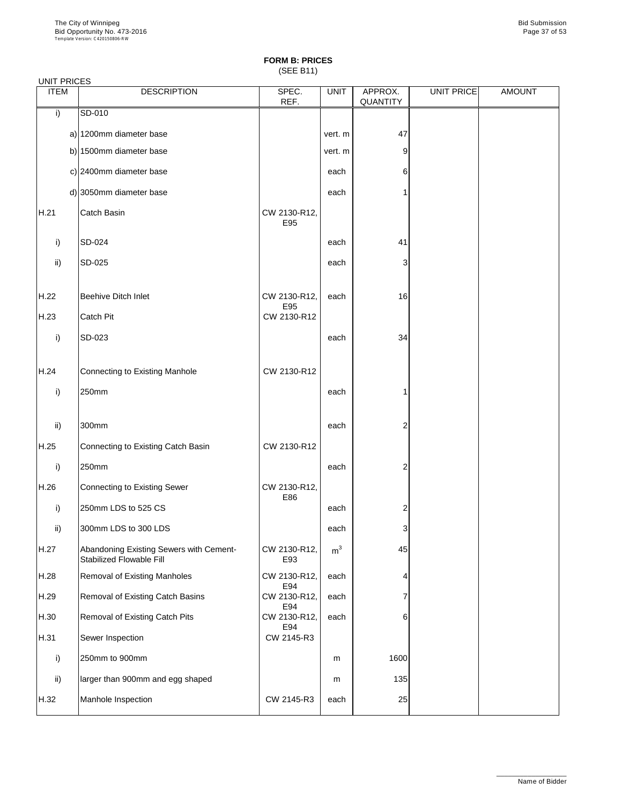(SEE B11)

| <b>UNIT PRICES</b> |                                                                            |                     |                |                     |                   |               |
|--------------------|----------------------------------------------------------------------------|---------------------|----------------|---------------------|-------------------|---------------|
| <b>ITEM</b>        | <b>DESCRIPTION</b>                                                         | SPEC.<br>REF.       | <b>UNIT</b>    | APPROX.<br>QUANTITY | <b>UNIT PRICE</b> | <b>AMOUNT</b> |
| i)                 | SD-010                                                                     |                     |                |                     |                   |               |
|                    | a) 1200mm diameter base                                                    |                     | vert. m        | 47                  |                   |               |
|                    | b) 1500mm diameter base                                                    |                     | vert. m        | 9                   |                   |               |
|                    | c) 2400mm diameter base                                                    |                     | each           | 6                   |                   |               |
|                    | d) 3050mm diameter base                                                    |                     | each           | 1                   |                   |               |
| H.21               | <b>Catch Basin</b>                                                         | CW 2130-R12,<br>E95 |                |                     |                   |               |
| i)                 | SD-024                                                                     |                     | each           | 41                  |                   |               |
| ii)                | SD-025                                                                     |                     | each           | 3                   |                   |               |
| H.22               | <b>Beehive Ditch Inlet</b>                                                 | CW 2130-R12,<br>E95 | each           | 16                  |                   |               |
| H.23               | <b>Catch Pit</b>                                                           | CW 2130-R12         |                |                     |                   |               |
| i)                 | SD-023                                                                     |                     | each           | 34                  |                   |               |
| H.24               | Connecting to Existing Manhole                                             | CW 2130-R12         |                |                     |                   |               |
| i)                 | 250mm                                                                      |                     | each           | 1                   |                   |               |
| ii)                | 300mm                                                                      |                     | each           | $\overline{c}$      |                   |               |
| H.25               | Connecting to Existing Catch Basin                                         | CW 2130-R12         |                |                     |                   |               |
| i)                 | 250mm                                                                      |                     | each           | $\overline{c}$      |                   |               |
| H.26               | Connecting to Existing Sewer                                               | CW 2130-R12,<br>E86 |                |                     |                   |               |
| i)                 | 250mm LDS to 525 CS                                                        |                     | each           | $\overline{c}$      |                   |               |
| $\mathsf{ii}$      | 300mm LDS to 300 LDS                                                       |                     | each           | 3                   |                   |               |
| H.27               | Abandoning Existing Sewers with Cement-<br><b>Stabilized Flowable Fill</b> | CW 2130-R12,<br>E93 | m <sup>3</sup> | 45                  |                   |               |
| H.28               | <b>Removal of Existing Manholes</b>                                        | CW 2130-R12,<br>E94 | each           | 4                   |                   |               |
| H.29               | <b>Removal of Existing Catch Basins</b>                                    | CW 2130-R12,<br>E94 | each           | 7                   |                   |               |
| H.30               | <b>Removal of Existing Catch Pits</b>                                      | CW 2130-R12,        | each           | 6                   |                   |               |

| H.31 | Sewer Inspection                 | E94<br>CW 2145-R3 |      |      |  |
|------|----------------------------------|-------------------|------|------|--|
|      | 250mm to 900mm                   |                   | m    | 1600 |  |
| ii)  | larger than 900mm and egg shaped |                   | m    | 135  |  |
| H.32 | Manhole Inspection               | CW 2145-R3        | each | 25   |  |

\_\_\_\_\_\_\_\_\_\_\_\_\_\_\_\_\_\_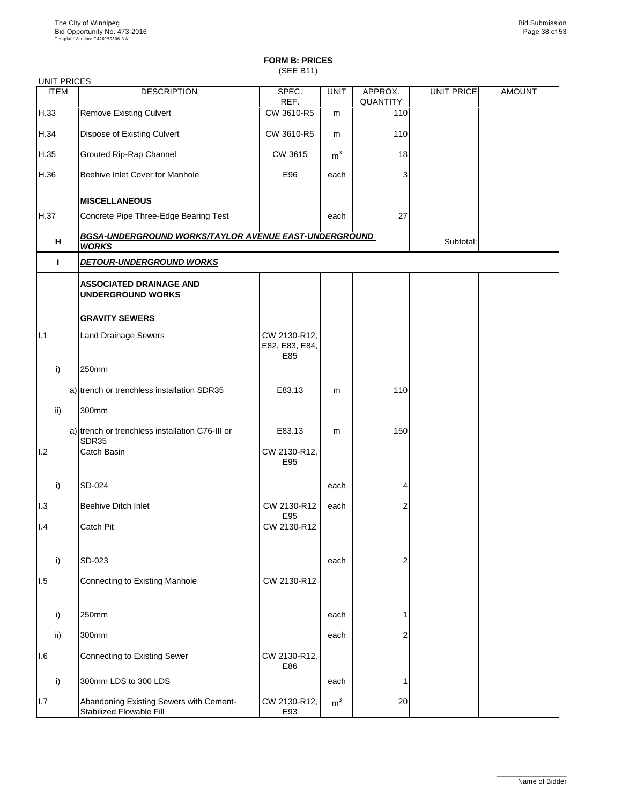(SEE B11)

### UNIT PRICES

| <b>ITEM</b>  | <b>DESCRIPTION</b>                                                    | SPEC.<br>REF.                         | <b>UNIT</b>    | APPROX.<br><b>QUANTITY</b> | <b>UNIT PRICE</b> | <b>AMOUNT</b> |
|--------------|-----------------------------------------------------------------------|---------------------------------------|----------------|----------------------------|-------------------|---------------|
| H.33         | <b>Remove Existing Culvert</b>                                        | CW 3610-R5                            | m              | 110                        |                   |               |
| H.34         | <b>Dispose of Existing Culvert</b>                                    | CW 3610-R5                            | m              | 110                        |                   |               |
| H.35         | <b>Grouted Rip-Rap Channel</b>                                        | <b>CW 3615</b>                        | m <sup>3</sup> | 18                         |                   |               |
| H.36         | Beehive Inlet Cover for Manhole                                       | E96                                   | each           | 3                          |                   |               |
|              | <b>MISCELLANEOUS</b>                                                  |                                       |                |                            |                   |               |
| H.37         | Concrete Pipe Three-Edge Bearing Test                                 |                                       | each           | 27                         |                   |               |
| H            | BGSA-UNDERGROUND WORKS/TAYLOR AVENUE EAST-UNDERGROUND<br><b>WORKS</b> |                                       |                |                            | Subtotal:         |               |
| $\mathbf{I}$ | <b>DETOUR-UNDERGROUND WORKS</b>                                       |                                       |                |                            |                   |               |
|              | <b>ASSOCIATED DRAINAGE AND</b><br><b>UNDERGROUND WORKS</b>            |                                       |                |                            |                   |               |
|              | <b>GRAVITY SEWERS</b>                                                 |                                       |                |                            |                   |               |
| 1.1          | <b>Land Drainage Sewers</b>                                           | CW 2130-R12,<br>E82, E83, E84,<br>E85 |                |                            |                   |               |
| i)           | 250mm                                                                 |                                       |                |                            |                   |               |
|              | a) trench or trenchless installation SDR35                            | E83.13                                | m              | 110                        |                   |               |
| ii)          | 300mm                                                                 |                                       |                |                            |                   |               |
|              | a) trench or trenchless installation C76-III or<br><b>SDR35</b>       | E83.13                                | m              | 150                        |                   |               |
| 1.2          | <b>Catch Basin</b>                                                    | CW 2130-R12,<br>E95                   |                |                            |                   |               |
| i)           | <b>SD-024</b>                                                         |                                       | each           | 4                          |                   |               |
| 1.3          | <b>Beehive Ditch Inlet</b>                                            | CW 2130-R12                           | each           | $\overline{2}$             |                   |               |
| 1.4          | Catch Pit                                                             | E95<br>CW 2130-R12                    |                |                            |                   |               |
| i)           | <b>SD-023</b>                                                         |                                       | each           | $\overline{2}$             |                   |               |
| 1.5          | <b>Connecting to Existing Manhole</b>                                 | CW 2130-R12                           |                |                            |                   |               |
| $\mathsf{i}$ | 250mm                                                                 |                                       | each           |                            |                   |               |

| IJ  | וווווטטבו                                                           |                     | GAULI          |    |  |
|-----|---------------------------------------------------------------------|---------------------|----------------|----|--|
| ii) | 300mm                                                               |                     | each           | ◠  |  |
| 1.6 | Connecting to Existing Sewer                                        | CW 2130-R12,<br>E86 |                |    |  |
| i)  | 300mm LDS to 300 LDS                                                |                     | each           |    |  |
| L7  | Abandoning Existing Sewers with Cement-<br>Stabilized Flowable Fill | CW 2130-R12,<br>E93 | m <sup>3</sup> | 20 |  |

\_\_\_\_\_\_\_\_\_\_\_\_\_\_\_\_\_\_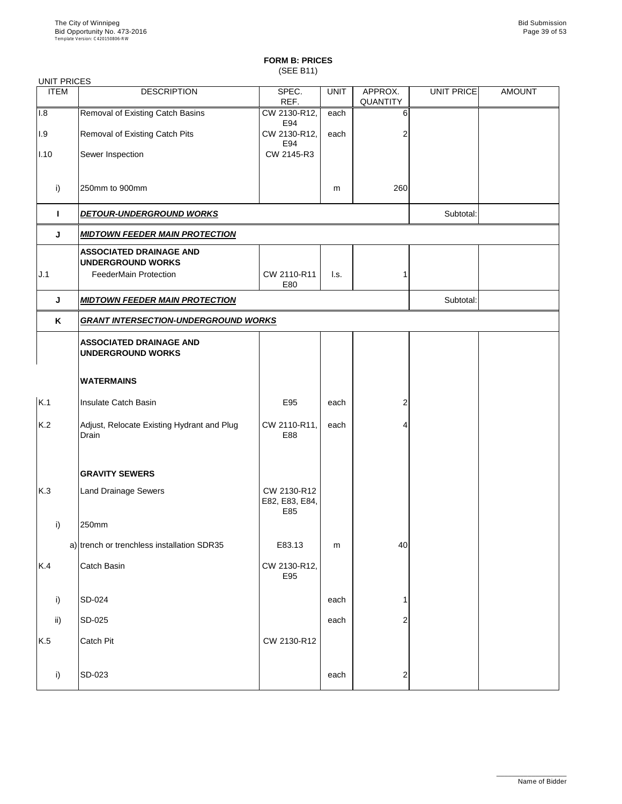(SEE B11)

| <b>UNIT PRICES</b> |                                                            |                                             |                 |                            |                   |               |  |
|--------------------|------------------------------------------------------------|---------------------------------------------|-----------------|----------------------------|-------------------|---------------|--|
| <b>ITEM</b>        | <b>DESCRIPTION</b>                                         | SPEC.<br>REF.                               | <b>UNIT</b>     | APPROX.<br><b>QUANTITY</b> | <b>UNIT PRICE</b> | <b>AMOUNT</b> |  |
| 1.8                | <b>Removal of Existing Catch Basins</b>                    | CW 2130-R12,<br>E94                         | each            | 6                          |                   |               |  |
| 1.9                | <b>Removal of Existing Catch Pits</b>                      | CW 2130-R12,                                | each            |                            |                   |               |  |
| 1.10               | Sewer Inspection                                           | E94<br>CW 2145-R3                           |                 |                            |                   |               |  |
| i)                 | 250mm to 900mm                                             |                                             | m               | 260                        |                   |               |  |
| I.                 | <b>DETOUR-UNDERGROUND WORKS</b>                            |                                             |                 |                            | Subtotal:         |               |  |
| J                  | <b>MIDTOWN FEEDER MAIN PROTECTION</b>                      |                                             |                 |                            |                   |               |  |
|                    | <b>ASSOCIATED DRAINAGE AND</b><br><b>UNDERGROUND WORKS</b> |                                             |                 |                            |                   |               |  |
| J.1                | <b>FeederMain Protection</b>                               | CW 2110-R11<br>E80                          | $\mathsf{L}$ s. |                            |                   |               |  |
| J                  | <b>MIDTOWN FEEDER MAIN PROTECTION</b>                      |                                             |                 |                            | Subtotal:         |               |  |
| K                  |                                                            | <b>GRANT INTERSECTION-UNDERGROUND WORKS</b> |                 |                            |                   |               |  |
|                    | <b>ASSOCIATED DRAINAGE AND</b><br><b>UNDERGROUND WORKS</b> |                                             |                 |                            |                   |               |  |
|                    | <b>WATERMAINS</b>                                          |                                             |                 |                            |                   |               |  |
| K.1                | Insulate Catch Basin                                       | E95                                         | each            | 2                          |                   |               |  |
| K.2                | Adjust, Relocate Existing Hydrant and Plug<br>Drain        | CW 2110-R11,<br>E88                         | each            |                            |                   |               |  |
|                    | <b>GRAVITY SEWERS</b>                                      |                                             |                 |                            |                   |               |  |
| K.3                | <b>Land Drainage Sewers</b>                                | CW 2130-R12<br>E82, E83, E84,<br>E85        |                 |                            |                   |               |  |
| i)                 | 250mm                                                      |                                             |                 |                            |                   |               |  |
|                    | a) trench or trenchless installation SDR35                 | E83.13                                      | m               | 40                         |                   |               |  |
| K.4                | Catch Basin                                                | CW 2130-R12,<br>E95                         |                 |                            |                   |               |  |
| i)                 | <b>SD-024</b>                                              |                                             | each            |                            |                   |               |  |
| ii)                | $SD-025$                                                   |                                             | each            |                            |                   |               |  |

|     | ∪ט−ט∠ט           |             | <b>GUULI</b> | ▵      |  |
|-----|------------------|-------------|--------------|--------|--|
| K.5 | <b>Catch Pit</b> | CW 2130-R12 |              |        |  |
|     | <b>SD-023</b>    |             | each         | ⌒<br>_ |  |

\_\_\_\_\_\_\_\_\_\_\_\_\_\_\_\_\_\_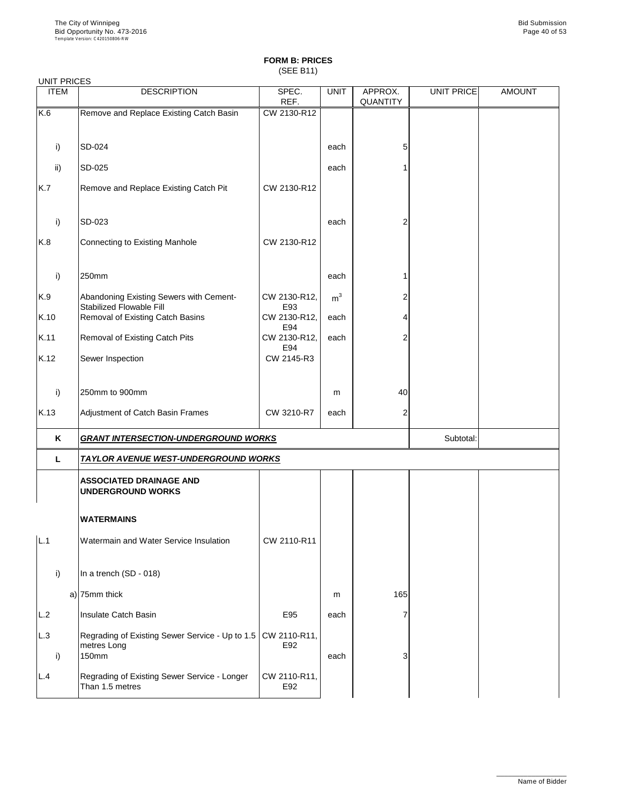(SEE B11)

| <b>UNIT PRICES</b> |                                                                            |                     |                |                            |            |               |
|--------------------|----------------------------------------------------------------------------|---------------------|----------------|----------------------------|------------|---------------|
| <b>ITEM</b>        | <b>DESCRIPTION</b>                                                         | SPEC.<br>REF.       | <b>UNIT</b>    | APPROX.<br><b>QUANTITY</b> | UNIT PRICE | <b>AMOUNT</b> |
| K.6                | Remove and Replace Existing Catch Basin                                    | CW 2130-R12         |                |                            |            |               |
|                    |                                                                            |                     |                |                            |            |               |
| i)                 | SD-024                                                                     |                     | each           | 5                          |            |               |
| $\mathsf{ii}$      | <b>SD-025</b>                                                              |                     | each           | 1                          |            |               |
| K.7                | Remove and Replace Existing Catch Pit                                      | CW 2130-R12         |                |                            |            |               |
|                    |                                                                            |                     |                |                            |            |               |
| i)                 | SD-023                                                                     |                     | each           | $\overline{2}$             |            |               |
| K.8                | Connecting to Existing Manhole                                             | CW 2130-R12         |                |                            |            |               |
|                    |                                                                            |                     |                |                            |            |               |
| i)                 | 250mm                                                                      |                     | each           |                            |            |               |
| K.9                | Abandoning Existing Sewers with Cement-<br><b>Stabilized Flowable Fill</b> | CW 2130-R12,<br>E93 | m <sup>3</sup> | $\overline{\mathbf{c}}$    |            |               |
| K.10               | <b>Removal of Existing Catch Basins</b>                                    | CW 2130-R12,        | each           | 4                          |            |               |
| K.11               | <b>Removal of Existing Catch Pits</b>                                      | E94<br>CW 2130-R12, | each           | $\overline{c}$             |            |               |
| K.12               | Sewer Inspection                                                           | E94<br>CW 2145-R3   |                |                            |            |               |
|                    |                                                                            |                     |                |                            |            |               |
| i)                 | 250mm to 900mm                                                             |                     | m              | 40                         |            |               |
| K.13               | Adjustment of Catch Basin Frames                                           | CW 3210-R7          | each           | $\overline{2}$             |            |               |
| K                  | <b>GRANT INTERSECTION-UNDERGROUND WORKS</b>                                |                     |                |                            | Subtotal:  |               |
| L                  | TAYLOR AVENUE WEST-UNDERGROUND WORKS                                       |                     |                |                            |            |               |
|                    | <b>ASSOCIATED DRAINAGE AND</b>                                             |                     |                |                            |            |               |
|                    | <b>UNDERGROUND WORKS</b>                                                   |                     |                |                            |            |               |
|                    | <b>WATERMAINS</b>                                                          |                     |                |                            |            |               |
| L.1                | Watermain and Water Service Insulation                                     | CW 2110-R11         |                |                            |            |               |
|                    |                                                                            |                     |                |                            |            |               |
| i)                 | In a trench (SD - 018)                                                     |                     |                |                            |            |               |
|                    | $a)$ 75mm thick                                                            |                     | m              | 165                        |            |               |
| L.2                | Insulate Catch Basin                                                       | E95                 | each           | $\overline{7}$             |            |               |

| L.2 | Ilnsulate Catch Basin                                                                    | E95                 | each |   |
|-----|------------------------------------------------------------------------------------------|---------------------|------|---|
| L.3 | Regrading of Existing Sewer Service - Up to 1.5   CW 2110-R11,  <br>metres Long<br>150mm | E92                 | each | 3 |
| L.4 | Regrading of Existing Sewer Service - Longer<br>Than 1.5 metres                          | CW 2110-R11,<br>E92 |      |   |

\_\_\_\_\_\_\_\_\_\_\_\_\_\_\_\_\_\_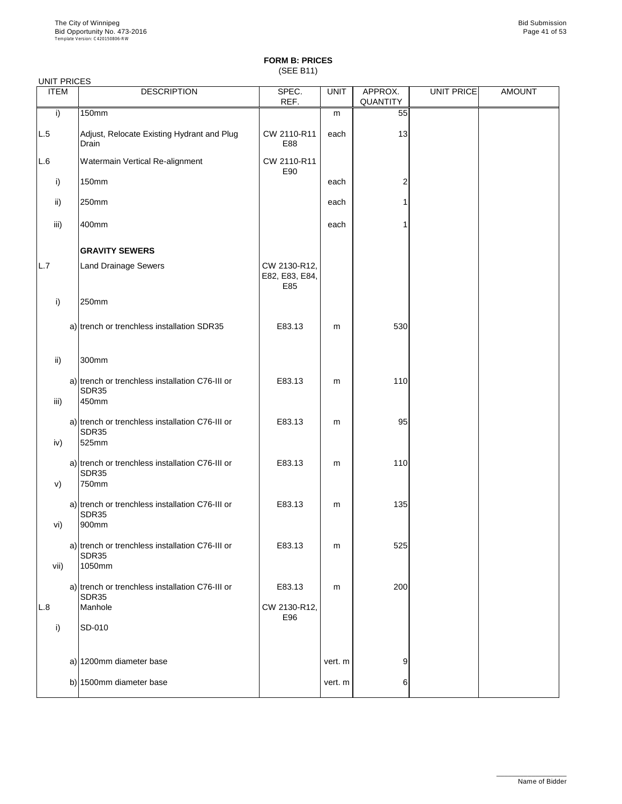(SEE B11)

| <b>ITEM</b> | <b>DESCRIPTION</b>                                                        | SPEC.<br>REF.                         | <b>UNIT</b> | APPROX.<br><b>QUANTITY</b> | <b>UNIT PRICE</b> | <b>AMOUNT</b> |
|-------------|---------------------------------------------------------------------------|---------------------------------------|-------------|----------------------------|-------------------|---------------|
| i)          | <b>150mm</b>                                                              |                                       | m           | 55                         |                   |               |
| L.5         | Adjust, Relocate Existing Hydrant and Plug<br>Drain                       | CW 2110-R11<br>E88                    | each        | 13                         |                   |               |
| L.6         | <b>Watermain Vertical Re-alignment</b>                                    | CW 2110-R11<br>E90                    |             |                            |                   |               |
| i)          | <b>150mm</b>                                                              |                                       | each        | 2                          |                   |               |
| ii)         | 250mm                                                                     |                                       | each        |                            |                   |               |
| iii)        | 400mm                                                                     |                                       | each        |                            |                   |               |
|             | <b>GRAVITY SEWERS</b>                                                     |                                       |             |                            |                   |               |
| L.7         | <b>Land Drainage Sewers</b>                                               | CW 2130-R12,<br>E82, E83, E84,<br>E85 |             |                            |                   |               |
| i)          | 250mm                                                                     |                                       |             |                            |                   |               |
|             | a) trench or trenchless installation SDR35                                | E83.13                                | m           | 530                        |                   |               |
| ii)         | 300mm                                                                     |                                       |             |                            |                   |               |
| iii)        | a) trench or trenchless installation C76-III or<br>SDR35<br>450mm         | E83.13                                | m           | 110                        |                   |               |
| iv)         | a) trench or trenchless installation C76-III or<br>SDR35<br>525mm         | E83.13                                | m           | 95                         |                   |               |
| V)          | a) trench or trenchless installation C76-III or<br><b>SDR35</b><br>750mm  | E83.13                                | m           | 110                        |                   |               |
| vi)         | a) trench or trenchless installation C76-III or<br>SDR35<br>900mm         | E83.13                                | m           | 135                        |                   |               |
| vii)        | a) trench or trenchless installation C76-III or<br><b>SDR35</b><br>1050mm | E83.13                                | m           | 525                        |                   |               |
|             | a) trench or trenchless installation C76-III or<br><b>SDR35</b>           | E83.13                                | m           | 200                        |                   |               |
| L.8         | Manhole                                                                   | CW 2130-R12,<br>E96                   |             |                            |                   |               |

| <b>SD-010</b>           |         |    |  |
|-------------------------|---------|----|--|
|                         |         |    |  |
| a) 1200mm diameter base | vert. m | 9' |  |
| b) 1500mm diameter base | vert. m | 6  |  |
|                         |         |    |  |

\_\_\_\_\_\_\_\_\_\_\_\_\_\_\_\_\_\_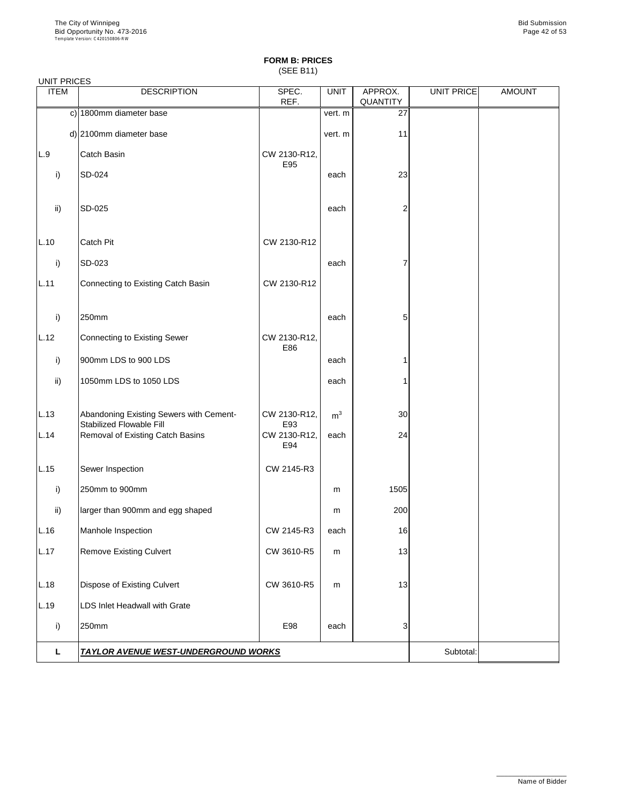(SEE B11)

UNIT PRICES

| <b>ITEM</b>   | <b>DESCRIPTION</b>                                                         | SPEC.<br>REF.       | <b>UNIT</b>    | APPROX.<br>QUANTITY | <b>UNIT PRICE</b> | <b>AMOUNT</b> |
|---------------|----------------------------------------------------------------------------|---------------------|----------------|---------------------|-------------------|---------------|
|               | c) 1800mm diameter base                                                    |                     | vert. m        | 27                  |                   |               |
|               | d) 2100mm diameter base                                                    |                     | vert. m        | 11                  |                   |               |
| L.9           | <b>Catch Basin</b>                                                         | CW 2130-R12,        |                |                     |                   |               |
| i)            | SD-024                                                                     | E95                 | each           | 23                  |                   |               |
|               |                                                                            |                     |                |                     |                   |               |
| $\mathsf{ii}$ | SD-025                                                                     |                     | each           | $\overline{2}$      |                   |               |
|               |                                                                            |                     |                |                     |                   |               |
| L.10          | <b>Catch Pit</b>                                                           | CW 2130-R12         |                |                     |                   |               |
| i)            | SD-023                                                                     |                     | each           | 7                   |                   |               |
| L.11          | Connecting to Existing Catch Basin                                         | CW 2130-R12         |                |                     |                   |               |
|               |                                                                            |                     |                |                     |                   |               |
| i)            | 250mm                                                                      |                     | each           | 5                   |                   |               |
| L.12          | Connecting to Existing Sewer                                               | CW 2130-R12,<br>E86 |                |                     |                   |               |
| i)            | 900mm LDS to 900 LDS                                                       |                     | each           |                     |                   |               |
| $\mathsf{ii}$ | 1050mm LDS to 1050 LDS                                                     |                     | each           |                     |                   |               |
|               |                                                                            |                     |                |                     |                   |               |
| L.13          | Abandoning Existing Sewers with Cement-<br><b>Stabilized Flowable Fill</b> | CW 2130-R12,<br>E93 | m <sup>3</sup> | 30                  |                   |               |
| L.14          | <b>Removal of Existing Catch Basins</b>                                    | CW 2130-R12,<br>E94 | each           | 24                  |                   |               |
|               |                                                                            |                     |                |                     |                   |               |
| L.15          | Sewer Inspection                                                           | CW 2145-R3          |                |                     |                   |               |
| i)            | 250mm to 900mm                                                             |                     | m              | 1505                |                   |               |
| $\mathsf{ii}$ | larger than 900mm and egg shaped                                           |                     | m              | 200                 |                   |               |
| L.16          | Manhole Inspection                                                         | CW 2145-R3          | each           | 16                  |                   |               |
| L.17          | <b>Remove Existing Culvert</b>                                             | CW 3610-R5          | m              | 13                  |                   |               |
|               |                                                                            |                     |                |                     |                   |               |
| L.18          | <b>Dispose of Existing Culvert</b>                                         | CW 3610-R5          | m              | 13                  |                   |               |
| L.19          | <b>LDS Inlet Headwall with Grate</b>                                       |                     |                |                     |                   |               |
|               |                                                                            |                     |                |                     |                   |               |

| 50mm                                        | E98       | each |  |  |  |
|---------------------------------------------|-----------|------|--|--|--|
| <b>TAYLOR AVENUE WEST-UNDERGROUND WORKS</b> | Subtotal: |      |  |  |  |

\_\_\_\_\_\_\_\_\_\_\_\_\_\_\_\_\_\_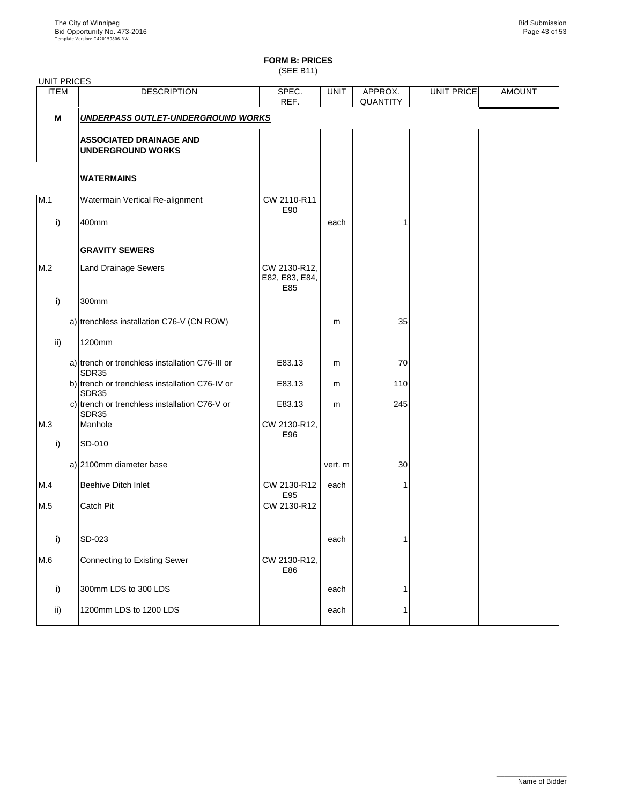(SEE B11)

| <b>ITEM</b>   | <b>DESCRIPTION</b>                                             | SPEC.<br>REF.                         | <b>UNIT</b> | APPROX.<br><b>QUANTITY</b> | UNIT PRICE | <b>AMOUNT</b> |
|---------------|----------------------------------------------------------------|---------------------------------------|-------------|----------------------------|------------|---------------|
| M             | UNDERPASS OUTLET-UNDERGROUND WORKS                             |                                       |             |                            |            |               |
|               | <b>ASSOCIATED DRAINAGE AND</b><br><b>UNDERGROUND WORKS</b>     |                                       |             |                            |            |               |
|               | <b>WATERMAINS</b>                                              |                                       |             |                            |            |               |
| M.1           | Watermain Vertical Re-alignment                                | CW 2110-R11<br>E90                    |             |                            |            |               |
| i)            | 400mm                                                          |                                       | each        |                            |            |               |
|               | <b>GRAVITY SEWERS</b>                                          |                                       |             |                            |            |               |
| M.2           | <b>Land Drainage Sewers</b>                                    | CW 2130-R12,<br>E82, E83, E84,<br>E85 |             |                            |            |               |
| i)            | 300mm                                                          |                                       |             |                            |            |               |
|               | a) trenchless installation C76-V (CN ROW)                      |                                       | m           | 35                         |            |               |
| $\mathsf{ii}$ | 1200mm                                                         |                                       |             |                            |            |               |
|               | a) trench or trenchless installation C76-III or<br>SDR35       | E83.13                                | m           | 70                         |            |               |
|               | b) trench or trenchless installation C76-IV or<br><b>SDR35</b> | E83.13                                | m           | 110                        |            |               |
|               | c) trench or trenchless installation C76-V or<br>SDR35         | E83.13                                | m           | 245                        |            |               |
| M.3           | Manhole                                                        | CW 2130-R12,<br>E96                   |             |                            |            |               |
| $\mathsf{i}$  | SD-010                                                         |                                       |             |                            |            |               |
|               | a) 2100mm diameter base                                        |                                       | vert. m     | 30                         |            |               |
| M.4           | <b>Beehive Ditch Inlet</b>                                     | CW 2130-R12<br>E95                    | each        |                            |            |               |
| M.5           | <b>Catch Pit</b>                                               | CW 2130-R12                           |             |                            |            |               |
| i)            | SD-023                                                         |                                       | each        |                            |            |               |
| M.6           | <b>Connecting to Existing Sewer</b>                            | CW 2130-R12,<br>E86                   |             |                            |            |               |
| i)            | 300mm LDS to 300 LDS                                           |                                       | each        |                            |            |               |
| $\mathsf{ii}$ | 1200mm LDS to 1200 LDS                                         |                                       | each        |                            |            |               |
|               |                                                                |                                       |             |                            |            |               |

\_\_\_\_\_\_\_\_\_\_\_\_\_\_\_\_\_\_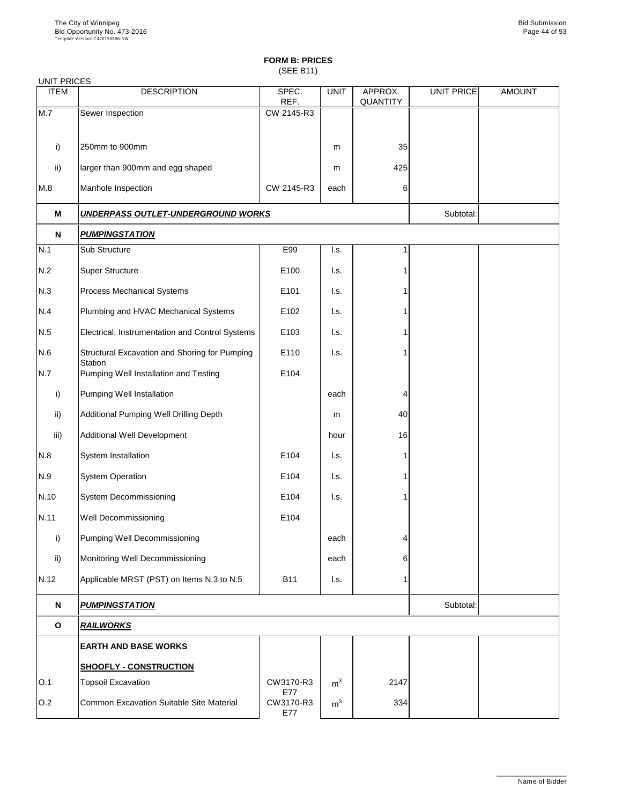(SEE B11)

| <b>UNIT PRICES</b> |                                                                 |                  |                           |                            |                   |               |
|--------------------|-----------------------------------------------------------------|------------------|---------------------------|----------------------------|-------------------|---------------|
| <b>ITEM</b>        | <b>DESCRIPTION</b>                                              | SPEC.<br>REF.    | <b>UNIT</b>               | APPROX.<br><b>QUANTITY</b> | <b>UNIT PRICE</b> | <b>AMOUNT</b> |
| M.7                | Sewer Inspection                                                | CW 2145-R3       |                           |                            |                   |               |
|                    | 250mm to 900mm                                                  |                  |                           | 35                         |                   |               |
| i)                 |                                                                 |                  | m                         |                            |                   |               |
| ii)                | larger than 900mm and egg shaped                                |                  | m                         | 425                        |                   |               |
| M.8                | Manhole Inspection                                              | CW 2145-R3       | each                      | 6                          |                   |               |
| M                  | <b>UNDERPASS OUTLET-UNDERGROUND WORKS</b>                       |                  |                           |                            | Subtotal:         |               |
| N                  | <b>PUMPINGSTATION</b>                                           |                  |                           |                            |                   |               |
| N.1                | Sub Structure                                                   | E99              | I.s.                      |                            |                   |               |
| N.2                | <b>Super Structure</b>                                          | E100             | I.s.                      |                            |                   |               |
| N.3                | <b>Process Mechanical Systems</b>                               | E101             | I.s.                      |                            |                   |               |
| N.4                | Plumbing and HVAC Mechanical Systems                            | E102             | I.s.                      |                            |                   |               |
| N.5                | Electrical, Instrumentation and Control Systems                 | E103             | I.s.                      |                            |                   |               |
| N.6                | Structural Excavation and Shoring for Pumping<br><b>Station</b> | E110             | $\mathsf{I}.\mathsf{s}$ . |                            |                   |               |
| N.7                | Pumping Well Installation and Testing                           | E104             |                           |                            |                   |               |
| i)                 | <b>Pumping Well Installation</b>                                |                  | each                      | 4                          |                   |               |
| ii)                | <b>Additional Pumping Well Drilling Depth</b>                   |                  | m                         | 40                         |                   |               |
| iii)               | <b>Additional Well Development</b>                              |                  | hour                      | 16                         |                   |               |
| N.8                | System Installation                                             | E104             | I.s.                      |                            |                   |               |
| N.9                | <b>System Operation</b>                                         | E104             | I.s.                      |                            |                   |               |
| N.10               | <b>System Decommissioning</b>                                   | E104             | $\mathsf{I}.\mathsf{s}$ . |                            |                   |               |
| N.11               | <b>Well Decommissioning</b>                                     | E104             |                           |                            |                   |               |
| i)                 | <b>Pumping Well Decommissioning</b>                             |                  | each                      | 4                          |                   |               |
| ii)                | Monitoring Well Decommissioning                                 |                  | each                      | 6                          |                   |               |
| N.12               | Applicable MRST (PST) on Items N.3 to N.5                       | <b>B11</b>       | $\mathsf{L}$ s.           |                            |                   |               |
| N                  | <b>PUMPINGSTATION</b>                                           |                  |                           |                            | Subtotal:         |               |
| $\mathbf O$        | <b>RAILWORKS</b>                                                |                  |                           |                            |                   |               |
|                    | <b>EARTH AND BASE WORKS</b>                                     |                  |                           |                            |                   |               |
|                    | <b>SHOOFLY - CONSTRUCTION</b>                                   |                  |                           |                            |                   |               |
| O.1                | <b>Topsoil Excavation</b>                                       | CW3170-R3<br>E77 | m <sup>3</sup>            | 2147                       |                   |               |
| O.2                | Common Excavation Suitable Site Material                        | CW3170-R3<br>E77 | m <sup>3</sup>            | 334                        |                   |               |

\_\_\_\_\_\_\_\_\_\_\_\_\_\_\_\_\_\_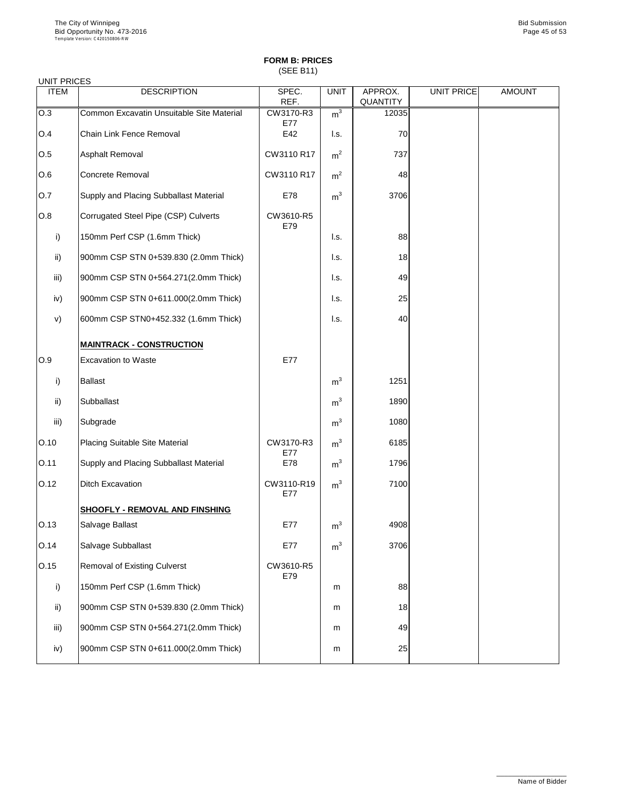(SEE B11)

### UNIT PRICES

| <b>ITEM</b>   | <b>DESCRIPTION</b>                               | SPEC.             | <b>UNIT</b>               | APPROX.         | <b>UNIT PRICE</b> | <b>AMOUNT</b> |
|---------------|--------------------------------------------------|-------------------|---------------------------|-----------------|-------------------|---------------|
|               | <b>Common Excavatin Unsuitable Site Material</b> | REF.              |                           | <b>QUANTITY</b> |                   |               |
| O.3           |                                                  | CW3170-R3<br>E77  | m <sup>3</sup>            | 12035           |                   |               |
| O.4           | <b>Chain Link Fence Removal</b>                  | E42               | $\mathsf{L}$ s.           | 70              |                   |               |
| O.5           | <b>Asphalt Removal</b>                           | CW3110 R17        | m <sup>2</sup>            | 737             |                   |               |
| O.6           | <b>Concrete Removal</b>                          | CW3110 R17        | m <sup>2</sup>            | 48              |                   |               |
| O.7           | <b>Supply and Placing Subballast Material</b>    | E78               | m <sup>3</sup>            | 3706            |                   |               |
| O.8           | Corrugated Steel Pipe (CSP) Culverts             | CW3610-R5<br>E79  |                           |                 |                   |               |
| i)            | 150mm Perf CSP (1.6mm Thick)                     |                   | $\mathsf{I}.\mathsf{s}$ . | 88              |                   |               |
| ii)           | 900mm CSP STN 0+539.830 (2.0mm Thick)            |                   | l.s.                      | 18              |                   |               |
| iii)          | 900mm CSP STN 0+564.271(2.0mm Thick)             |                   | l.s.                      | 49              |                   |               |
| iv)           | 900mm CSP STN 0+611.000(2.0mm Thick)             |                   | $\mathsf{I}.\mathsf{s}$ . | 25              |                   |               |
| V)            | 600mm CSP STN0+452.332 (1.6mm Thick)             |                   | $\mathsf{I}.\mathsf{s}$ . | 40              |                   |               |
|               | <b>MAINTRACK - CONSTRUCTION</b>                  |                   |                           |                 |                   |               |
| O.9           | <b>Excavation to Waste</b>                       | E77               |                           |                 |                   |               |
| i)            | <b>Ballast</b>                                   |                   | m <sup>3</sup>            | 1251            |                   |               |
| $\mathsf{ii}$ | Subballast                                       |                   | m <sup>3</sup>            | 1890            |                   |               |
| iii)          | Subgrade                                         |                   | m <sup>3</sup>            | 1080            |                   |               |
| O.10          | <b>Placing Suitable Site Material</b>            | CW3170-R3<br>E77  | m <sup>3</sup>            | 6185            |                   |               |
| O.11          | Supply and Placing Subballast Material           | E78               | m <sup>3</sup>            | 1796            |                   |               |
| 0.12          | <b>Ditch Excavation</b>                          | CW3110-R19<br>E77 | m <sup>3</sup>            | 7100            |                   |               |
|               | <b>SHOOFLY - REMOVAL AND FINSHING</b>            |                   |                           |                 |                   |               |
| O.13          | Salvage Ballast                                  | E77               | m <sup>3</sup>            | 4908            |                   |               |
| O.14          | Salvage Subballast                               | E77               | m <sup>3</sup>            | 3706            |                   |               |
| 0.15          | <b>Removal of Existing Culverst</b>              | CW3610-R5<br>E79  |                           |                 |                   |               |
| i)            | 150mm Perf CSP (1.6mm Thick)                     |                   | m                         | 88              |                   |               |
| ii)           | 900mm CSP STN 0+539.830 (2.0mm Thick)            |                   | m                         | 18              |                   |               |
|               |                                                  |                   |                           |                 |                   |               |

| iii) | 900mm CSP STN 0+564.271(2.0mm Thick) | m | 49              |  |
|------|--------------------------------------|---|-----------------|--|
| iv)  | 900mm CSP STN 0+611.000(2.0mm Thick) | m | 25 <sub>1</sub> |  |

\_\_\_\_\_\_\_\_\_\_\_\_\_\_\_\_\_\_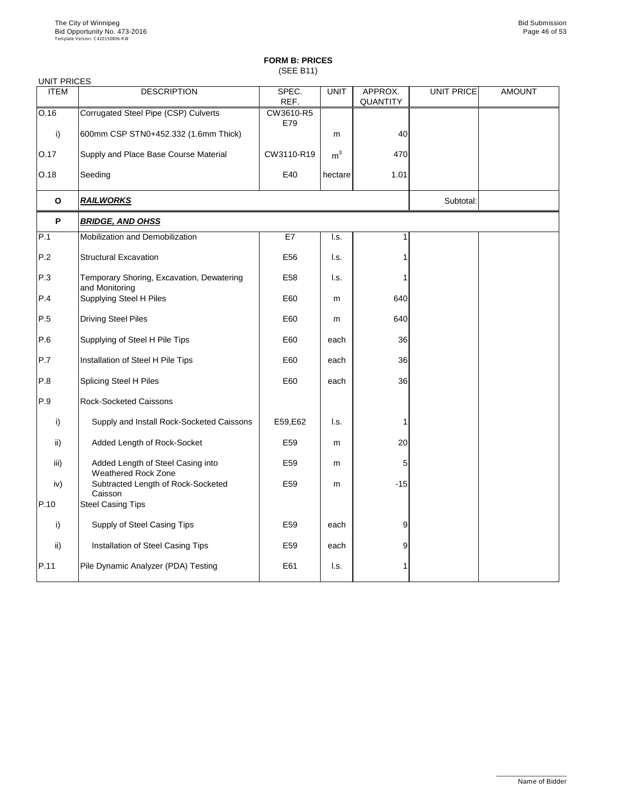(SEE B11)

| <b>UNIT PRICES</b> |                                                                 |                  |                |                            |                   |               |
|--------------------|-----------------------------------------------------------------|------------------|----------------|----------------------------|-------------------|---------------|
| <b>ITEM</b>        | <b>DESCRIPTION</b>                                              | SPEC.<br>REF.    | <b>UNIT</b>    | APPROX.<br><b>QUANTITY</b> | <b>UNIT PRICE</b> | <b>AMOUNT</b> |
| O.16               | <b>Corrugated Steel Pipe (CSP) Culverts</b>                     | CW3610-R5<br>E79 |                |                            |                   |               |
| $\mathsf{i}$       | 600mm CSP STN0+452.332 (1.6mm Thick)                            |                  | m              | 40                         |                   |               |
| O.17               | Supply and Place Base Course Material                           | CW3110-R19       | m <sup>3</sup> | 470                        |                   |               |
| O.18               | Seeding                                                         | E40              | hectare        | 1.01                       |                   |               |
| $\mathbf O$        | <b>RAILWORKS</b>                                                |                  |                |                            | Subtotal:         |               |
| P                  | <b>BRIDGE, AND OHSS</b>                                         |                  |                |                            |                   |               |
| P.1                | Mobilization and Demobilization                                 | E7               | I.s.           | 1                          |                   |               |
| P.2                | <b>Structural Excavation</b>                                    | E56              | l.s.           |                            |                   |               |
| P.3                | Temporary Shoring, Excavation, Dewatering<br>and Monitoring     | E58              | I.s.           |                            |                   |               |
| P.4                | <b>Supplying Steel H Piles</b>                                  | E60              | m              | 640                        |                   |               |
| P.5                | <b>Driving Steel Piles</b>                                      | E60              | m              | 640                        |                   |               |
| P.6                | Supplying of Steel H Pile Tips                                  | E60              | each           | 36                         |                   |               |
| P.7                | Installation of Steel H Pile Tips                               | E60              | each           | 36                         |                   |               |
| P.8                | <b>Splicing Steel H Piles</b>                                   | E60              | each           | 36                         |                   |               |
| P.9                | <b>Rock-Socketed Caissons</b>                                   |                  |                |                            |                   |               |
| i)                 | Supply and Install Rock-Socketed Caissons                       | E59, E62         | I.s.           |                            |                   |               |
| ii)                | Added Length of Rock-Socket                                     | E <sub>59</sub>  | m              | 20                         |                   |               |
| iii)               | Added Length of Steel Casing into<br><b>Weathered Rock Zone</b> | E <sub>59</sub>  | m              | 5                          |                   |               |
| iv)                | Subtracted Length of Rock-Socketed<br>Caisson                   | E59              | m              | $-15$                      |                   |               |
| P.10               | <b>Steel Casing Tips</b>                                        |                  |                |                            |                   |               |
| i)                 | <b>Supply of Steel Casing Tips</b>                              | E59              | each           | 9                          |                   |               |
| $\mathsf{ii}$      | Installation of Steel Casing Tips                               | E59              | each           | 9                          |                   |               |
| P.11               | Pile Dynamic Analyzer (PDA) Testing                             | E61              | I.s.           |                            |                   |               |

\_\_\_\_\_\_\_\_\_\_\_\_\_\_\_\_\_\_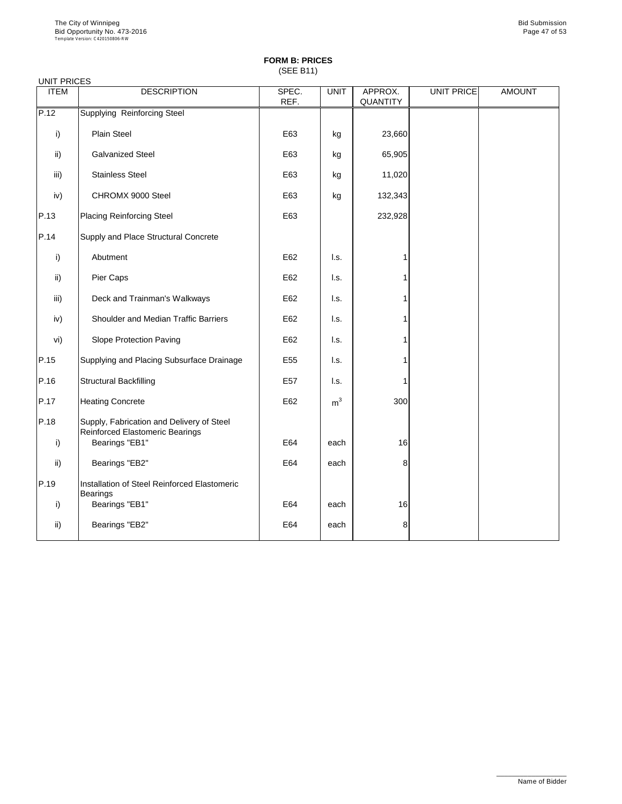(SEE B11)

| <b>UNIT PRICES</b> |                                                                                     |                 |                |                            |            |               |
|--------------------|-------------------------------------------------------------------------------------|-----------------|----------------|----------------------------|------------|---------------|
| <b>ITEM</b>        | <b>DESCRIPTION</b>                                                                  | SPEC.<br>REF.   | <b>UNIT</b>    | APPROX.<br><b>QUANTITY</b> | UNIT PRICE | <b>AMOUNT</b> |
| P.12               | <b>Supplying Reinforcing Steel</b>                                                  |                 |                |                            |            |               |
| i)                 | <b>Plain Steel</b>                                                                  | E63             | kg             | 23,660                     |            |               |
| $\mathsf{ii}$      | <b>Galvanized Steel</b>                                                             | E63             | kg             | 65,905                     |            |               |
| iii)               | <b>Stainless Steel</b>                                                              | E63             | kg             | 11,020                     |            |               |
| iv)                | CHROMX 9000 Steel                                                                   | E63             | kg             | 132,343                    |            |               |
| P.13               | <b>Placing Reinforcing Steel</b>                                                    | E63             |                | 232,928                    |            |               |
| P.14               | Supply and Place Structural Concrete                                                |                 |                |                            |            |               |
| i)                 | Abutment                                                                            | E62             | I.s.           | 1                          |            |               |
| $\mathsf{ii}$      | Pier Caps                                                                           | E62             | I.s.           |                            |            |               |
| iii)               | Deck and Trainman's Walkways                                                        | E62             | I.s.           | 1                          |            |               |
| iv)                | <b>Shoulder and Median Traffic Barriers</b>                                         | E62             | I.s.           | 1                          |            |               |
| vi)                | <b>Slope Protection Paving</b>                                                      | E62             | I.s.           | 1                          |            |               |
| P.15               | Supplying and Placing Subsurface Drainage                                           | E <sub>55</sub> | I.s.           |                            |            |               |
| P.16               | <b>Structural Backfilling</b>                                                       | E <sub>57</sub> | I.s.           | 1                          |            |               |
| P.17               | <b>Heating Concrete</b>                                                             | E62             | m <sup>3</sup> | 300                        |            |               |
| P.18               | Supply, Fabrication and Delivery of Steel<br><b>Reinforced Elastomeric Bearings</b> |                 |                |                            |            |               |
| i)                 | Bearings "EB1"                                                                      | E64             | each           | 16                         |            |               |
| $\mathsf{ii}$      | Bearings "EB2"                                                                      | E64             | each           | 8                          |            |               |
| P.19               | <b>Installation of Steel Reinforced Elastomeric</b><br><b>Bearings</b>              |                 |                |                            |            |               |
| i)                 | Bearings "EB1"                                                                      | E64             | each           | 16                         |            |               |
| $\mathsf{ii}$ )    | Bearings "EB2"                                                                      | E64             | each           | 8                          |            |               |

\_\_\_\_\_\_\_\_\_\_\_\_\_\_\_\_\_\_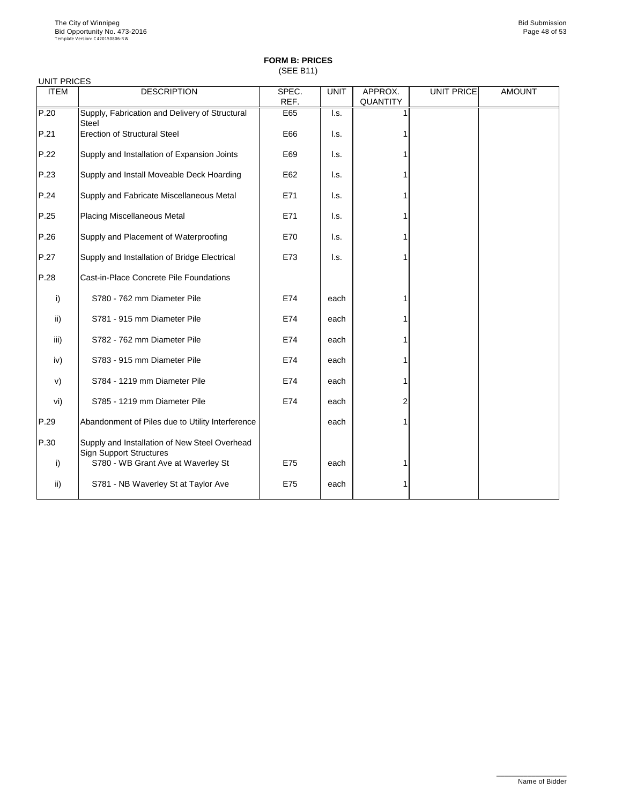## **FORM B: PRICES** (SEE B11)

| <b>UNIT PRICES</b> |                                                                                 |               |             |                            |                   |               |
|--------------------|---------------------------------------------------------------------------------|---------------|-------------|----------------------------|-------------------|---------------|
| <b>ITEM</b>        | <b>DESCRIPTION</b>                                                              | SPEC.<br>REF. | <b>UNIT</b> | APPROX.<br><b>QUANTITY</b> | <b>UNIT PRICE</b> | <b>AMOUNT</b> |
| P.20               | Supply, Fabrication and Delivery of Structural<br><b>Steel</b>                  | E65           | I.s.        |                            |                   |               |
| P.21               | <b>Erection of Structural Steel</b>                                             | E66           | l.s.        |                            |                   |               |
| P.22               | Supply and Installation of Expansion Joints                                     | E69           | l.s.        |                            |                   |               |
| P.23               | Supply and Install Moveable Deck Hoarding                                       | E62           | I.s.        |                            |                   |               |
| P.24               | Supply and Fabricate Miscellaneous Metal                                        | E71           | l.s.        |                            |                   |               |
| P.25               | <b>Placing Miscellaneous Metal</b>                                              | E71           | I.s.        |                            |                   |               |
| P.26               | Supply and Placement of Waterproofing                                           | E70           | I.s.        |                            |                   |               |
| P.27               | Supply and Installation of Bridge Electrical                                    | E73           | I.s.        |                            |                   |               |
| P.28               | Cast-in-Place Concrete Pile Foundations                                         |               |             |                            |                   |               |
| i)                 | S780 - 762 mm Diameter Pile                                                     | E74           | each        |                            |                   |               |
| $\mathsf{ii}$      | S781 - 915 mm Diameter Pile                                                     | E74           | each        |                            |                   |               |
| iii)               | S782 - 762 mm Diameter Pile                                                     | E74           | each        |                            |                   |               |
| iv)                | S783 - 915 mm Diameter Pile                                                     | E74           | each        |                            |                   |               |
| V)                 | S784 - 1219 mm Diameter Pile                                                    | E74           | each        |                            |                   |               |
| vi)                | S785 - 1219 mm Diameter Pile                                                    | E74           | each        | 2                          |                   |               |
| P.29               | Abandonment of Piles due to Utility Interference                                |               | each        |                            |                   |               |
| P.30               | Supply and Installation of New Steel Overhead<br><b>Sign Support Structures</b> |               |             |                            |                   |               |
| i)                 | S780 - WB Grant Ave at Waverley St                                              | E75           | each        |                            |                   |               |
| ii)                | S781 - NB Waverley St at Taylor Ave                                             | E75           | each        |                            |                   |               |

\_\_\_\_\_\_\_\_\_\_\_\_\_\_\_\_\_\_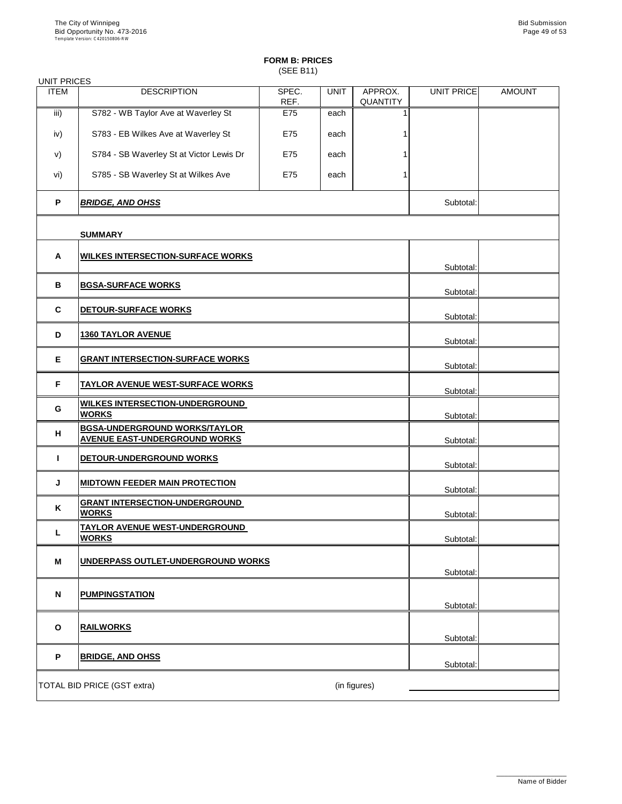(SEE B11)

| <b>UNIT PRICES</b> |                                                                              |               |             |                            |            |               |
|--------------------|------------------------------------------------------------------------------|---------------|-------------|----------------------------|------------|---------------|
| <b>ITEM</b>        | <b>DESCRIPTION</b>                                                           | SPEC.<br>REF. | <b>UNIT</b> | APPROX.<br><b>QUANTITY</b> | UNIT PRICE | <b>AMOUNT</b> |
| iii)               | S782 - WB Taylor Ave at Waverley St                                          | E75           | each        |                            |            |               |
| iv)                | S783 - EB Wilkes Ave at Waverley St                                          | E75           | each        |                            |            |               |
| V)                 | S784 - SB Waverley St at Victor Lewis Dr                                     | E75           | each        |                            |            |               |
| vi)                | S785 - SB Waverley St at Wilkes Ave                                          | E75           | each        |                            |            |               |
| P                  | <b>BRIDGE, AND OHSS</b>                                                      |               |             |                            | Subtotal:  |               |
|                    | <b>SUMMARY</b>                                                               |               |             |                            |            |               |
| $\mathsf{A}$       | <b>WILKES INTERSECTION-SURFACE WORKS</b>                                     |               |             |                            |            |               |
|                    |                                                                              |               |             |                            | Subtotal:  |               |
| B                  | <b>BGSA-SURFACE WORKS</b>                                                    |               |             |                            | Subtotal:  |               |
| $\mathbf C$        | DETOUR-SURFACE WORKS                                                         |               |             | Subtotal:                  |            |               |
| D                  | <b>1360 TAYLOR AVENUE</b>                                                    |               |             | Subtotal:                  |            |               |
| E                  | <b>GRANT INTERSECTION-SURFACE WORKS</b>                                      |               |             | Subtotal:                  |            |               |
| F.                 | <b>TAYLOR AVENUE WEST-SURFACE WORKS</b>                                      |               | Subtotal:   |                            |            |               |
| G                  | <b>WILKES INTERSECTION-UNDERGROUND</b><br><b>WORKS</b>                       |               | Subtotal:   |                            |            |               |
| H                  | <b>BGSA-UNDERGROUND WORKS/TAYLOR</b><br><b>AVENUE EAST-UNDERGROUND WORKS</b> |               |             |                            | Subtotal:  |               |
|                    | DETOUR-UNDERGROUND WORKS                                                     |               |             |                            | Subtotal:  |               |
| J                  | <b>MIDTOWN FEEDER MAIN PROTECTION</b>                                        |               |             |                            | Subtotal:  |               |
| K                  | <b>GRANT INTERSECTION-UNDERGROUND</b><br><b>WORKS</b>                        |               | Subtotal:   |                            |            |               |
| L                  | <u>TAYLOR AVENUE WEST-UNDERGROUND_</u><br><b>WORKS</b>                       |               |             | Subtotal:                  |            |               |
| M                  | UNDERPASS OUTLET-UNDERGROUND WORKS                                           |               |             |                            |            |               |
|                    |                                                                              |               |             |                            | Subtotal:  |               |
| N                  | <b>PUMPINGSTATION</b>                                                        |               |             |                            | Subtotal:  |               |
|                    |                                                                              |               |             |                            |            |               |

| O | <b>RAILWORKS</b>                   |              | Subtotal: |  |
|---|------------------------------------|--------------|-----------|--|
| D | <b>BRIDGE, AND OHSS</b>            |              | Subtotal: |  |
|   | <b>TOTAL BID PRICE (GST extra)</b> | (in figures) |           |  |

\_\_\_\_\_\_\_\_\_\_\_\_\_\_\_\_\_\_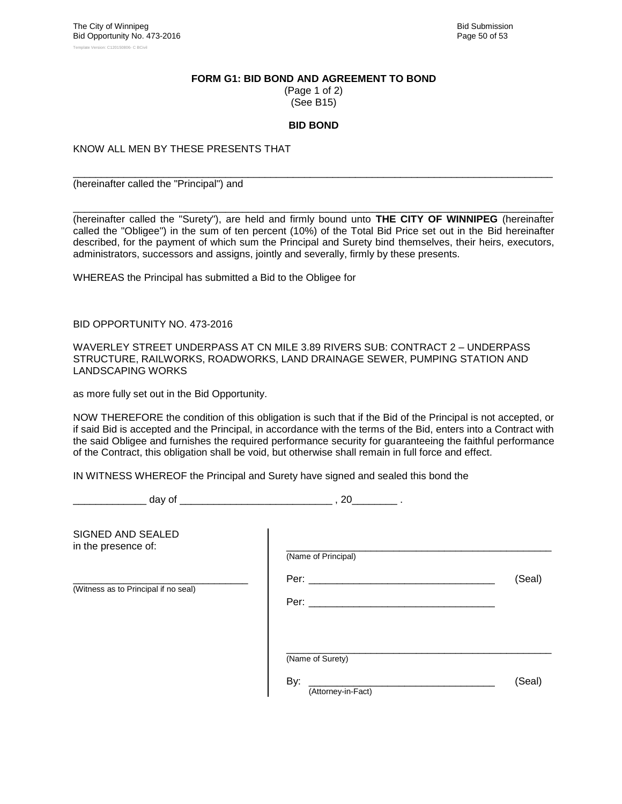#### **FORM G1: BID BOND AND AGREEMENT TO BOND**

(Page 1 of 2) (See B15)

#### **BID BOND**

\_\_\_\_\_\_\_\_\_\_\_\_\_\_\_\_\_\_\_\_\_\_\_\_\_\_\_\_\_\_\_\_\_\_\_\_\_\_\_\_\_\_\_\_\_\_\_\_\_\_\_\_\_\_\_\_\_\_\_\_\_\_\_\_\_\_\_\_\_\_\_\_\_\_\_\_\_\_\_\_\_\_\_\_\_

KNOW ALL MEN BY THESE PRESENTS THAT

(hereinafter called the "Principal") and

\_\_\_\_\_\_\_\_\_\_\_\_\_\_\_\_\_\_\_\_\_\_\_\_\_\_\_\_\_\_\_\_\_\_\_\_\_\_\_\_\_\_\_\_\_\_\_\_\_\_\_\_\_\_\_\_\_\_\_\_\_\_\_\_\_\_\_\_\_\_\_\_\_\_\_\_\_\_\_\_\_\_\_\_\_ (hereinafter called the "Surety"), are held and firmly bound unto **THE CITY OF WINNIPEG** (hereinafter called the "Obligee") in the sum of ten percent (10%) of the Total Bid Price set out in the Bid hereinafter described, for the payment of which sum the Principal and Surety bind themselves, their heirs, executors, administrators, successors and assigns, jointly and severally, firmly by these presents.

WHEREAS the Principal has submitted a Bid to the Obligee for

BID OPPORTUNITY NO. 473-2016

WAVERLEY STREET UNDERPASS AT CN MILE 3.89 RIVERS SUB: CONTRACT 2 – UNDERPASS STRUCTURE, RAILWORKS, ROADWORKS, LAND DRAINAGE SEWER, PUMPING STATION AND LANDSCAPING WORKS

as more fully set out in the Bid Opportunity.

NOW THEREFORE the condition of this obligation is such that if the Bid of the Principal is not accepted, or if said Bid is accepted and the Principal, in accordance with the terms of the Bid, enters into a Contract with the said Obligee and furnishes the required performance security for guaranteeing the faithful performance of the Contract, this obligation shall be void, but otherwise shall remain in full force and effect.

IN WITNESS WHEREOF the Principal and Surety have signed and sealed this bond the

day of  $\qquad \qquad \qquad 20 \qquad \qquad .$ 

| SIGNED AND SEALED<br>in the presence of: | (Name of Principal)                           |        |
|------------------------------------------|-----------------------------------------------|--------|
| (Witness as to Principal if no seal)     | Per: ____________                             | (Seal) |
|                                          | (Name of Surety)<br>By:<br>(Attorney-in-Fact) | (Seal) |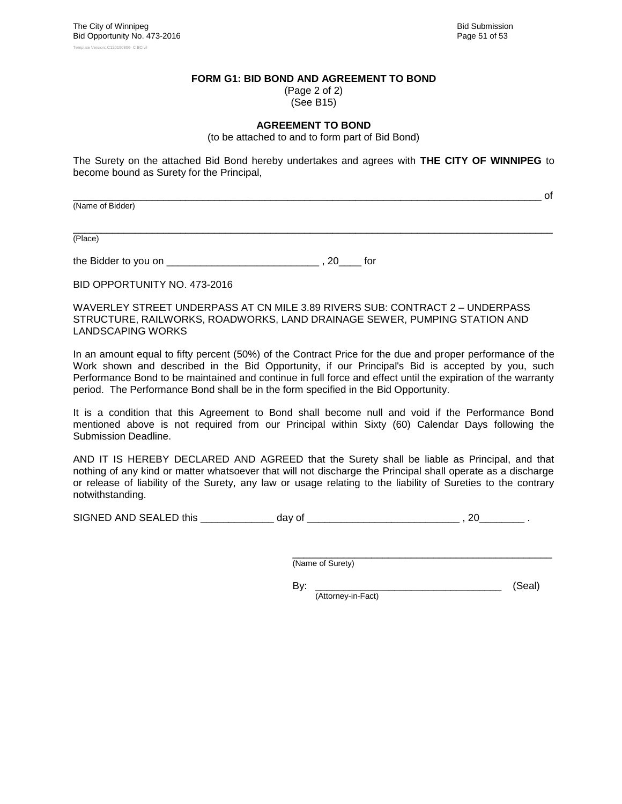#### **FORM G1: BID BOND AND AGREEMENT TO BOND**

(Page 2 of 2) (See B15)

#### **AGREEMENT TO BOND**

(to be attached to and to form part of Bid Bond)

The Surety on the attached Bid Bond hereby undertakes and agrees with **THE CITY OF WINNIPEG** to become bound as Surety for the Principal,

(Name of Bidder)

\_\_\_\_\_\_\_\_\_\_\_\_\_\_\_\_\_\_\_\_\_\_\_\_\_\_\_\_\_\_\_\_\_\_\_\_\_\_\_\_\_\_\_\_\_\_\_\_\_\_\_\_\_\_\_\_\_\_\_\_\_\_\_\_\_\_\_\_\_\_\_\_\_\_\_\_\_\_\_\_\_\_\_\_\_ (Place)

the Bidder to you on \_\_\_\_\_\_\_\_\_\_\_\_\_\_\_\_\_\_\_\_\_\_\_\_\_\_\_ , 20\_\_\_\_ for

BID OPPORTUNITY NO. 473-2016

WAVERLEY STREET UNDERPASS AT CN MILE 3.89 RIVERS SUB: CONTRACT 2 – UNDERPASS STRUCTURE, RAILWORKS, ROADWORKS, LAND DRAINAGE SEWER, PUMPING STATION AND LANDSCAPING WORKS

In an amount equal to fifty percent (50%) of the Contract Price for the due and proper performance of the Work shown and described in the Bid Opportunity, if our Principal's Bid is accepted by you, such Performance Bond to be maintained and continue in full force and effect until the expiration of the warranty period. The Performance Bond shall be in the form specified in the Bid Opportunity.

It is a condition that this Agreement to Bond shall become null and void if the Performance Bond mentioned above is not required from our Principal within Sixty (60) Calendar Days following the Submission Deadline.

AND IT IS HEREBY DECLARED AND AGREED that the Surety shall be liable as Principal, and that nothing of any kind or matter whatsoever that will not discharge the Principal shall operate as a discharge or release of liability of the Surety, any law or usage relating to the liability of Sureties to the contrary notwithstanding.

SIGNED AND SEALED this \_\_\_\_\_\_\_\_\_\_\_\_\_ day of \_\_\_\_\_\_\_\_\_\_\_\_\_\_\_\_\_\_\_\_\_\_\_\_\_\_\_ , 20\_\_\_\_\_\_\_\_ .

\_\_\_\_\_\_\_\_\_\_\_\_\_\_\_\_\_\_\_\_\_\_\_\_\_\_\_\_\_\_\_\_\_\_\_\_\_\_\_\_\_\_\_\_\_\_ (Name of Surety)

By: \_\_\_\_\_\_\_\_\_\_\_\_\_\_\_\_\_\_\_\_\_\_\_\_\_\_\_\_\_\_\_\_\_ (Seal) (Attorney-in-Fact)

\_\_\_\_\_\_\_\_\_\_\_\_\_\_\_\_\_\_\_\_\_\_\_\_\_\_\_\_\_\_\_\_\_\_\_\_\_\_\_\_\_\_\_\_\_\_\_\_\_\_\_\_\_\_\_\_\_\_\_\_\_\_\_\_\_\_\_\_\_\_\_\_\_\_\_\_\_\_\_\_\_\_\_ of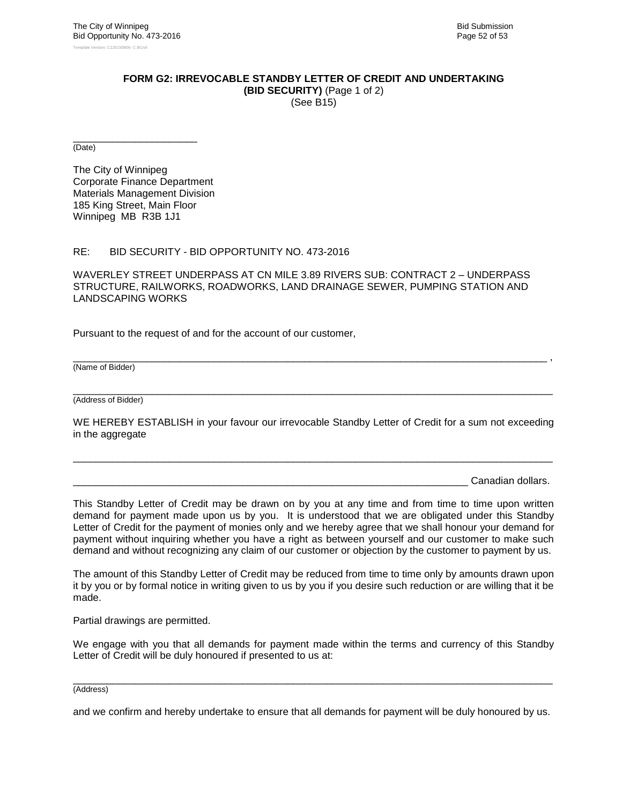#### **FORM G2: IRREVOCABLE STANDBY LETTER OF CREDIT AND UNDERTAKING (BID SECURITY)** (Page 1 of 2)

(See B15)

\_\_\_\_\_\_\_\_\_\_\_\_\_\_\_\_\_\_\_\_\_\_ (Date)

The City of Winnipeg Corporate Finance Department Materials Management Division 185 King Street, Main Floor Winnipeg MB R3B 1J1

#### RE: BID SECURITY - BID OPPORTUNITY NO. 473-2016

WAVERLEY STREET UNDERPASS AT CN MILE 3.89 RIVERS SUB: CONTRACT 2 – UNDERPASS STRUCTURE, RAILWORKS, ROADWORKS, LAND DRAINAGE SEWER, PUMPING STATION AND LANDSCAPING WORKS

Pursuant to the request of and for the account of our customer,

(Name of Bidder)

\_\_\_\_\_\_\_\_\_\_\_\_\_\_\_\_\_\_\_\_\_\_\_\_\_\_\_\_\_\_\_\_\_\_\_\_\_\_\_\_\_\_\_\_\_\_\_\_\_\_\_\_\_\_\_\_\_\_\_\_\_\_\_\_\_\_\_\_\_\_\_\_\_\_\_\_\_\_\_\_\_\_\_\_\_ (Address of Bidder)

WE HEREBY ESTABLISH in your favour our irrevocable Standby Letter of Credit for a sum not exceeding in the aggregate

\_\_\_\_\_\_\_\_\_\_\_\_\_\_\_\_\_\_\_\_\_\_\_\_\_\_\_\_\_\_\_\_\_\_\_\_\_\_\_\_\_\_\_\_\_\_\_\_\_\_\_\_\_\_\_\_\_\_\_\_\_\_\_\_\_\_\_\_\_\_\_\_\_\_\_\_\_\_\_\_\_\_\_\_\_

\_\_\_\_\_\_\_\_\_\_\_\_\_\_\_\_\_\_\_\_\_\_\_\_\_\_\_\_\_\_\_\_\_\_\_\_\_\_\_\_\_\_\_\_\_\_\_\_\_\_\_\_\_\_\_\_\_\_\_\_\_\_\_\_\_\_\_\_\_\_\_\_\_\_\_\_\_\_\_\_\_\_\_\_ ,

Canadian dollars.

This Standby Letter of Credit may be drawn on by you at any time and from time to time upon written demand for payment made upon us by you. It is understood that we are obligated under this Standby Letter of Credit for the payment of monies only and we hereby agree that we shall honour your demand for payment without inquiring whether you have a right as between yourself and our customer to make such demand and without recognizing any claim of our customer or objection by the customer to payment by us.

The amount of this Standby Letter of Credit may be reduced from time to time only by amounts drawn upon it by you or by formal notice in writing given to us by you if you desire such reduction or are willing that it be made.

Partial drawings are permitted.

We engage with you that all demands for payment made within the terms and currency of this Standby Letter of Credit will be duly honoured if presented to us at:

#### \_\_\_\_\_\_\_\_\_\_\_\_\_\_\_\_\_\_\_\_\_\_\_\_\_\_\_\_\_\_\_\_\_\_\_\_\_\_\_\_\_\_\_\_\_\_\_\_\_\_\_\_\_\_\_\_\_\_\_\_\_\_\_\_\_\_\_\_\_\_\_\_\_\_\_\_\_\_\_\_\_\_\_\_\_ (Address)

and we confirm and hereby undertake to ensure that all demands for payment will be duly honoured by us.